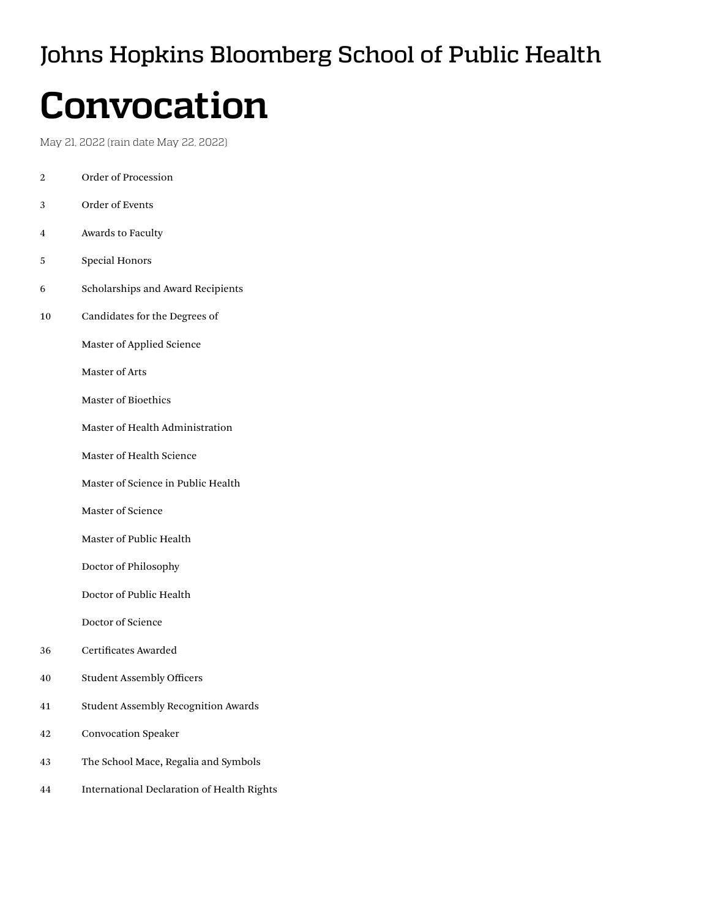# Johns Hopkins Bloomberg School of Public Health

# **Convocation**

May 21, 2022 (rain date May 22, 2022)

- [2 Order](#page-1-0) of Procession [3 Order](#page-2-0) of Events [4 Awards](#page-3-0) to Faculty [5 Special](#page-4-0) Honors
- [6 Scholarships](#page-5-0) and Award Recipients
- [10 Candidates](#page-9-0) for the Degrees of

 [Master](#page-9-0) of Applied Science

 [Master](#page-12-0) of Arts

 [Master](#page-13-0) of Bioethics

 Master of Health Administration

 [Master](#page-14-0) of Health Science

 [Master](#page-17-0) of Science in Public Health

 [Master](#page-19-0) of Science

 [Master](#page-22-0) of Public Health

 [Doctor](#page-33-0) of Philosophy

 [Doctor](#page-34-0) of Public Health

 [Doctor](#page-34-0) of Science

- [36 Certificates](#page-35-0) Awarded
- [40 Student](#page-39-0) Assembly Officers
- [41 Student](#page-40-0) Assembly Recognition Awards
- [42 Convocation](#page-41-0) Speaker
- [43 The](#page-42-0) School Mace, Regalia and Symbols
- [44 International](#page-43-0) Declaration of Health Rights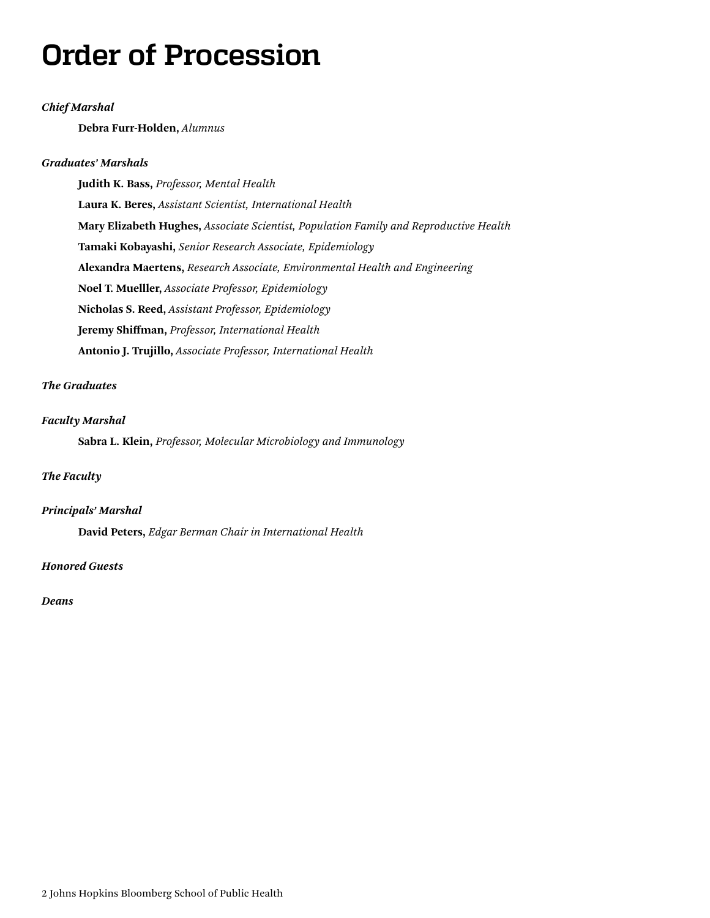# <span id="page-1-0"></span>**Order of Procession**

### *Chief Marshal*

**Debra Furr-Holden,** *Alumnus*

### *Graduates' Marshals*

**Judith K. Bass,** *Professor, Mental Health* **Laura K. Beres,** *Assistant Scientist, International Health* **Mary Elizabeth Hughes,** *Associate Scientist, Population Family and Reproductive Health* **Tamaki Kobayashi,** *Senior Research Associate, Epidemiology* **Alexandra Maertens,** *Research Associate, Environmental Health and Engineering* **Noel T. Muelller,** *Associate Professor, Epidemiology* **Nicholas S. Reed,** *Assistant Professor, Epidemiology* **Jeremy Shiffman,** *Professor, International Health* **Antonio J. Trujillo,** *Associate Professor, International Health*

### *The Graduates*

### *Faculty Marshal*

**Sabra L. Klein,** *Professor, Molecular Microbiology and Immunology*

### *The Faculty*

### *Principals' Marshal*

**David Peters,** *Edgar Berman Chair in International Health*

### *Honored Guests*

### *Deans*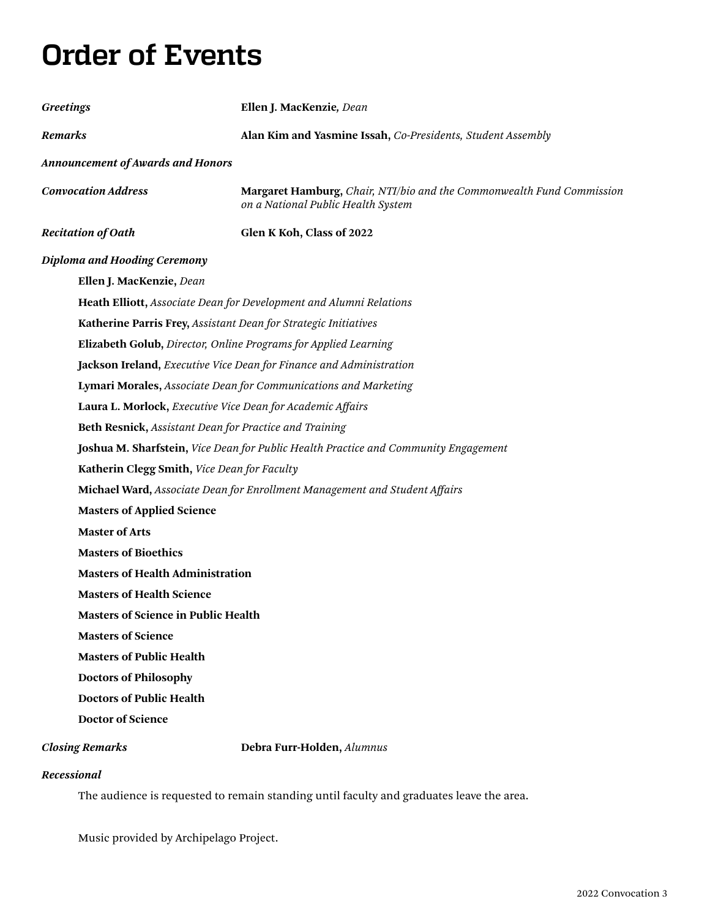# <span id="page-2-0"></span>**Order of Events**

| <b>Greetings</b>                           | Ellen J. MacKenzie, Dean                                                                                    |  |
|--------------------------------------------|-------------------------------------------------------------------------------------------------------------|--|
| <b>Remarks</b>                             | Alan Kim and Yasmine Issah, Co-Presidents, Student Assembly                                                 |  |
| <b>Announcement of Awards and Honors</b>   |                                                                                                             |  |
| <b>Convocation Address</b>                 | Margaret Hamburg, Chair, NTI/bio and the Commonwealth Fund Commission<br>on a National Public Health System |  |
| <b>Recitation of Oath</b>                  | Glen K Koh, Class of 2022                                                                                   |  |
| <b>Diploma and Hooding Ceremony</b>        |                                                                                                             |  |
| Ellen J. MacKenzie, Dean                   |                                                                                                             |  |
|                                            | Heath Elliott, Associate Dean for Development and Alumni Relations                                          |  |
|                                            | Katherine Parris Frey, Assistant Dean for Strategic Initiatives                                             |  |
|                                            | Elizabeth Golub, Director, Online Programs for Applied Learning                                             |  |
|                                            | Jackson Ireland, Executive Vice Dean for Finance and Administration                                         |  |
|                                            | Lymari Morales, Associate Dean for Communications and Marketing                                             |  |
|                                            | Laura L. Morlock, Executive Vice Dean for Academic Affairs                                                  |  |
|                                            | Beth Resnick, Assistant Dean for Practice and Training                                                      |  |
|                                            | Joshua M. Sharfstein, Vice Dean for Public Health Practice and Community Engagement                         |  |
|                                            | Katherin Clegg Smith, Vice Dean for Faculty                                                                 |  |
|                                            | Michael Ward, Associate Dean for Enrollment Management and Student Affairs                                  |  |
| <b>Masters of Applied Science</b>          |                                                                                                             |  |
| <b>Master of Arts</b>                      |                                                                                                             |  |
| <b>Masters of Bioethics</b>                |                                                                                                             |  |
| <b>Masters of Health Administration</b>    |                                                                                                             |  |
| <b>Masters of Health Science</b>           |                                                                                                             |  |
| <b>Masters of Science in Public Health</b> |                                                                                                             |  |
| <b>Masters of Science</b>                  |                                                                                                             |  |
| <b>Masters of Public Health</b>            |                                                                                                             |  |
| <b>Doctors of Philosophy</b>               |                                                                                                             |  |
| <b>Doctors of Public Health</b>            |                                                                                                             |  |
| <b>Doctor of Science</b>                   |                                                                                                             |  |
| <b>Closing Remarks</b>                     | Debra Furr-Holden, Alumnus                                                                                  |  |

### *Recessional*

The audience is requested to remain standing until faculty and graduates leave the area.

Music provided by Archipelago Project.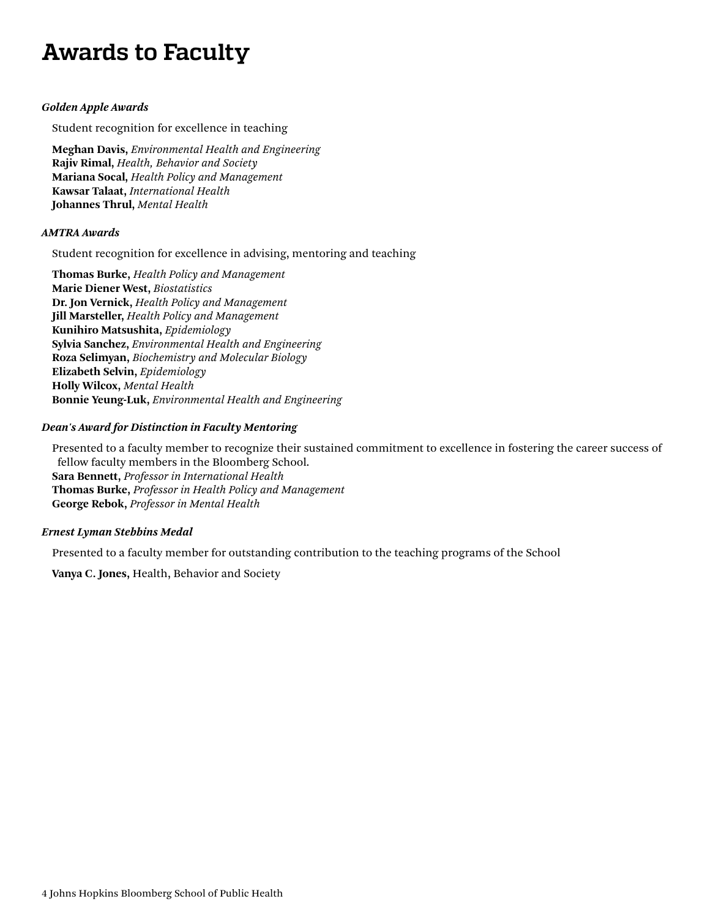# <span id="page-3-0"></span>**Awards to Faculty**

### *Golden Apple Awards*

Student recognition for excellence in teaching

**Meghan Davis,** *Environmental Health and Engineering* **Rajiv Rimal,** *Health, Behavior and Society*  **Mariana Socal,** *Health Policy and Management* **Kawsar Talaat,** *International Health* **Johannes Thrul,** *Mental Health*

### *AMTRA Awards*

Student recognition for excellence in advising, mentoring and teaching

**Thomas Burke,** *Health Policy and Management* **Marie Diener West,** *Biostatistics* **Dr. Jon Vernick,** *Health Policy and Management* **Jill Marsteller,** *Health Policy and Management* **Kunihiro Matsushita,** *Epidemiology* **Sylvia Sanchez,** *Environmental Health and Engineering* **Roza Selimyan,** *Biochemistry and Molecular Biology* **Elizabeth Selvin,** *Epidemiology* **Holly Wilcox,** *Mental Health* **Bonnie Yeung-Luk,** *Environmental Health and Engineering*

### *Dean's Award for Distinction in Faculty Mentoring*

Presented to a faculty member to recognize their sustained commitment to excellence in fostering the career success of fellow faculty members in the Bloomberg School. **Sara Bennett,** *Professor in International Health* **Thomas Burke,** *Professor in Health Policy and Management* **George Rebok,** *Professor in Mental Health*

### *Ernest Lyman Stebbins Medal*

Presented to a faculty member for outstanding contribution to the teaching programs of the School

**Vanya C. Jones,** Health, Behavior and Society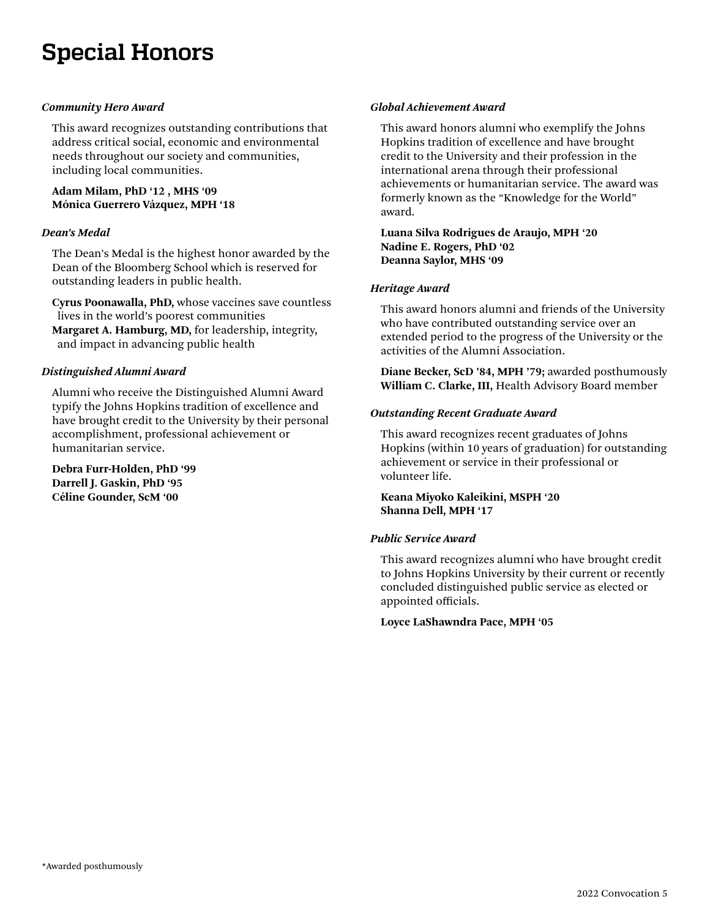# <span id="page-4-0"></span>**Special Honors**

### *Community Hero Award*

This award recognizes outstanding contributions that address critical social, economic and environmental needs throughout our society and communities, including local communities.

### **Adam Milam, PhD '12 , MHS '09 Mónica Guerrero Vázquez, MPH '18**

### *Dean's Medal*

The Dean's Medal is the highest honor awarded by the Dean of the Bloomberg School which is reserved for outstanding leaders in public health.

**Cyrus Poonawalla, PhD,** whose vaccines save countless lives in the world's poorest communities **Margaret A. Hamburg, MD,** for leadership, integrity, and impact in advancing public health

### *Distinguished Alumni Award*

Alumni who receive the Distinguished Alumni Award typify the Johns Hopkins tradition of excellence and have brought credit to the University by their personal accomplishment, professional achievement or humanitarian service.

**Debra Furr-Holden, PhD '99 Darrell J. Gaskin, PhD '95 Céline Gounder, ScM '00**

### *Global Achievement Award*

This award honors alumni who exemplify the Johns Hopkins tradition of excellence and have brought credit to the University and their profession in the international arena through their professional achievements or humanitarian service. The award was formerly known as the "Knowledge for the World" award.

**Luana Silva Rodrigues de Araujo, MPH '20 Nadine E. Rogers, PhD '02 Deanna Saylor, MHS '09**

### *Heritage Award*

This award honors alumni and friends of the University who have contributed outstanding service over an extended period to the progress of the University or the activities of the Alumni Association.

**Diane Becker, ScD '84, MPH '79;** awarded posthumously **William C. Clarke, III,** Health Advisory Board member

### *Outstanding Recent Graduate Award*

This award recognizes recent graduates of Johns Hopkins (within 10 years of graduation) for outstanding achievement or service in their professional or volunteer life.

### **Keana Miyoko Kaleikini, MSPH '20 Shanna Dell, MPH '17**

### *Public Service Award*

This award recognizes alumni who have brought credit to Johns Hopkins University by their current or recently concluded distinguished public service as elected or appointed officials.

### **Loyce LaShawndra Pace, MPH '05**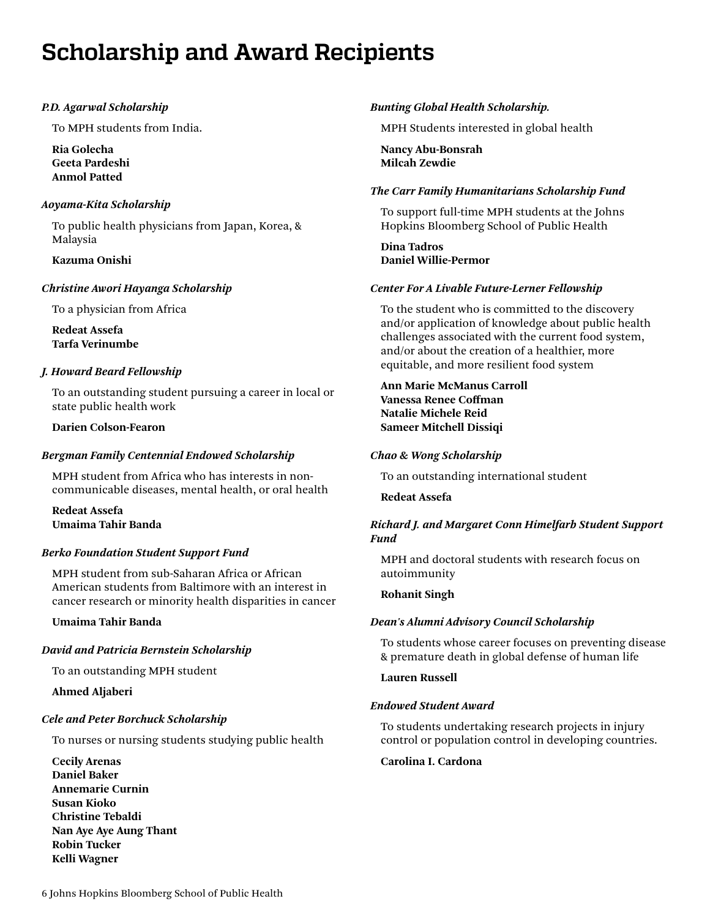# <span id="page-5-0"></span>**Scholarship and Award Recipients**

### *P.D. Agarwal Scholarship*

To MPH students from India.

**Ria Golecha Geeta Pardeshi Anmol Patted**

### *Aoyama-Kita Scholarship*

To public health physicians from Japan, Korea, & Malaysia

### **Kazuma Onishi**

### *Christine Awori Hayanga Scholarship*

To a physician from Africa

**Redeat Assefa Tarfa Verinumbe**

### *J. Howard Beard Fellowship*

To an outstanding student pursuing a career in local or state public health work

### **Darien Colson-Fearon**

### *Bergman Family Centennial Endowed Scholarship*

MPH student from Africa who has interests in noncommunicable diseases, mental health, or oral health

**Redeat Assefa Umaima Tahir Banda**

### *Berko Foundation Student Support Fund*

MPH student from sub-Saharan Africa or African American students from Baltimore with an interest in cancer research or minority health disparities in cancer

### **Umaima Tahir Banda**

### *David and Patricia Bernstein Scholarship*

To an outstanding MPH student

### **Ahmed Aljaberi**

### *Cele and Peter Borchuck Scholarship*

To nurses or nursing students studying public health

**Cecily Arenas Daniel Baker Annemarie Curnin Susan Kioko Christine Tebaldi Nan Aye Aye Aung Thant Robin Tucker Kelli Wagner**

### *Bunting Global Health Scholarship.*

MPH Students interested in global health

**Nancy Abu-Bonsrah Milcah Zewdie**

### *The Carr Family Humanitarians Scholarship Fund*

To support full-time MPH students at the Johns Hopkins Bloomberg School of Public Health

**Dina Tadros Daniel Willie-Permor**

### *Center For A Livable Future-Lerner Fellowship*

To the student who is committed to the discovery and/or application of knowledge about public health challenges associated with the current food system, and/or about the creation of a healthier, more equitable, and more resilient food system

### **Ann Marie McManus Carroll Vanessa Renee Coffman Natalie Michele Reid Sameer Mitchell Dissiqi**

### *Chao & Wong Scholarship*

To an outstanding international student

### **Redeat Assefa**

### *Richard J. and Margaret Conn Himelfarb Student Support Fund*

MPH and doctoral students with research focus on autoimmunity

### **Rohanit Singh**

### *Dean's Alumni Advisory Council Scholarship*

To students whose career focuses on preventing disease & premature death in global defense of human life

**Lauren Russell**

### *Endowed Student Award*

To students undertaking research projects in injury control or population control in developing countries.

### **Carolina I. Cardona**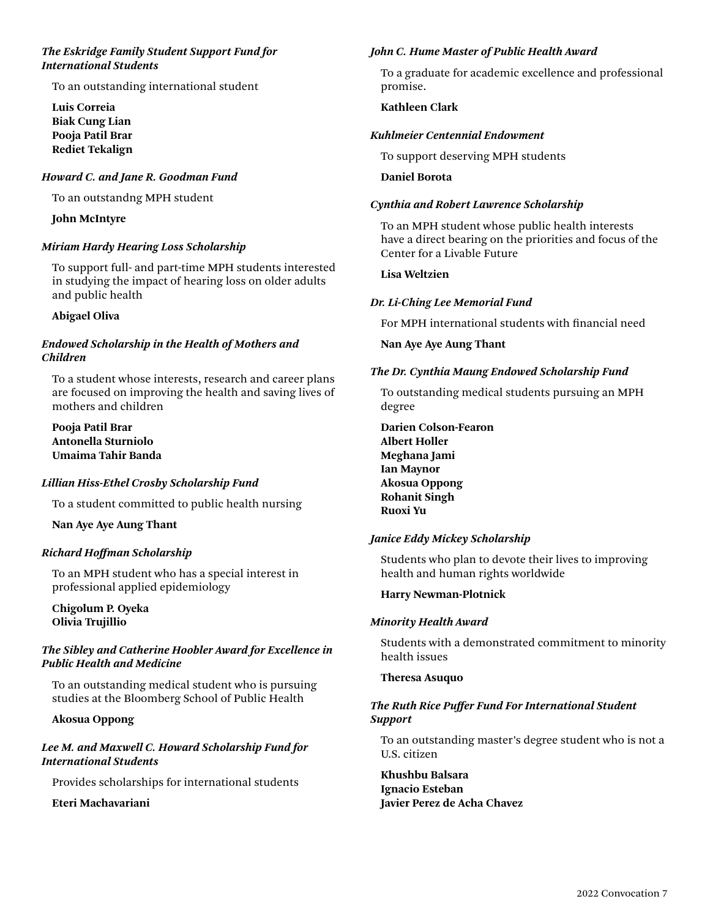### *The Eskridge Family Student Support Fund for International Students*

To an outstanding international student

**Luis Correia Biak Cung Lian Pooja Patil Brar Rediet Tekalign**

### *Howard C. and Jane R. Goodman Fund*

To an outstandng MPH student

### **John McIntyre**

### *Miriam Hardy Hearing Loss Scholarship*

To support full- and part-time MPH students interested in studying the impact of hearing loss on older adults and public health

### **Abigael Oliva**

### *Endowed Scholarship in the Health of Mothers and Children*

To a student whose interests, research and career plans are focused on improving the health and saving lives of mothers and children

**Pooja Patil Brar Antonella Sturniolo Umaima Tahir Banda** 

### *Lillian Hiss-Ethel Crosby Scholarship Fund*

To a student committed to public health nursing

**Nan Aye Aye Aung Thant**

### *Richard Hoffman Scholarship*

To an MPH student who has a special interest in professional applied epidemiology

**Chigolum P. Oyeka Olivia Trujillio**

### *The Sibley and Catherine Hoobler Award for Excellence in Public Health and Medicine*

To an outstanding medical student who is pursuing studies at the Bloomberg School of Public Health

### **Akosua Oppong**

### *Lee M. and Maxwell C. Howard Scholarship Fund for International Students*

Provides scholarships for international students

**Eteri Machavariani**

### *John C. Hume Master of Public Health Award*

To a graduate for academic excellence and professional promise.

### **Kathleen Clark**

#### *Kuhlmeier Centennial Endowment*

To support deserving MPH students

#### **Daniel Borota**

### *Cynthia and Robert Lawrence Scholarship*

To an MPH student whose public health interests have a direct bearing on the priorities and focus of the Center for a Livable Future

### **Lisa Weltzien**

### *Dr. Li-Ching Lee Memorial Fund*

For MPH international students with financial need

**Nan Aye Aye Aung Thant**

### *The Dr. Cynthia Maung Endowed Scholarship Fund*

To outstanding medical students pursuing an MPH degree

**Darien Colson-Fearon Albert Holler Meghana Jami Ian Maynor Akosua Oppong Rohanit Singh Ruoxi Yu**

### *Janice Eddy Mickey Scholarship*

Students who plan to devote their lives to improving health and human rights worldwide

#### **Harry Newman-Plotnick**

#### *Minority Health Award*

Students with a demonstrated commitment to minority health issues

#### **Theresa Asuquo**

### *The Ruth Rice Puffer Fund For International Student Support*

To an outstanding master's degree student who is not a U.S. citizen

**Khushbu Balsara Ignacio Esteban Javier Perez de Acha Chavez**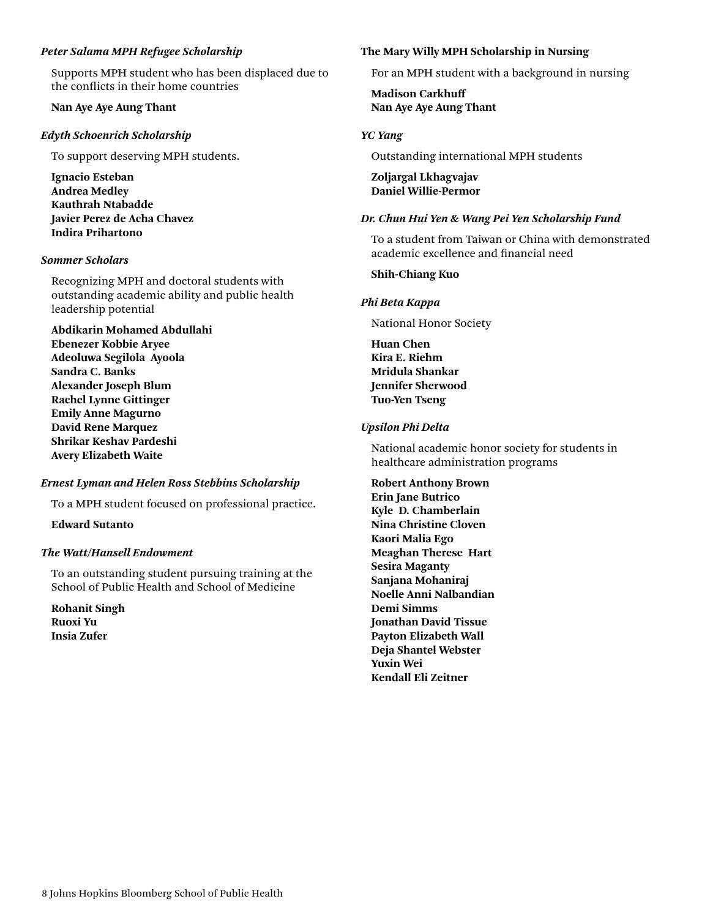### *Peter Salama MPH Refugee Scholarship*

Supports MPH student who has been displaced due to the conflicts in their home countries

### **Nan Aye Aye Aung Thant**

### *Edyth Schoenrich Scholarship*

To support deserving MPH students.

**Ignacio Esteban Andrea Medley Kauthrah Ntabadde Javier Perez de Acha Chavez Indira Prihartono**

### *Sommer Scholars*

Recognizing MPH and doctoral students with outstanding academic ability and public health leadership potential

**Abdikarin Mohamed Abdullahi Ebenezer Kobbie Aryee Adeoluwa Segilola Ayoola Sandra C. Banks Alexander Joseph Blum Rachel Lynne Gittinger Emily Anne Magurno David Rene Marquez Shrikar Keshav Pardeshi Avery Elizabeth Waite**

### *Ernest Lyman and Helen Ross Stebbins Scholarship*

To a MPH student focused on professional practice.

**Edward Sutanto**

### *The Watt/Hansell Endowment*

To an outstanding student pursuing training at the School of Public Health and School of Medicine

**Rohanit Singh Ruoxi Yu Insia Zufer**

### **The Mary Willy MPH Scholarship in Nursing**

For an MPH student with a background in nursing

**Madison Carkhuff Nan Aye Aye Aung Thant**

### *YC Yang*

Outstanding international MPH students

**Zoljargal Lkhagvajav Daniel Willie-Permor** 

### *Dr. Chun Hui Yen & Wang Pei Yen Scholarship Fund*

To a student from Taiwan or China with demonstrated academic excellence and financial need

### **Shih-Chiang Kuo**

#### *Phi Beta Kappa*

National Honor Society

**Huan Chen Kira E. Riehm Mridula Shankar Jennifer Sherwood Tuo-Yen Tseng**

### *Upsilon Phi Delta*

National academic honor society for students in healthcare administration programs

**Robert Anthony Brown Erin Jane Butrico Kyle D. Chamberlain Nina Christine Cloven Kaori Malia Ego Meaghan Therese Hart Sesira Maganty Sanjana Mohaniraj Noelle Anni Nalbandian Demi Simms Jonathan David Tissue Payton Elizabeth Wall Deja Shantel Webster Yuxin Wei Kendall Eli Zeitner**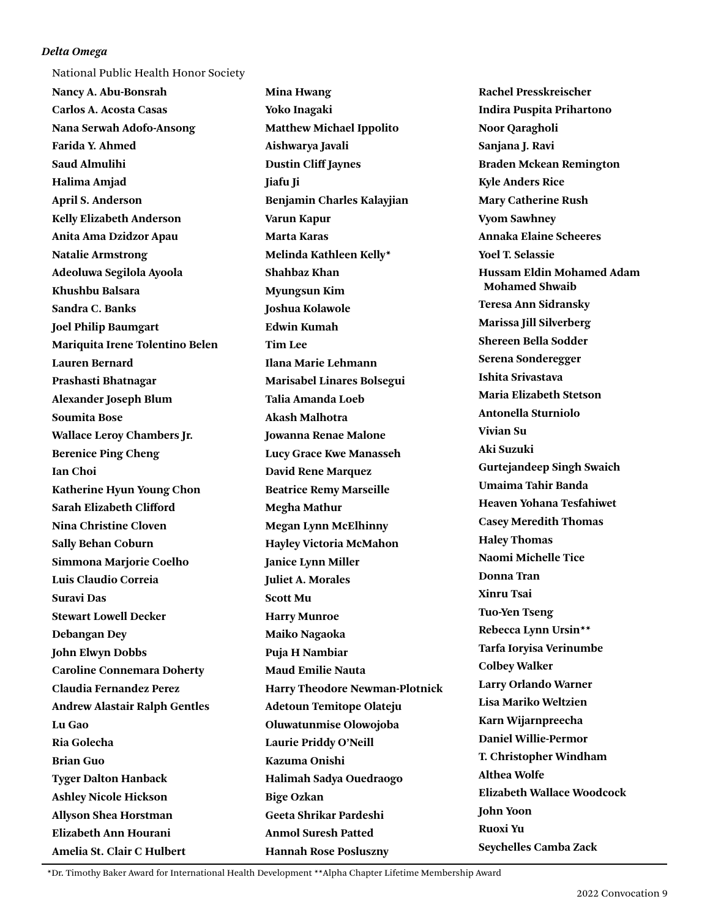### *Delta Omega*

National Public Health Honor Society

**Nancy A. Abu-Bonsrah Carlos A. Acosta Casas Nana Serwah Adofo-Ansong Farida Y. Ahmed Saud Almulihi Halima Amjad April S. Anderson Kelly Elizabeth Anderson Anita Ama Dzidzor Apau Natalie Armstrong Adeoluwa Segilola Ayoola Khushbu Balsara Sandra C. Banks Joel Philip Baumgart Mariquita Irene Tolentino Belen Lauren Bernard Prashasti Bhatnagar Alexander Joseph Blum Soumita Bose Wallace Leroy Chambers Jr. Berenice Ping Cheng Ian Choi Katherine Hyun Young Chon Sarah Elizabeth Clifford Nina Christine Cloven Sally Behan Coburn Simmona Marjorie Coelho Luis Claudio Correia Suravi Das Stewart Lowell Decker Debangan Dey John Elwyn Dobbs Caroline Connemara Doherty Claudia Fernandez Perez Andrew Alastair Ralph Gentles Lu Gao Ria Golecha Brian Guo Tyger Dalton Hanback Ashley Nicole Hickson Allyson Shea Horstman Elizabeth Ann Hourani Amelia St. Clair C Hulbert** 

**Mina Hwang Yoko Inagaki Matthew Michael Ippolito Aishwarya Javali Dustin Cliff Jaynes Jiafu Ji Benjamin Charles Kalayjian Varun Kapur Marta Karas Melinda Kathleen Kelly\* Shahbaz Khan Myungsun Kim Joshua Kolawole Edwin Kumah Tim Lee Ilana Marie Lehmann Marisabel Linares Bolsegui Talia Amanda Loeb Akash Malhotra Jowanna Renae Malone Lucy Grace Kwe Manasseh David Rene Marquez Beatrice Remy Marseille Megha Mathur Megan Lynn McElhinny Hayley Victoria McMahon Janice Lynn Miller Juliet A. Morales Scott Mu Harry Munroe Maiko Nagaoka Puja H Nambiar Maud Emilie Nauta Harry Theodore Newman-Plotnick Adetoun Temitope Olateju Oluwatunmise Olowojoba Laurie Priddy O'Neill Kazuma Onishi Halimah Sadya Ouedraogo Bige Ozkan Geeta Shrikar Pardeshi Anmol Suresh Patted Hannah Rose Posluszny** 

**Rachel Presskreischer Indira Puspita Prihartono Noor Qaragholi Sanjana J. Ravi Braden Mckean Remington Kyle Anders Rice Mary Catherine Rush Vyom Sawhney Annaka Elaine Scheeres Yoel T. Selassie Hussam Eldin Mohamed Adam Mohamed Shwaib Teresa Ann Sidransky Marissa Jill Silverberg Shereen Bella Sodder Serena Sonderegger Ishita Srivastava Maria Elizabeth Stetson Antonella Sturniolo Vivian Su Aki Suzuki Gurtejandeep Singh Swaich Umaima Tahir Banda Heaven Yohana Tesfahiwet Casey Meredith Thomas Haley Thomas Naomi Michelle Tice Donna Tran Xinru Tsai Tuo-Yen Tseng Rebecca Lynn Ursin\*\* Tarfa Ioryisa Verinumbe Colbey Walker Larry Orlando Warner Lisa Mariko Weltzien Karn Wijarnpreecha Daniel Willie-Permor T. Christopher Windham Althea Wolfe Elizabeth Wallace Woodcock John Yoon Ruoxi Yu Seychelles Camba Zack** 

 \*Dr. Timothy Baker Award for International Health Development \*\*Alpha Chapter Lifetime Membership Award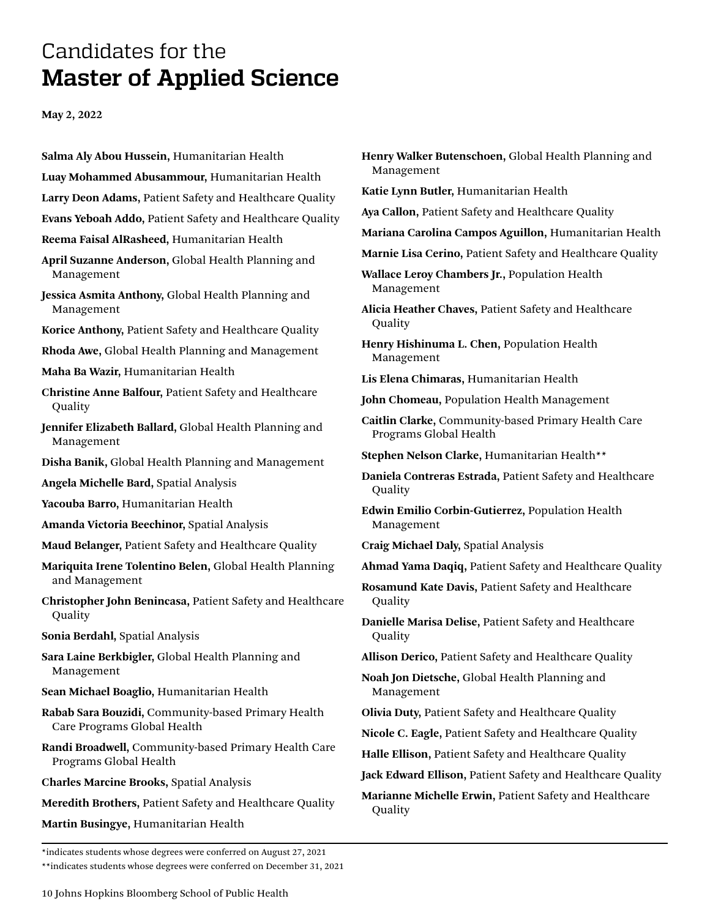## <span id="page-9-0"></span>Candidates for the **Master of Applied Science**

**May 2, 2022**

- **Salma Aly Abou Hussein,** Humanitarian Health
- **Luay Mohammed Abusammour,** Humanitarian Health
- **Larry Deon Adams,** Patient Safety and Healthcare Quality
- **Evans Yeboah Addo,** Patient Safety and Healthcare Quality
- **Reema Faisal AlRasheed,** Humanitarian Health
- **April Suzanne Anderson,** Global Health Planning and Management
- **Jessica Asmita Anthony,** Global Health Planning and Management
- **Korice Anthony,** Patient Safety and Healthcare Quality
- **Rhoda Awe,** Global Health Planning and Management
- **Maha Ba Wazir,** Humanitarian Health
- **Christine Anne Balfour,** Patient Safety and Healthcare **Quality**
- **Jennifer Elizabeth Ballard,** Global Health Planning and Management
- **Disha Banik,** Global Health Planning and Management
- **Angela Michelle Bard,** Spatial Analysis
- **Yacouba Barro,** Humanitarian Health
- **Amanda Victoria Beechinor,** Spatial Analysis
- **Maud Belanger,** Patient Safety and Healthcare Quality
- **Mariquita Irene Tolentino Belen,** Global Health Planning and Management
- **Christopher John Benincasa,** Patient Safety and Healthcare **Quality**
- **Sonia Berdahl,** Spatial Analysis
- **Sara Laine Berkbigler,** Global Health Planning and Management
- **Sean Michael Boaglio,** Humanitarian Health
- **Rabab Sara Bouzidi,** Community-based Primary Health Care Programs Global Health
- **Randi Broadwell,** Community-based Primary Health Care Programs Global Health
- **Charles Marcine Brooks,** Spatial Analysis
- **Meredith Brothers,** Patient Safety and Healthcare Quality
- **Martin Busingye,** Humanitarian Health
- **Henry Walker Butenschoen,** Global Health Planning and Management
- **Katie Lynn Butler,** Humanitarian Health
- **Aya Callon,** Patient Safety and Healthcare Quality
- **Mariana Carolina Campos Aguillon,** Humanitarian Health
- **Marnie Lisa Cerino,** Patient Safety and Healthcare Quality
- **Wallace Leroy Chambers Jr.,** Population Health Management
- **Alicia Heather Chaves,** Patient Safety and Healthcare Quality
- **Henry Hishinuma L. Chen,** Population Health Management
- **Lis Elena Chimaras,** Humanitarian Health
- **John Chomeau,** Population Health Management
- **Caitlin Clarke,** Community-based Primary Health Care Programs Global Health
- **Stephen Nelson Clarke,** Humanitarian Health\*\*
- **Daniela Contreras Estrada,** Patient Safety and Healthcare Quality
- **Edwin Emilio Corbin-Gutierrez,** Population Health Management
- **Craig Michael Daly,** Spatial Analysis
- **Ahmad Yama Daqiq,** Patient Safety and Healthcare Quality
- **Rosamund Kate Davis,** Patient Safety and Healthcare Quality
- **Danielle Marisa Delise,** Patient Safety and Healthcare Quality
- **Allison Derico,** Patient Safety and Healthcare Quality
- **Noah Jon Dietsche,** Global Health Planning and Management
- **Olivia Duty,** Patient Safety and Healthcare Quality
- **Nicole C. Eagle,** Patient Safety and Healthcare Quality
- **Halle Ellison,** Patient Safety and Healthcare Quality
- **Jack Edward Ellison,** Patient Safety and Healthcare Quality
- **Marianne Michelle Erwin,** Patient Safety and Healthcare Quality

<sup>\*</sup>indicates students whose degrees were conferred on August 27, 2021 \*\*indicates students whose degrees were conferred on December 31, 2021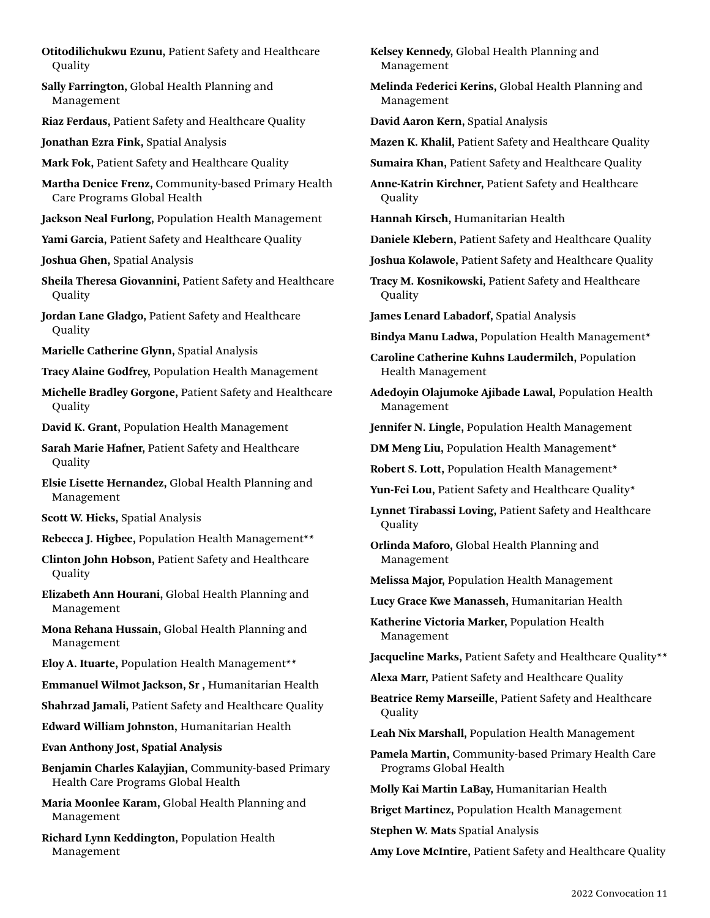- **Otitodilichukwu Ezunu,** Patient Safety and Healthcare **Quality**
- **Sally Farrington,** Global Health Planning and Management
- **Riaz Ferdaus,** Patient Safety and Healthcare Quality
- **Jonathan Ezra Fink,** Spatial Analysis
- **Mark Fok,** Patient Safety and Healthcare Quality
- **Martha Denice Frenz,** Community-based Primary Health Care Programs Global Health
- **Jackson Neal Furlong,** Population Health Management
- **Yami Garcia,** Patient Safety and Healthcare Quality
- **Joshua Ghen,** Spatial Analysis
- **Sheila Theresa Giovannini,** Patient Safety and Healthcare **Quality**
- **Jordan Lane Gladgo,** Patient Safety and Healthcare **Quality**
- **Marielle Catherine Glynn,** Spatial Analysis
- **Tracy Alaine Godfrey,** Population Health Management
- **Michelle Bradley Gorgone,** Patient Safety and Healthcare **Quality**
- **David K. Grant,** Population Health Management
- **Sarah Marie Hafner,** Patient Safety and Healthcare **Quality**
- **Elsie Lisette Hernandez,** Global Health Planning and Management
- **Scott W. Hicks,** Spatial Analysis
- **Rebecca J. Higbee,** Population Health Management\*\*
- **Clinton John Hobson,** Patient Safety and Healthcare Quality
- **Elizabeth Ann Hourani,** Global Health Planning and Management
- **Mona Rehana Hussain,** Global Health Planning and Management
- **Eloy A. Ituarte,** Population Health Management\*\*
- **Emmanuel Wilmot Jackson, Sr ,** Humanitarian Health
- **Shahrzad Jamali,** Patient Safety and Healthcare Quality
- **Edward William Johnston,** Humanitarian Health
- **Evan Anthony Jost, Spatial Analysis**
- **Benjamin Charles Kalayjian,** Community-based Primary Health Care Programs Global Health
- **Maria Moonlee Karam,** Global Health Planning and Management
- **Richard Lynn Keddington,** Population Health Management

**Kelsey Kennedy,** Global Health Planning and Management

- **Melinda Federici Kerins,** Global Health Planning and Management
- **David Aaron Kern,** Spatial Analysis
- **Mazen K. Khalil,** Patient Safety and Healthcare Quality
- **Sumaira Khan,** Patient Safety and Healthcare Quality
- **Anne-Katrin Kirchner,** Patient Safety and Healthcare Quality
- **Hannah Kirsch,** Humanitarian Health
- **Daniele Klebern,** Patient Safety and Healthcare Quality
- **Joshua Kolawole,** Patient Safety and Healthcare Quality
- **Tracy M. Kosnikowski,** Patient Safety and Healthcare Quality
- **James Lenard Labadorf,** Spatial Analysis
- **Bindya Manu Ladwa,** Population Health Management\*
- **Caroline Catherine Kuhns Laudermilch,** Population Health Management
- **Adedoyin Olajumoke Ajibade Lawal,** Population Health Management
- **Jennifer N. Lingle,** Population Health Management
- **DM Meng Liu,** Population Health Management\*
- **Robert S. Lott,** Population Health Management\*
- Yun-Fei Lou, Patient Safety and Healthcare Quality\*
- **Lynnet Tirabassi Loving,** Patient Safety and Healthcare **Quality**
- **Orlinda Maforo,** Global Health Planning and Management
- **Melissa Major,** Population Health Management
- **Lucy Grace Kwe Manasseh,** Humanitarian Health
- **Katherine Victoria Marker,** Population Health Management
- **Jacqueline Marks,** Patient Safety and Healthcare Quality\*\*
- **Alexa Marr,** Patient Safety and Healthcare Quality
- **Beatrice Remy Marseille,** Patient Safety and Healthcare **Quality**
- **Leah Nix Marshall,** Population Health Management
- **Pamela Martin,** Community-based Primary Health Care Programs Global Health
- **Molly Kai Martin LaBay,** Humanitarian Health
- **Briget Martinez,** Population Health Management
- **Stephen W. Mats** Spatial Analysis
- **Amy Love McIntire,** Patient Safety and Healthcare Quality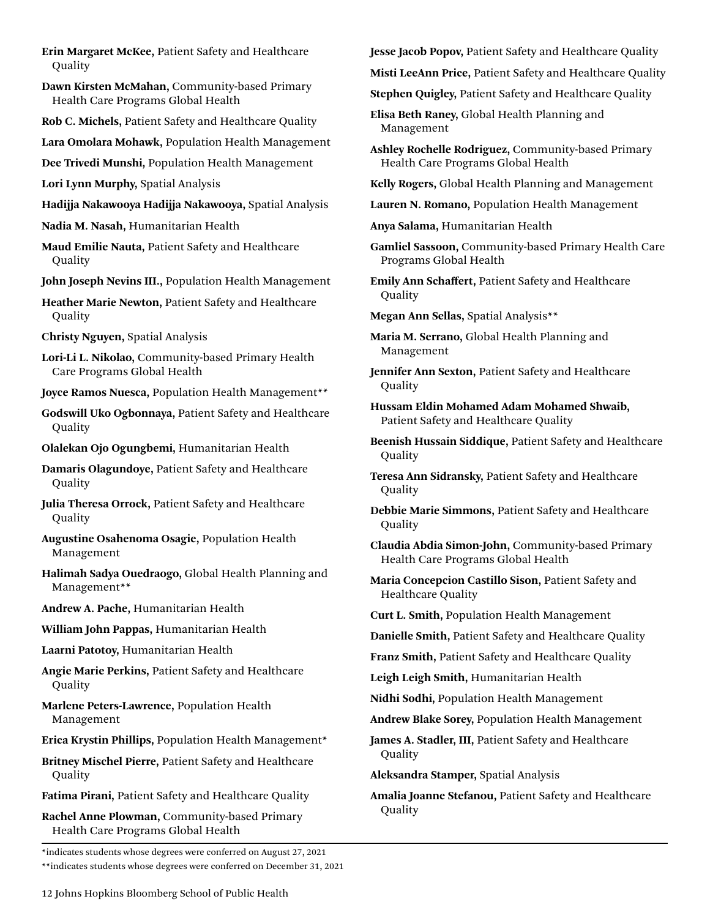- **Erin Margaret McKee,** Patient Safety and Healthcare **Quality**
- **Dawn Kirsten McMahan,** Community-based Primary Health Care Programs Global Health
- **Rob C. Michels,** Patient Safety and Healthcare Quality
- **Lara Omolara Mohawk,** Population Health Management
- **Dee Trivedi Munshi,** Population Health Management
- **Lori Lynn Murphy,** Spatial Analysis
- **Hadijja Nakawooya Hadijja Nakawooya,** Spatial Analysis
- **Nadia M. Nasah,** Humanitarian Health
- **Maud Emilie Nauta,** Patient Safety and Healthcare Quality
- **John Joseph Nevins III.,** Population Health Management
- **Heather Marie Newton,** Patient Safety and Healthcare **Quality**
- **Christy Nguyen,** Spatial Analysis
- **Lori-Li L. Nikolao,** Community-based Primary Health Care Programs Global Health
- **Joyce Ramos Nuesca,** Population Health Management\*\*
- **Godswill Uko Ogbonnaya,** Patient Safety and Healthcare Quality
- **Olalekan Ojo Ogungbemi,** Humanitarian Health

**Damaris Olagundoye,** Patient Safety and Healthcare **Quality** 

**Julia Theresa Orrock,** Patient Safety and Healthcare **Quality** 

- **Augustine Osahenoma Osagie,** Population Health Management
- **Halimah Sadya Ouedraogo,** Global Health Planning and Management\*\*
- **Andrew A. Pache,** Humanitarian Health
- **William John Pappas,** Humanitarian Health
- **Laarni Patotoy,** Humanitarian Health
- **Angie Marie Perkins,** Patient Safety and Healthcare **Quality**
- **Marlene Peters-Lawrence,** Population Health Management
- **Erica Krystin Phillips,** Population Health Management\*
- **Britney Mischel Pierre,** Patient Safety and Healthcare **Quality**
- **Fatima Pirani,** Patient Safety and Healthcare Quality

**Rachel Anne Plowman,** Community-based Primary Health Care Programs Global Health

\*indicates students whose degrees were conferred on August 27, 2021 \*\*indicates students whose degrees were conferred on December 31, 2021 **Jesse Jacob Popov,** Patient Safety and Healthcare Quality

**Misti LeeAnn Price,** Patient Safety and Healthcare Quality

**Stephen Quigley,** Patient Safety and Healthcare Quality

**Elisa Beth Raney,** Global Health Planning and Management

- **Ashley Rochelle Rodriguez,** Community-based Primary Health Care Programs Global Health
- **Kelly Rogers,** Global Health Planning and Management
- **Lauren N. Romano,** Population Health Management
- **Anya Salama,** Humanitarian Health
- **Gamliel Sassoon,** Community-based Primary Health Care Programs Global Health
- **Emily Ann Schaffert,** Patient Safety and Healthcare **Quality**
- **Megan Ann Sellas,** Spatial Analysis\*\*
- **Maria M. Serrano,** Global Health Planning and Management
- **Jennifer Ann Sexton,** Patient Safety and Healthcare **Quality**
- **Hussam Eldin Mohamed Adam Mohamed Shwaib,**  Patient Safety and Healthcare Quality
- **Beenish Hussain Siddique,** Patient Safety and Healthcare **Quality**
- **Teresa Ann Sidransky,** Patient Safety and Healthcare Quality
- **Debbie Marie Simmons,** Patient Safety and Healthcare **Quality**
- **Claudia Abdia Simon-John,** Community-based Primary Health Care Programs Global Health
- **Maria Concepcion Castillo Sison,** Patient Safety and Healthcare Quality
- **Curt L. Smith,** Population Health Management
- **Danielle Smith,** Patient Safety and Healthcare Quality
- **Franz Smith,** Patient Safety and Healthcare Quality
- **Leigh Leigh Smith,** Humanitarian Health
- **Nidhi Sodhi,** Population Health Management
- **Andrew Blake Sorey,** Population Health Management
- **James A. Stadler, III,** Patient Safety and Healthcare **Quality**
- **Aleksandra Stamper,** Spatial Analysis
- **Amalia Joanne Stefanou,** Patient Safety and Healthcare Quality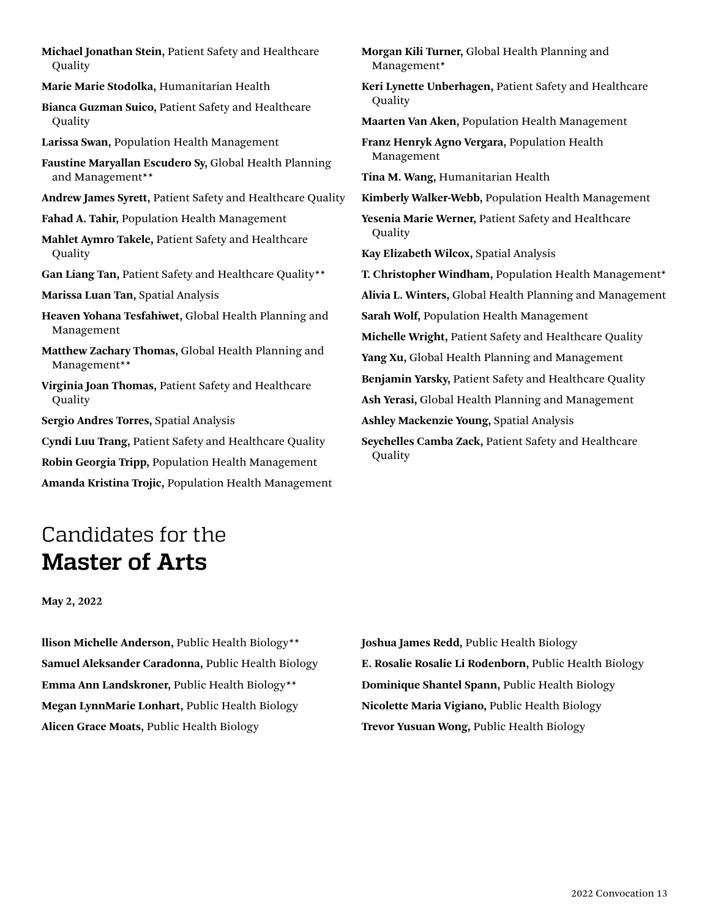<span id="page-12-0"></span>**Michael Jonathan Stein,** Patient Safety and Healthcare **Quality** 

**Marie Marie Stodolka,** Humanitarian Health

**Bianca Guzman Suico,** Patient Safety and Healthcare Quality

**Larissa Swan,** Population Health Management

**Faustine Maryallan Escudero Sy,** Global Health Planning and Management\*\*

**Andrew James Syrett,** Patient Safety and Healthcare Quality

**Fahad A. Tahir,** Population Health Management

**Mahlet Aymro Takele,** Patient Safety and Healthcare **Quality** 

**Gan Liang Tan,** Patient Safety and Healthcare Quality\*\*

**Marissa Luan Tan,** Spatial Analysis

**Heaven Yohana Tesfahiwet,** Global Health Planning and Management

**Matthew Zachary Thomas,** Global Health Planning and Management\*\*

**Virginia Joan Thomas,** Patient Safety and Healthcare **Quality** 

**Sergio Andres Torres,** Spatial Analysis

**Cyndi Luu Trang,** Patient Safety and Healthcare Quality

**Robin Georgia Tripp,** Population Health Management

**Amanda Kristina Trojic,** Population Health Management

**Morgan Kili Turner,** Global Health Planning and Management\* **Keri Lynette Unberhagen,** Patient Safety and Healthcare **Quality** 

**Maarten Van Aken,** Population Health Management

**Franz Henryk Agno Vergara,** Population Health Management

**Tina M. Wang,** Humanitarian Health

**Kimberly Walker-Webb,** Population Health Management

**Yesenia Marie Werner,** Patient Safety and Healthcare Quality

**Kay Elizabeth Wilcox,** Spatial Analysis

**T. Christopher Windham,** Population Health Management\* **Alivia L. Winters,** Global Health Planning and Management **Sarah Wolf,** Population Health Management **Michelle Wright,** Patient Safety and Healthcare Quality **Yang Xu,** Global Health Planning and Management **Benjamin Yarsky,** Patient Safety and Healthcare Quality **Ash Yerasi,** Global Health Planning and Management **Ashley Mackenzie Young,** Spatial Analysis **Seychelles Camba Zack,** Patient Safety and Healthcare Quality

Candidates for the

**Master of Arts**

**May 2, 2022**

**llison Michelle Anderson,** Public Health Biology\*\* **Samuel Aleksander Caradonna,** Public Health Biology **Emma Ann Landskroner,** Public Health Biology\*\* **Megan LynnMarie Lonhart,** Public Health Biology **Alicen Grace Moats,** Public Health Biology

**Joshua James Redd,** Public Health Biology **E. Rosalie Rosalie Li Rodenborn,** Public Health Biology **Dominique Shantel Spann,** Public Health Biology **Nicolette Maria Vigiano,** Public Health Biology **Trevor Yusuan Wong,** Public Health Biology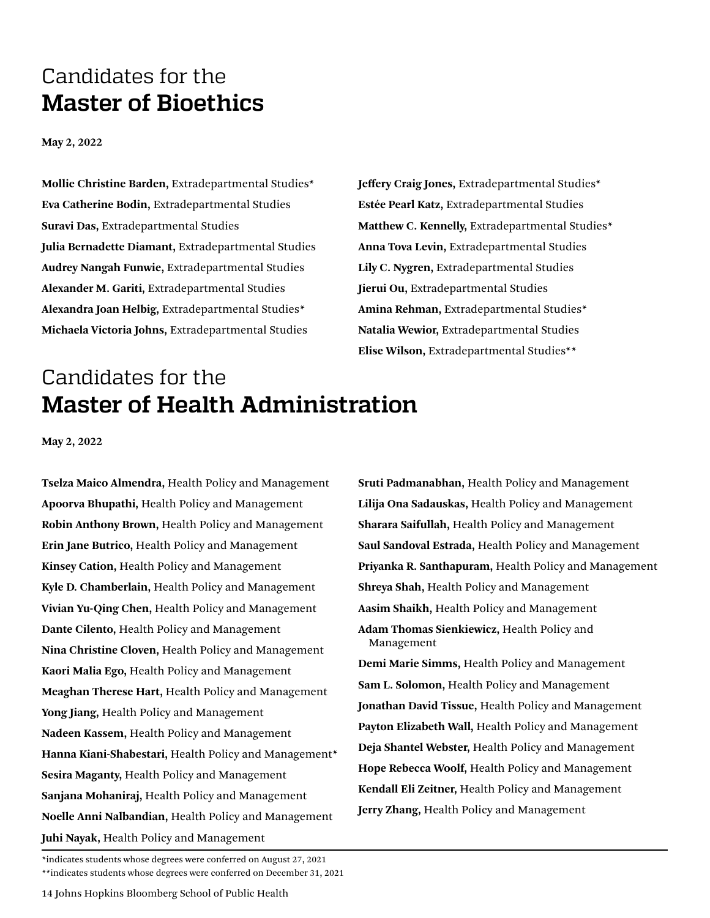### <span id="page-13-0"></span>Candidates for the **Master of Bioethics**

**May 2, 2022**

**Mollie Christine Barden,** Extradepartmental Studies\* **Eva Catherine Bodin,** Extradepartmental Studies **Suravi Das,** Extradepartmental Studies **Julia Bernadette Diamant,** Extradepartmental Studies **Audrey Nangah Funwie,** Extradepartmental Studies **Alexander M. Gariti,** Extradepartmental Studies **Alexandra Joan Helbig,** Extradepartmental Studies\* **Michaela Victoria Johns,** Extradepartmental Studies

**Jeffery Craig Jones,** Extradepartmental Studies\* **Estée Pearl Katz,** Extradepartmental Studies **Matthew C. Kennelly,** Extradepartmental Studies\* **Anna Tova Levin,** Extradepartmental Studies **Lily C. Nygren,** Extradepartmental Studies **Jierui Ou,** Extradepartmental Studies **Amina Rehman,** Extradepartmental Studies\* **Natalia Wewior,** Extradepartmental Studies **Elise Wilson,** Extradepartmental Studies\*\*

## Candidates for the **Master of Health Administration**

**May 2, 2022**

**Tselza Maico Almendra,** Health Policy and Management **Apoorva Bhupathi,** Health Policy and Management **Robin Anthony Brown,** Health Policy and Management **Erin Jane Butrico,** Health Policy and Management **Kinsey Cation,** Health Policy and Management **Kyle D. Chamberlain,** Health Policy and Management **Vivian Yu-Qing Chen,** Health Policy and Management **Dante Cilento,** Health Policy and Management **Nina Christine Cloven,** Health Policy and Management **Kaori Malia Ego,** Health Policy and Management **Meaghan Therese Hart,** Health Policy and Management **Yong Jiang,** Health Policy and Management **Nadeen Kassem,** Health Policy and Management **Hanna Kiani-Shabestari,** Health Policy and Management\* **Sesira Maganty,** Health Policy and Management **Sanjana Mohaniraj,** Health Policy and Management **Noelle Anni Nalbandian,** Health Policy and Management **Juhi Nayak,** Health Policy and Management

**Sruti Padmanabhan,** Health Policy and Management **Lilija Ona Sadauskas,** Health Policy and Management **Sharara Saifullah,** Health Policy and Management **Saul Sandoval Estrada,** Health Policy and Management **Priyanka R. Santhapuram,** Health Policy and Management **Shreya Shah,** Health Policy and Management **Aasim Shaikh,** Health Policy and Management **Adam Thomas Sienkiewicz,** Health Policy and Management **Demi Marie Simms,** Health Policy and Management **Sam L. Solomon,** Health Policy and Management **Jonathan David Tissue,** Health Policy and Management **Payton Elizabeth Wall,** Health Policy and Management **Deja Shantel Webster,** Health Policy and Management **Hope Rebecca Woolf,** Health Policy and Management **Kendall Eli Zeitner,** Health Policy and Management

**Jerry Zhang,** Health Policy and Management

\*indicates students whose degrees were conferred on August 27, 2021 \*\*indicates students whose degrees were conferred on December 31, 2021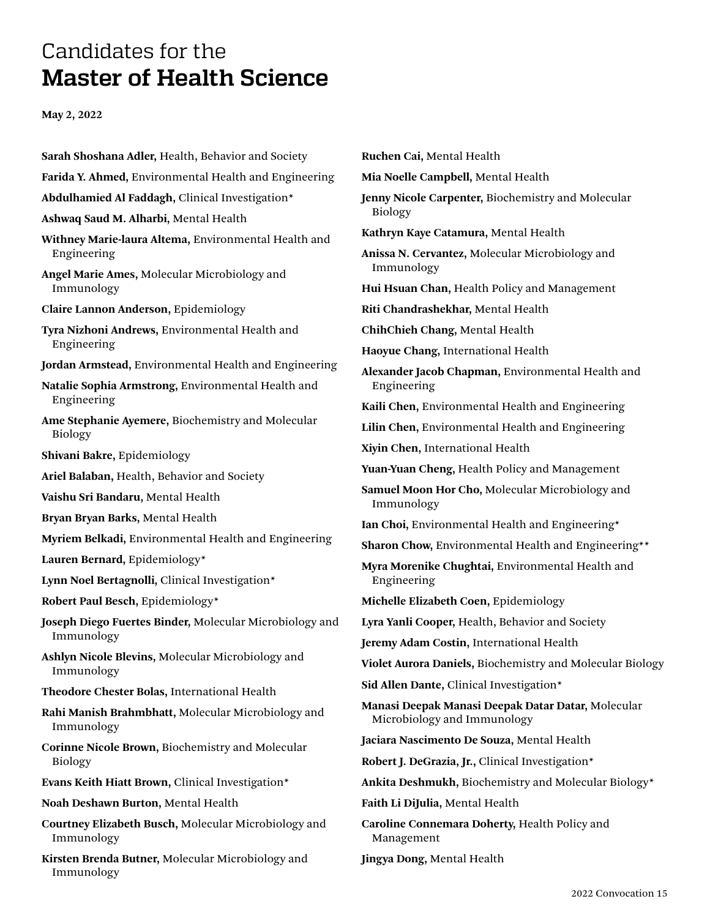## <span id="page-14-0"></span>Candidates for the **Master of Health Science**

**May 2, 2022**

Immunology

**Sarah Shoshana Adler,** Health, Behavior and Society **Farida Y. Ahmed,** Environmental Health and Engineering **Abdulhamied Al Faddagh,** Clinical Investigation\* **Ashwaq Saud M. Alharbi,** Mental Health **Withney Marie-laura Altema,** Environmental Health and Engineering **Angel Marie Ames,** Molecular Microbiology and Immunology **Claire Lannon Anderson,** Epidemiology **Tyra Nizhoni Andrews,** Environmental Health and Engineering **Jordan Armstead,** Environmental Health and Engineering **Natalie Sophia Armstrong,** Environmental Health and Engineering **Ame Stephanie Ayemere,** Biochemistry and Molecular Biology **Shivani Bakre,** Epidemiology **Ariel Balaban,** Health, Behavior and Society **Vaishu Sri Bandaru,** Mental Health **Bryan Bryan Barks,** Mental Health **Myriem Belkadi,** Environmental Health and Engineering **Lauren Bernard,** Epidemiology\* **Lynn Noel Bertagnolli,** Clinical Investigation\* **Robert Paul Besch,** Epidemiology\* **Joseph Diego Fuertes Binder,** Molecular Microbiology and Immunology **Ashlyn Nicole Blevins,** Molecular Microbiology and Immunology **Theodore Chester Bolas,** International Health **Rahi Manish Brahmbhatt,** Molecular Microbiology and Immunology **Corinne Nicole Brown,** Biochemistry and Molecular Biology **Evans Keith Hiatt Brown,** Clinical Investigation\* **Noah Deshawn Burton,** Mental Health **Courtney Elizabeth Busch,** Molecular Microbiology and Immunology **Kirsten Brenda Butner,** Molecular Microbiology and

| Ruchen Cai, Mental Health                                                         |
|-----------------------------------------------------------------------------------|
| Mia Noelle Campbell, Mental Health                                                |
| Jenny Nicole Carpenter, Biochemistry and Molecular<br><b>Biology</b>              |
| Kathryn Kaye Catamura, Mental Health                                              |
| Anissa N. Cervantez, Molecular Microbiology and<br>Immunology                     |
| Hui Hsuan Chan, Health Policy and Management                                      |
| Riti Chandrashekhar, Mental Health                                                |
| ChihChieh Chang, Mental Health                                                    |
| Haoyue Chang, International Health                                                |
| Alexander Jacob Chapman, Environmental Health and<br>Engineering                  |
| Kaili Chen, Environmental Health and Engineering                                  |
| Lilin Chen, Environmental Health and Engineering                                  |
| Xiyin Chen, International Health                                                  |
| Yuan-Yuan Cheng, Health Policy and Management                                     |
| Samuel Moon Hor Cho, Molecular Microbiology and<br>Immunology                     |
| Ian Choi, Environmental Health and Engineering*                                   |
| Sharon Chow, Environmental Health and Engineering**                               |
| Myra Morenike Chughtai, Environmental Health and<br>Engineering                   |
| Michelle Elizabeth Coen, Epidemiology                                             |
| Lyra Yanli Cooper, Health, Behavior and Society                                   |
| Jeremy Adam Costin, International Health                                          |
| Violet Aurora Daniels, Biochemistry and Molecular Biology                         |
| Sid Allen Dante, Clinical Investigation*                                          |
| Manasi Deepak Manasi Deepak Datar Datar, Molecular<br>Microbiology and Immunology |
| Jaciara Nascimento De Souza, Mental Health                                        |
| Robert J. DeGrazia, Jr., Clinical Investigation*                                  |
| Ankita Deshmukh, Biochemistry and Molecular Biology*                              |
| Faith Li DiJulia, Mental Health                                                   |
| Caroline Connemara Doherty, Health Policy and<br>Management                       |

**Jingya Dong,** Mental Health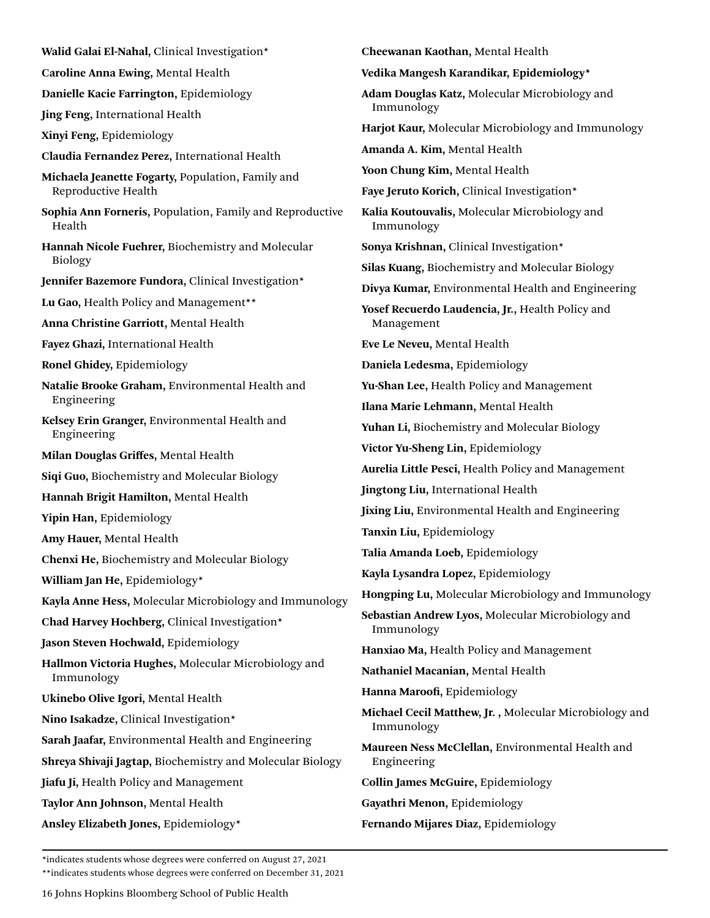**Walid Galai El-Nahal,** Clinical Investigation\*

**Caroline Anna Ewing,** Mental Health

**Danielle Kacie Farrington,** Epidemiology

**Jing Feng,** International Health

**Xinyi Feng,** Epidemiology

**Claudia Fernandez Perez,** International Health

**Michaela Jeanette Fogarty,** Population, Family and Reproductive Health

**Sophia Ann Forneris,** Population, Family and Reproductive Health

**Hannah Nicole Fuehrer,** Biochemistry and Molecular Biology

**Jennifer Bazemore Fundora,** Clinical Investigation\*

**Lu Gao,** Health Policy and Management\*\*

**Anna Christine Garriott,** Mental Health

**Fayez Ghazi,** International Health

**Ronel Ghidey,** Epidemiology

**Natalie Brooke Graham,** Environmental Health and Engineering

**Kelsey Erin Granger,** Environmental Health and Engineering

**Milan Douglas Griffes,** Mental Health

**Siqi Guo,** Biochemistry and Molecular Biology

**Hannah Brigit Hamilton,** Mental Health

**Yipin Han,** Epidemiology

**Amy Hauer,** Mental Health

**Chenxi He,** Biochemistry and Molecular Biology

**William Jan He,** Epidemiology\*

**Kayla Anne Hess,** Molecular Microbiology and Immunology

**Chad Harvey Hochberg,** Clinical Investigation\*

**Jason Steven Hochwald,** Epidemiology

**Hallmon Victoria Hughes,** Molecular Microbiology and Immunology

**Ukinebo Olive Igori,** Mental Health

**Nino Isakadze,** Clinical Investigation\*

**Sarah Jaafar,** Environmental Health and Engineering

**Shreya Shivaji Jagtap,** Biochemistry and Molecular Biology

**Jiafu Ji,** Health Policy and Management

**Taylor Ann Johnson,** Mental Health

**Ansley Elizabeth Jones,** Epidemiology\*

**Cheewanan Kaothan,** Mental Health

**Vedika Mangesh Karandikar, Epidemiology\***

**Adam Douglas Katz,** Molecular Microbiology and Immunology

**Harjot Kaur,** Molecular Microbiology and Immunology

**Amanda A. Kim,** Mental Health

**Yoon Chung Kim,** Mental Health

**Faye Jeruto Korich,** Clinical Investigation\*

**Kalia Koutouvalis,** Molecular Microbiology and Immunology

**Sonya Krishnan,** Clinical Investigation\*

**Silas Kuang,** Biochemistry and Molecular Biology

**Divya Kumar,** Environmental Health and Engineering

**Yosef Recuerdo Laudencia, Jr.,** Health Policy and Management

**Eve Le Neveu,** Mental Health

**Daniela Ledesma,** Epidemiology

**Yu-Shan Lee,** Health Policy and Management

**Ilana Marie Lehmann,** Mental Health

**Yuhan Li,** Biochemistry and Molecular Biology

**Victor Yu-Sheng Lin,** Epidemiology

**Aurelia Little Pesci,** Health Policy and Management

**Jingtong Liu,** International Health

**Jixing Liu,** Environmental Health and Engineering

**Tanxin Liu,** Epidemiology

**Talia Amanda Loeb,** Epidemiology

**Kayla Lysandra Lopez,** Epidemiology

**Hongping Lu,** Molecular Microbiology and Immunology

**Sebastian Andrew Lyos,** Molecular Microbiology and Immunology

**Hanxiao Ma,** Health Policy and Management

**Nathaniel Macanian,** Mental Health

**Hanna Maroofi,** Epidemiology

**Michael Cecil Matthew, Jr. ,** Molecular Microbiology and Immunology

**Maureen Ness McClellan,** Environmental Health and Engineering

**Collin James McGuire,** Epidemiology

**Gayathri Menon,** Epidemiology

**Fernando Mijares Diaz,** Epidemiology

\*indicates students whose degrees were conferred on August 27, 2021

\*\*indicates students whose degrees were conferred on December 31, 2021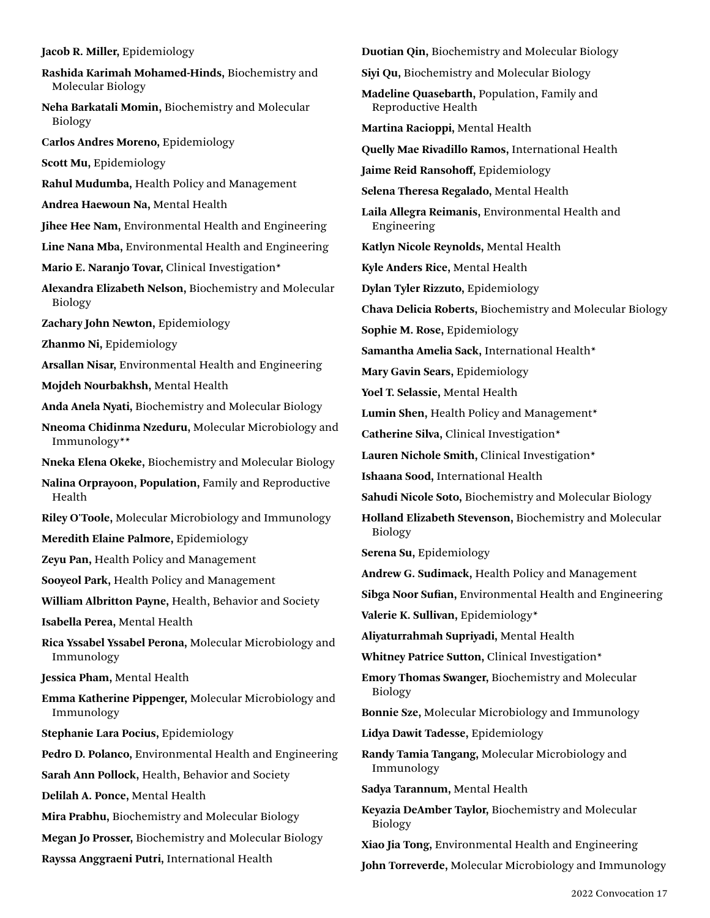#### **Jacob R. Miller,** Epidemiology

- **Rashida Karimah Mohamed-Hinds,** Biochemistry and Molecular Biology
- **Neha Barkatali Momin,** Biochemistry and Molecular Biology
- **Carlos Andres Moreno,** Epidemiology

**Scott Mu,** Epidemiology

- **Rahul Mudumba,** Health Policy and Management
- **Andrea Haewoun Na,** Mental Health
- **Jihee Hee Nam,** Environmental Health and Engineering
- **Line Nana Mba,** Environmental Health and Engineering
- **Mario E. Naranjo Tovar,** Clinical Investigation\*
- **Alexandra Elizabeth Nelson,** Biochemistry and Molecular Biology
- **Zachary John Newton,** Epidemiology
- **Zhanmo Ni,** Epidemiology
- **Arsallan Nisar,** Environmental Health and Engineering
- **Mojdeh Nourbakhsh,** Mental Health
- **Anda Anela Nyati,** Biochemistry and Molecular Biology
- **Nneoma Chidinma Nzeduru,** Molecular Microbiology and Immunology\*\*
- **Nneka Elena Okeke,** Biochemistry and Molecular Biology
- **Nalina Orprayoon, Population,** Family and Reproductive Health
- **Riley O'Toole,** Molecular Microbiology and Immunology
- **Meredith Elaine Palmore,** Epidemiology
- **Zeyu Pan,** Health Policy and Management
- **Sooyeol Park,** Health Policy and Management
- **William Albritton Payne,** Health, Behavior and Society
- **Isabella Perea,** Mental Health
- **Rica Yssabel Yssabel Perona,** Molecular Microbiology and Immunology
- **Jessica Pham,** Mental Health
- **Emma Katherine Pippenger,** Molecular Microbiology and Immunology
- **Stephanie Lara Pocius,** Epidemiology
- **Pedro D. Polanco,** Environmental Health and Engineering
- **Sarah Ann Pollock,** Health, Behavior and Society
- **Delilah A. Ponce,** Mental Health
- **Mira Prabhu,** Biochemistry and Molecular Biology
- **Megan Jo Prosser,** Biochemistry and Molecular Biology
- **Rayssa Anggraeni Putri,** International Health
- **Duotian Qin,** Biochemistry and Molecular Biology
- **Siyi Qu,** Biochemistry and Molecular Biology
- **Madeline Quasebarth,** Population, Family and Reproductive Health
- **Martina Racioppi,** Mental Health
- **Quelly Mae Rivadillo Ramos,** International Health
- **Jaime Reid Ransohoff,** Epidemiology
- **Selena Theresa Regalado,** Mental Health
- **Laila Allegra Reimanis,** Environmental Health and Engineering
- **Katlyn Nicole Reynolds,** Mental Health
- **Kyle Anders Rice,** Mental Health
- **Dylan Tyler Rizzuto,** Epidemiology
- **Chava Delicia Roberts,** Biochemistry and Molecular Biology
- **Sophie M. Rose,** Epidemiology
- **Samantha Amelia Sack,** International Health\*
- **Mary Gavin Sears,** Epidemiology
- **Yoel T. Selassie,** Mental Health
- **Lumin Shen,** Health Policy and Management\*
- **Catherine Silva,** Clinical Investigation\*
- **Lauren Nichole Smith,** Clinical Investigation\*
- **Ishaana Sood,** International Health
- **Sahudi Nicole Soto,** Biochemistry and Molecular Biology
- **Holland Elizabeth Stevenson,** Biochemistry and Molecular Biology
- **Serena Su,** Epidemiology
- **Andrew G. Sudimack,** Health Policy and Management
- **Sibga Noor Sufian,** Environmental Health and Engineering
- **Valerie K. Sullivan,** Epidemiology\*
- **Aliyaturrahmah Supriyadi,** Mental Health
- **Whitney Patrice Sutton,** Clinical Investigation\*
- **Emory Thomas Swanger,** Biochemistry and Molecular Biology
- **Bonnie Sze,** Molecular Microbiology and Immunology
- **Lidya Dawit Tadesse,** Epidemiology
- **Randy Tamia Tangang,** Molecular Microbiology and Immunology
- **Sadya Tarannum,** Mental Health
- **Keyazia DeAmber Taylor,** Biochemistry and Molecular Biology
- **Xiao Jia Tong,** Environmental Health and Engineering
- **John Torreverde,** Molecular Microbiology and Immunology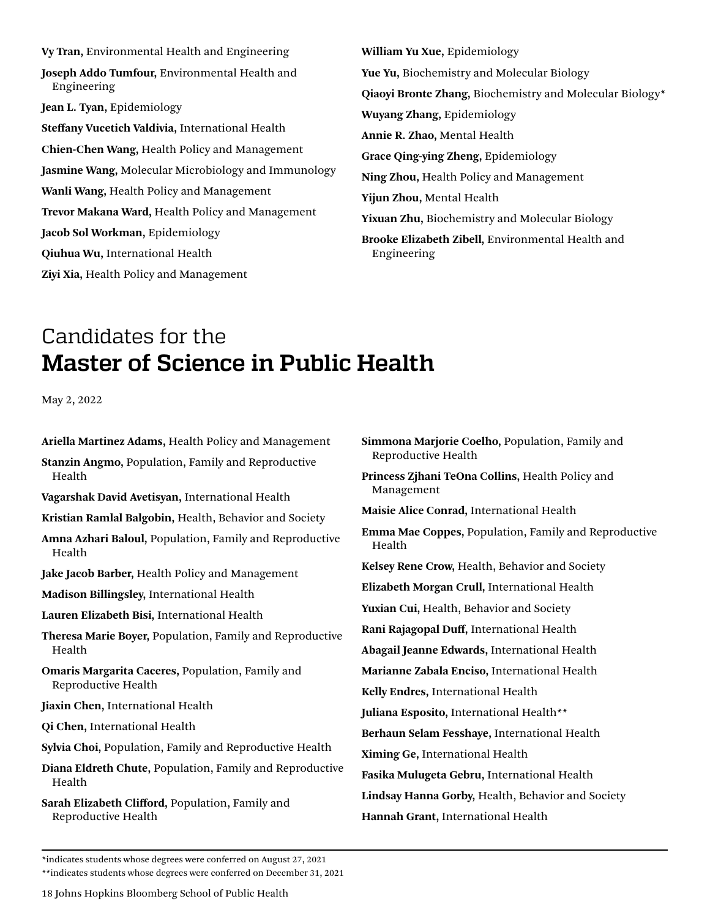<span id="page-17-0"></span>**Vy Tran,** Environmental Health and Engineering **Joseph Addo Tumfour,** Environmental Health and Engineering **Jean L. Tyan,** Epidemiology **Steffany Vucetich Valdivia,** International Health **Chien-Chen Wang,** Health Policy and Management **Jasmine Wang,** Molecular Microbiology and Immunology **Wanli Wang,** Health Policy and Management **Trevor Makana Ward,** Health Policy and Management **Jacob Sol Workman,** Epidemiology **Qiuhua Wu,** International Health **Ziyi Xia,** Health Policy and Management

**William Yu Xue,** Epidemiology **Yue Yu,** Biochemistry and Molecular Biology **Qiaoyi Bronte Zhang,** Biochemistry and Molecular Biology\* **Wuyang Zhang,** Epidemiology **Annie R. Zhao,** Mental Health **Grace Qing-ying Zheng,** Epidemiology **Ning Zhou,** Health Policy and Management **Yijun Zhou,** Mental Health **Yixuan Zhu,** Biochemistry and Molecular Biology **Brooke Elizabeth Zibell,** Environmental Health and Engineering

# Candidates for the **Master of Science in Public Health**

May 2, 2022

| Ariella Martinez Adams, Health Policy and Management<br>Stanzin Angmo, Population, Family and Reproductive | Simmona Marjorie Coelho, Population, Family and<br>Reproductive Health |
|------------------------------------------------------------------------------------------------------------|------------------------------------------------------------------------|
| Health                                                                                                     | Princess Zjhani TeOna Collins, Health Policy and<br>Management         |
| Vagarshak David Avetisyan, International Health<br>Kristian Ramlal Balgobin, Health, Behavior and Society  | Maisie Alice Conrad, International Health                              |
| Amna Azhari Baloul, Population, Family and Reproductive<br>Health                                          | <b>Emma Mae Coppes, Population, Family and Reprod</b><br>Health        |
| Jake Jacob Barber, Health Policy and Management                                                            | Kelsey Rene Crow, Health, Behavior and Society                         |
| Madison Billingsley, International Health                                                                  | Elizabeth Morgan Crull, International Health                           |
| Lauren Elizabeth Bisi, International Health                                                                | Yuxian Cui, Health, Behavior and Society                               |
| Theresa Marie Boyer, Population, Family and Reproductive                                                   | Rani Rajagopal Duff, International Health                              |
| Health                                                                                                     | Abagail Jeanne Edwards, International Health                           |
| Omaris Margarita Caceres, Population, Family and                                                           | Marianne Zabala Enciso, International Health                           |
| Reproductive Health                                                                                        | Kelly Endres, International Health                                     |
| Jiaxin Chen, International Health                                                                          | Juliana Esposito, International Health**                               |
| Qi Chen, International Health                                                                              | Berhaun Selam Fesshaye, International Health                           |
| Sylvia Choi, Population, Family and Reproductive Health                                                    | Ximing Ge, International Health                                        |
| Diana Eldreth Chute, Population, Family and Reproductive<br>Health                                         | Fasika Mulugeta Gebru, International Health                            |
| Sarah Elizabeth Clifford, Population, Family and                                                           | Lindsay Hanna Gorby, Health, Behavior and Society                      |
| Reproductive Health                                                                                        | Hannah Grant, International Health                                     |
|                                                                                                            |                                                                        |

**Collins, Health Policy and Maisie Alice Conrad,** International Health **Emma Mae Coppes,** Population, Family and Reproductive th, Behavior and Society **Elizabeth Morgan Crull,** International Health **Xavior and Society** ternational Health **Abagail Jeanne Edwards,** International Health **Marianne Zabala Enciso,** International Health **Kelly** Health **Juliana Esponi**nt Atta **e**, International Health al **Health Fasika Mulugeta Gebru,** International Health Health, Behavior and Society tional Health

\*indicates students whose degrees were conferred on August 27, 2021

\*\*indicates students whose degrees were conferred on December 31, 2021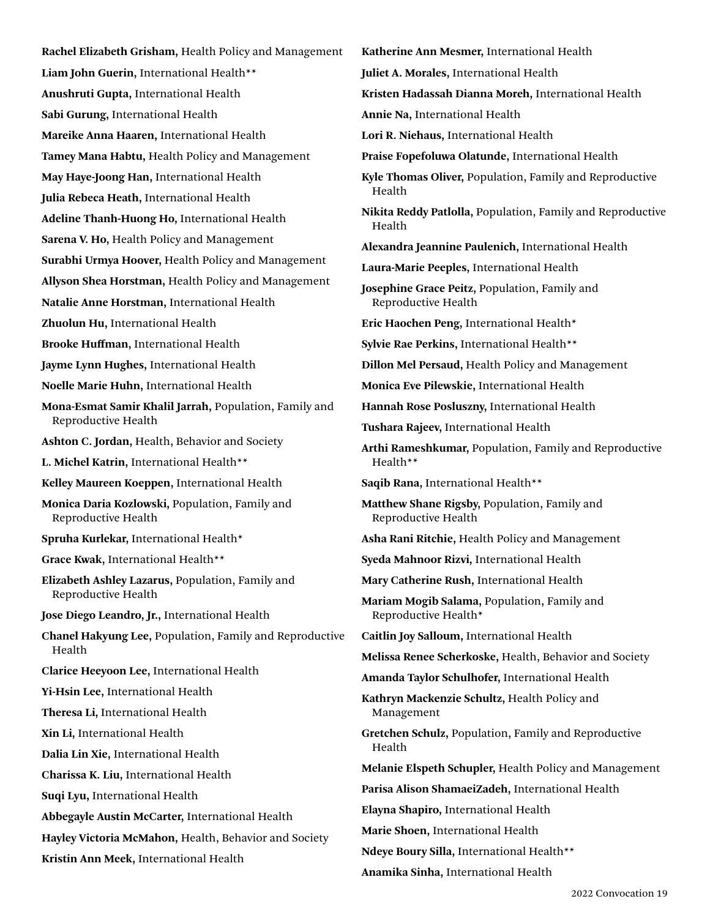**Rachel Elizabeth Grisham,** Health Policy and Management **Liam John Guerin,** International Health\*\* **Anushruti Gupta,** International Health **Sabi Gurung,** International Health **Mareike Anna Haaren,** International Health **Tamey Mana Habtu,** Health Policy and Management **May Haye-Joong Han,** International Health **Julia Rebeca Heath,** International Health **Adeline Thanh-Huong Ho,** International Health **Sarena V. Ho,** Health Policy and Management **Surabhi Urmya Hoover,** Health Policy and Management **Allyson Shea Horstman,** Health Policy and Management **Natalie Anne Horstman,** International Health **Zhuolun Hu,** International Health **Brooke Huffman,** International Health **Jayme Lynn Hughes,** International Health **Noelle Marie Huhn,** International Health **Mona-Esmat Samir Khalil Jarrah,** Population, Family and Reproductive Health **Ashton C. Jordan,** Health, Behavior and Society **L. Michel Katrin,** International Health\*\* **Kelley Maureen Koeppen,** International Health **Monica Daria Kozlowski,** Population, Family and Reproductive Health **Spruha Kurlekar,** International Health\* **Grace Kwak,** International Health\*\* **Elizabeth Ashley Lazarus,** Population, Family and Reproductive Health **Jose Diego Leandro, Jr.,** International Health **Chanel Hakyung Lee,** Population, Family and Reproductive Health **Clarice Heeyoon Lee,** International Health **Yi-Hsin Lee,** International Health **Theresa Li,** International Health **Xin Li,** International Health **Dalia Lin Xie,** International Health **Charissa K. Liu,** International Health **Suqi Lyu,** International Health **Abbegayle Austin McCarter,** International Health **Hayley Victoria McMahon,** Health, Behavior and Society **Kristin Ann Meek,** International Health

**Katherine Ann Mesmer,** International Health **Juliet A. Morales,** International Health **Kristen Hadassah Dianna Moreh,** International Health **Annie Na,** International Health **Lori R. Niehaus,** International Health **Praise Fopefoluwa Olatunde,** International Health **Kyle Thomas Oliver,** Population, Family and Reproductive Health **Nikita Reddy Patlolla,** Population, Family and Reproductive Health **Alexandra Jeannine Paulenich,** International Health **Laura-Marie Peeples,** International Health **Josephine Grace Peitz,** Population, Family and Reproductive Health **Eric Haochen Peng,** International Health\* **Sylvie Rae Perkins,** International Health\*\* **Dillon Mel Persaud,** Health Policy and Management **Monica Eve Pilewskie,** International Health **Hannah Rose Posluszny,** International Health **Tushara Rajeev,** International Health **Arthi Rameshkumar,** Population, Family and Reproductive Health\*\* **Saqib Rana,** International Health\*\* **Matthew Shane Rigsby,** Population, Family and Reproductive Health **Asha Rani Ritchie,** Health Policy and Management **Syeda Mahnoor Rizvi,** International Health **Mary Catherine Rush,** International Health **Mariam Mogib Salama,** Population, Family and Reproductive Health\* **Caitlin Joy Salloum,** International Health **Melissa Renee Scherkoske,** Health, Behavior and Society **Amanda Taylor Schulhofer,** International Health **Kathryn Mackenzie Schultz,** Health Policy and Management **Gretchen Schulz,** Population, Family and Reproductive Health **Melanie Elspeth Schupler,** Health Policy and Management **Parisa Alison ShamaeiZadeh,** International Health **Elayna Shapiro,** International Health **Marie Shoen,** International Health **Ndeye Boury Silla,** International Health\*\* **Anamika Sinha,** International Health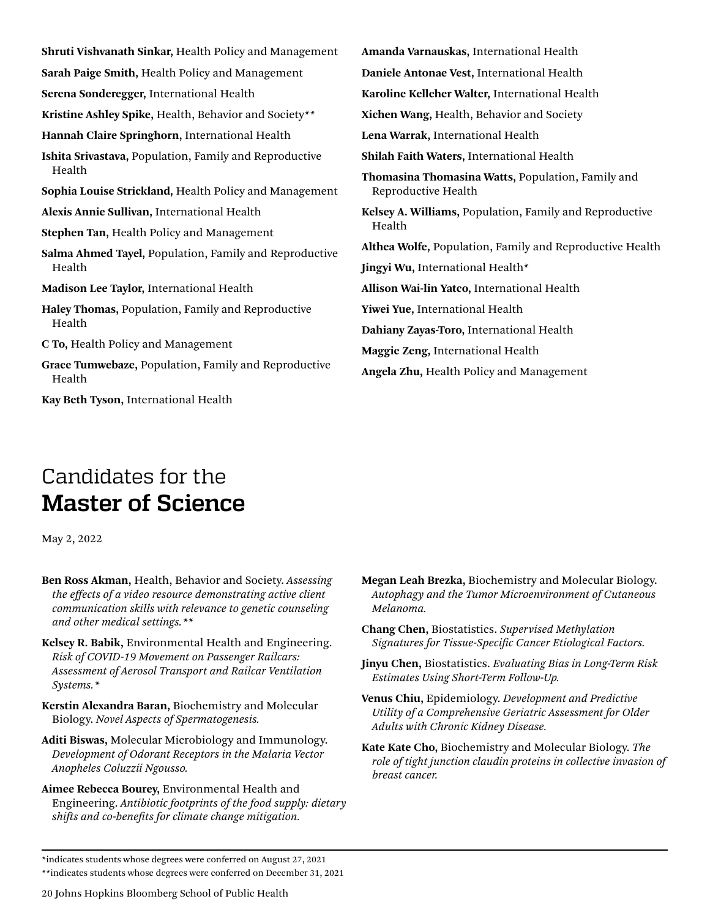<span id="page-19-0"></span>**Shruti Vishvanath Sinkar,** Health Policy and Management **Sarah Paige Smith,** Health Policy and Management **Serena Sonderegger,** International Health **Kristine Ashley Spike,** Health, Behavior and Society\*\* **Hannah Claire Springhorn,** International Health **Ishita Srivastava,** Population, Family and Reproductive Health **Sophia Louise Strickland,** Health Policy and Management **Alexis Annie Sullivan,** International Health **Stephen Tan,** Health Policy and Management **Salma Ahmed Tayel,** Population, Family and Reproductive Health **Madison Lee Taylor,** International Health **Haley Thomas,** Population, Family and Reproductive Health **C To,** Health Policy and Management **Grace Tumwebaze,** Population, Family and Reproductive Health Health **Angela Zhu,** Health Policy and Management

**Kay Beth Tyson,** International Health

**Amanda Varnauskas,** International Health **Daniele Antonae Vest,** International Health **Karoline Kelleher Walter,** International Health **Xichen Wang,** Health, Behavior and Society **Lena Warrak,** International Health **Shilah Faith Waters,** International Health **Thomasina Thomasina Watts,** Population, Family and Reproductive Health **Kelsey A. Williams,** Population, Family and Reproductive **Althea Wolfe,** Population, Family and Reproductive Health **Jingyi Wu,** International Health\* **Allison Wai-lin Yatco,** International Health **Yiwei Yue,** International Health **Dahiany Zayas-Toro,** International Health **Maggie Zeng,** International Health

# Candidates for the **Master of Science**

May 2, 2022

- **Ben Ross Akman,** Health, Behavior and Society. *Assessing the effects of a video resource demonstrating active client communication skills with relevance to genetic counseling and other medical settings.\*\**
- **Kelsey R. Babik,** Environmental Health and Engineering. *Risk of COVID-19 Movement on Passenger Railcars: Assessment of Aerosol Transport and Railcar Ventilation Systems.\**
- **Kerstin Alexandra Baran,** Biochemistry and Molecular Biology. *Novel Aspects of Spermatogenesis.*
- **Aditi Biswas,** Molecular Microbiology and Immunology. *Development of Odorant Receptors in the Malaria Vector Anopheles Coluzzii Ngousso.*
- **Aimee Rebecca Bourey,** Environmental Health and Engineering. *Antibiotic footprints of the food supply: dietary shifts and co-benefits for climate change mitigation.*
- **Megan Leah Brezka,** Biochemistry and Molecular Biology. *Autophagy and the Tumor Microenvironment of Cutaneous Melanoma.*
- **Chang Chen,** Biostatistics. *Supervised Methylation Signatures for Tissue-Specific Cancer Etiological Factors.*
- **Jinyu Chen,** Biostatistics. *Evaluating Bias in Long-Term Risk Estimates Using Short-Term Follow-Up.*
- **Venus Chiu,** Epidemiology. *Development and Predictive Utility of a Comprehensive Geriatric Assessment for Older Adults with Chronic Kidney Disease.*
- **Kate Kate Cho,** Biochemistry and Molecular Biology. *The role of tight junction claudin proteins in collective invasion of breast cancer.*

<sup>\*</sup>indicates students whose degrees were conferred on August 27, 2021 \*\*indicates students whose degrees were conferred on December 31, 2021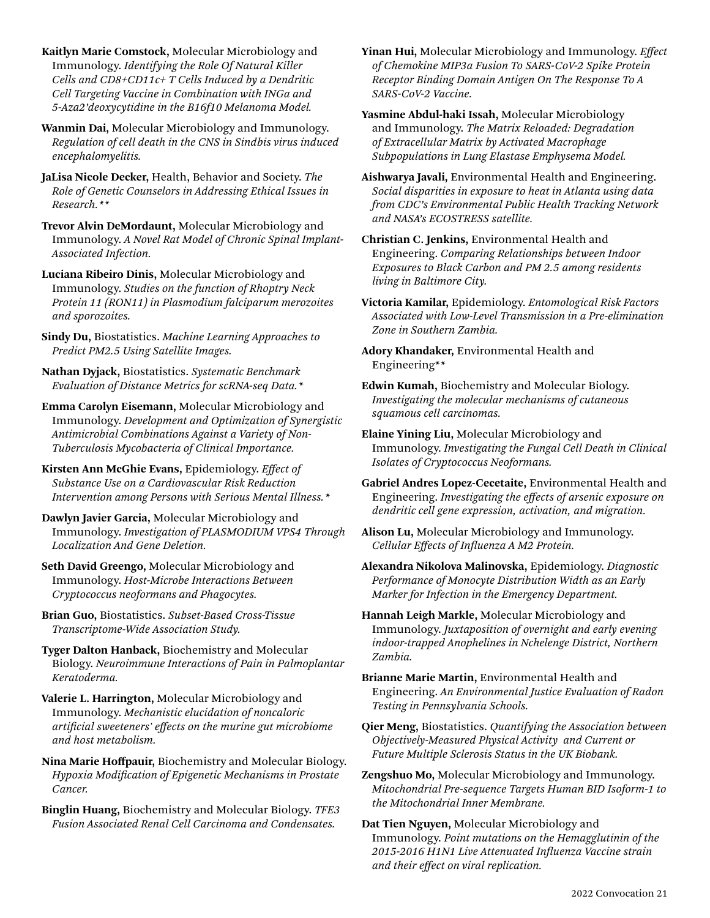**Kaitlyn Marie Comstock,** Molecular Microbiology and Immunology. *Identifying the Role Of Natural Killer Cells and CD8+CD11c+ T Cells Induced by a Dendritic Cell Targeting Vaccine in Combination with INGa and 5-Aza2'deoxycytidine in the B16f10 Melanoma Model.*

**Wanmin Dai,** Molecular Microbiology and Immunology. *Regulation of cell death in the CNS in Sindbis virus induced encephalomyelitis.*

**JaLisa Nicole Decker,** Health, Behavior and Society. *The Role of Genetic Counselors in Addressing Ethical Issues in Research.\*\**

**Trevor Alvin DeMordaunt,** Molecular Microbiology and Immunology. *A Novel Rat Model of Chronic Spinal Implant-Associated Infection.*

**Luciana Ribeiro Dinis,** Molecular Microbiology and Immunology. *Studies on the function of Rhoptry Neck Protein 11 (RON11) in Plasmodium falciparum merozoites and sporozoites.*

**Sindy Du,** Biostatistics. *Machine Learning Approaches to Predict PM2.5 Using Satellite Images.*

**Nathan Dyjack,** Biostatistics. *Systematic Benchmark Evaluation of Distance Metrics for scRNA-seq Data.\**

**Emma Carolyn Eisemann,** Molecular Microbiology and Immunology. *Development and Optimization of Synergistic Antimicrobial Combinations Against a Variety of Non-Tuberculosis Mycobacteria of Clinical Importance.*

**Kirsten Ann McGhie Evans,** Epidemiology. *Effect of Substance Use on a Cardiovascular Risk Reduction Intervention among Persons with Serious Mental Illness.\**

**Dawlyn Javier Garcia,** Molecular Microbiology and Immunology. *Investigation of PLASMODIUM VPS4 Through Localization And Gene Deletion.*

**Seth David Greengo,** Molecular Microbiology and Immunology. *Host-Microbe Interactions Between Cryptococcus neoformans and Phagocytes.*

**Brian Guo,** Biostatistics. *Subset-Based Cross-Tissue Transcriptome-Wide Association Study.*

**Tyger Dalton Hanback,** Biochemistry and Molecular Biology. *Neuroimmune Interactions of Pain in Palmoplantar Keratoderma.* 

**Valerie L. Harrington,** Molecular Microbiology and Immunology. *Mechanistic elucidation of noncaloric artificial sweeteners' effects on the murine gut microbiome and host metabolism.*

**Nina Marie Hoffpauir,** Biochemistry and Molecular Biology. *Hypoxia Modification of Epigenetic Mechanisms in Prostate Cancer.*

**Binglin Huang,** Biochemistry and Molecular Biology. *TFE3 Fusion Associated Renal Cell Carcinoma and Condensates.*

**Yinan Hui,** Molecular Microbiology and Immunology. *Effect of Chemokine MIP3a Fusion To SARS-CoV-2 Spike Protein Receptor Binding Domain Antigen On The Response To A SARS-CoV-2 Vaccine.*

**Yasmine Abdul-haki Issah,** Molecular Microbiology and Immunology. *The Matrix Reloaded: Degradation of Extracellular Matrix by Activated Macrophage Subpopulations in Lung Elastase Emphysema Model.*

**Aishwarya Javali,** Environmental Health and Engineering. *Social disparities in exposure to heat in Atlanta using data from CDC's Environmental Public Health Tracking Network and NASA's ECOSTRESS satellite.*

**Christian C. Jenkins,** Environmental Health and Engineering. *Comparing Relationships between Indoor Exposures to Black Carbon and PM 2.5 among residents living in Baltimore City.*

**Victoria Kamilar,** Epidemiology. *Entomological Risk Factors Associated with Low-Level Transmission in a Pre-elimination Zone in Southern Zambia.*

**Adory Khandaker,** Environmental Health and Engineering\*\*

**Edwin Kumah,** Biochemistry and Molecular Biology. *Investigating the molecular mechanisms of cutaneous squamous cell carcinomas.*

**Elaine Yining Liu,** Molecular Microbiology and Immunology. *Investigating the Fungal Cell Death in Clinical Isolates of Cryptococcus Neoformans.*

**Gabriel Andres Lopez-Cecetaite,** Environmental Health and Engineering. *Investigating the effects of arsenic exposure on dendritic cell gene expression, activation, and migration.*

**Alison Lu,** Molecular Microbiology and Immunology. *Cellular Effects of Influenza A M2 Protein.*

**Alexandra Nikolova Malinovska,** Epidemiology. *Diagnostic Performance of Monocyte Distribution Width as an Early Marker for Infection in the Emergency Department.*

**Hannah Leigh Markle,** Molecular Microbiology and Immunology. *Juxtaposition of overnight and early evening indoor-trapped Anophelines in Nchelenge District, Northern Zambia.*

**Brianne Marie Martin,** Environmental Health and Engineering. *An Environmental Justice Evaluation of Radon Testing in Pennsylvania Schools.*

**Qier Meng,** Biostatistics. *Quantifying the Association between Objectively-Measured Physical Activity and Current or Future Multiple Sclerosis Status in the UK Biobank.*

**Zengshuo Mo,** Molecular Microbiology and Immunology. *Mitochondrial Pre-sequence Targets Human BID Isoform-1 to the Mitochondrial Inner Membrane.*

**Dat Tien Nguyen,** Molecular Microbiology and Immunology. *Point mutations on the Hemagglutinin of the 2015-2016 H1N1 Live Attenuated Influenza Vaccine strain and their effect on viral replication.*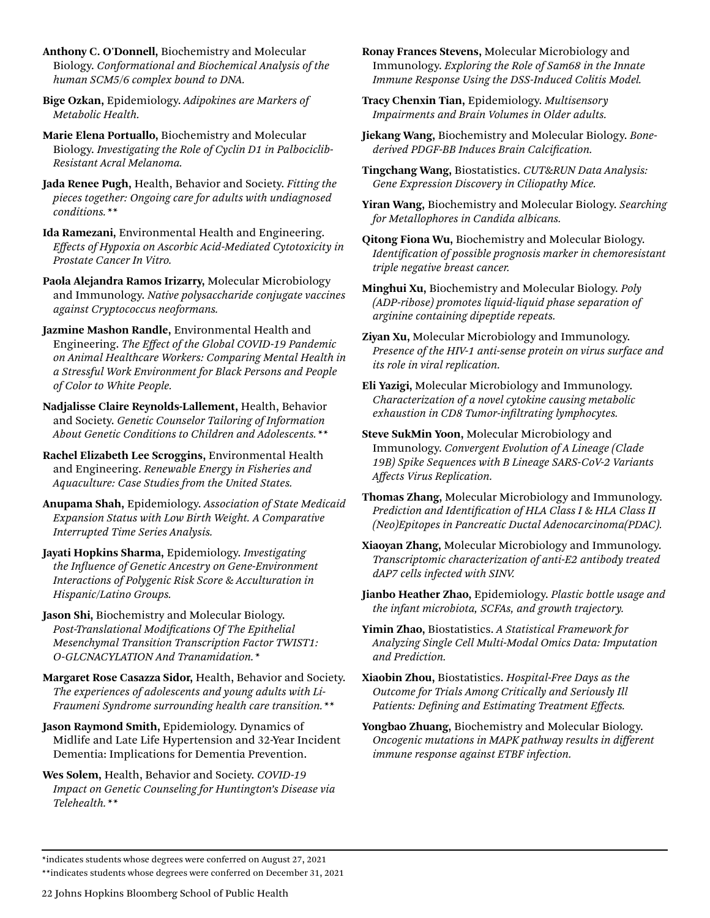- **Anthony C. O'Donnell,** Biochemistry and Molecular Biology. *Conformational and Biochemical Analysis of the human SCM5/6 complex bound to DNA.*
- **Bige Ozkan,** Epidemiology. *Adipokines are Markers of Metabolic Health.*
- **Marie Elena Portuallo,** Biochemistry and Molecular Biology. *Investigating the Role of Cyclin D1 in Palbociclib-Resistant Acral Melanoma.*
- **Jada Renee Pugh,** Health, Behavior and Society. *Fitting the pieces together: Ongoing care for adults with undiagnosed conditions.\*\**
- **Ida Ramezani,** Environmental Health and Engineering. *Effects of Hypoxia on Ascorbic Acid-Mediated Cytotoxicity in Prostate Cancer In Vitro.*
- **Paola Alejandra Ramos Irizarry,** Molecular Microbiology and Immunology. *Native polysaccharide conjugate vaccines against Cryptococcus neoformans.*
- **Jazmine Mashon Randle,** Environmental Health and Engineering. *The Effect of the Global COVID-19 Pandemic on Animal Healthcare Workers: Comparing Mental Health in a Stressful Work Environment for Black Persons and People of Color to White People.*
- **Nadjalisse Claire Reynolds-Lallement,** Health, Behavior and Society. *Genetic Counselor Tailoring of Information About Genetic Conditions to Children and Adolescents.\*\**
- **Rachel Elizabeth Lee Scroggins,** Environmental Health and Engineering. *Renewable Energy in Fisheries and Aquaculture: Case Studies from the United States.*
- **Anupama Shah,** Epidemiology. *Association of State Medicaid Expansion Status with Low Birth Weight. A Comparative Interrupted Time Series Analysis.*
- **Jayati Hopkins Sharma,** Epidemiology. *Investigating the Influence of Genetic Ancestry on Gene-Environment Interactions of Polygenic Risk Score & Acculturation in Hispanic/Latino Groups.*
- **Jason Shi,** Biochemistry and Molecular Biology. *Post-Translational Modifications Of The Epithelial Mesenchymal Transition Transcription Factor TWIST1: O-GLCNACYLATION And Tranamidation.\**
- **Margaret Rose Casazza Sidor,** Health, Behavior and Society. *The experiences of adolescents and young adults with Li-Fraumeni Syndrome surrounding health care transition.\*\**
- **Jason Raymond Smith,** Epidemiology. Dynamics of Midlife and Late Life Hypertension and 32-Year Incident Dementia: Implications for Dementia Prevention.
- **Wes Solem,** Health, Behavior and Society. *COVID-19 Impact on Genetic Counseling for Huntington's Disease via Telehealth.\*\**
- **Ronay Frances Stevens,** Molecular Microbiology and Immunology. *Exploring the Role of Sam68 in the Innate Immune Response Using the DSS-Induced Colitis Model.*
- **Tracy Chenxin Tian,** Epidemiology. *Multisensory Impairments and Brain Volumes in Older adults.*
- **Jiekang Wang,** Biochemistry and Molecular Biology. *Bonederived PDGF-BB Induces Brain Calcification.*
- **Tingchang Wang,** Biostatistics. *CUT&RUN Data Analysis: Gene Expression Discovery in Ciliopathy Mice.*
- **Yiran Wang,** Biochemistry and Molecular Biology. *Searching for Metallophores in Candida albicans.*
- **Qitong Fiona Wu,** Biochemistry and Molecular Biology. *Identification of possible prognosis marker in chemoresistant triple negative breast cancer.*
- **Minghui Xu,** Biochemistry and Molecular Biology. *Poly (ADP-ribose) promotes liquid-liquid phase separation of arginine containing dipeptide repeats.*
- **Ziyan Xu,** Molecular Microbiology and Immunology. *Presence of the HIV-1 anti-sense protein on virus surface and its role in viral replication.*
- **Eli Yazigi,** Molecular Microbiology and Immunology. *Characterization of a novel cytokine causing metabolic exhaustion in CD8 Tumor-infiltrating lymphocytes.*
- **Steve SukMin Yoon,** Molecular Microbiology and Immunology. *Convergent Evolution of A Lineage (Clade 19B) Spike Sequences with B Lineage SARS-CoV-2 Variants Affects Virus Replication.*
- **Thomas Zhang,** Molecular Microbiology and Immunology. *Prediction and Identification of HLA Class I & HLA Class II (Neo)Epitopes in Pancreatic Ductal Adenocarcinoma(PDAC).*
- **Xiaoyan Zhang,** Molecular Microbiology and Immunology. *Transcriptomic characterization of anti-E2 antibody treated dAP7 cells infected with SINV.*
- **Jianbo Heather Zhao,** Epidemiology. *Plastic bottle usage and the infant microbiota, SCFAs, and growth trajectory.*
- **Yimin Zhao,** Biostatistics. *A Statistical Framework for Analyzing Single Cell Multi-Modal Omics Data: Imputation and Prediction.*
- **Xiaobin Zhou,** Biostatistics. *Hospital-Free Days as the Outcome for Trials Among Critically and Seriously Ill Patients: Defining and Estimating Treatment Effects.*
- **Yongbao Zhuang,** Biochemistry and Molecular Biology. *Oncogenic mutations in MAPK pathway results in different immune response against ETBF infection.*

<sup>\*</sup>indicates students whose degrees were conferred on August 27, 2021

<sup>\*\*</sup>indicates students whose degrees were conferred on December 31, 2021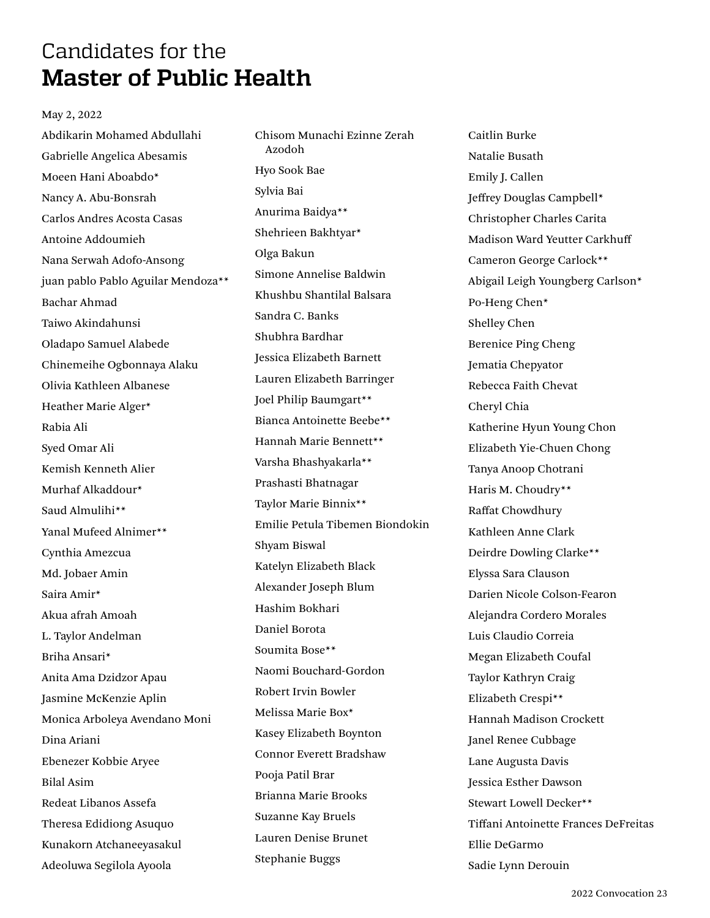### <span id="page-22-0"></span>Candidates for the **Master of Public Health**

### May 2, 2022

Abdikarin Mohamed Abdullahi Gabrielle Angelica Abesamis Moeen Hani Aboabdo\* Nancy A. Abu-Bonsrah Carlos Andres Acosta Casas Antoine Addoumieh Nana Serwah Adofo-Ansong juan pablo Pablo Aguilar Mendoza\*\* Bachar Ahmad Taiwo Akindahunsi Oladapo Samuel Alabede Chinemeihe Ogbonnaya Alaku Olivia Kathleen Albanese Heather Marie Alger\* Rabia Ali Syed Omar Ali Kemish Kenneth Alier Murhaf Alkaddour\* Saud Almulihi\*\* Yanal Mufeed Alnimer\*\* Cynthia Amezcua Md. Jobaer Amin Saira Amir\* Akua afrah Amoah L. Taylor Andelman Briha Ansari\* Anita Ama Dzidzor Apau Jasmine McKenzie Aplin Monica Arboleya Avendano Moni Dina Ariani Ebenezer Kobbie Aryee Bilal Asim Redeat Libanos Assefa Theresa Edidiong Asuquo Kunakorn Atchaneeyasakul Adeoluwa Segilola Ayoola

Chisom Munachi Ezinne Zerah Azodoh Hyo Sook Bae Sylvia Bai Anurima Baidya\*\* Shehrieen Bakhtyar\* Olga Bakun Simone Annelise Baldwin Khushbu Shantilal Balsara Sandra C. Banks Shubhra Bardhar Jessica Elizabeth Barnett Lauren Elizabeth Barringer Joel Philip Baumgart\*\* Bianca Antoinette Beebe\*\* Hannah Marie Bennett\*\* Varsha Bhashyakarla\*\* Prashasti Bhatnagar Taylor Marie Binnix\*\* Emilie Petula Tibemen Biondokin Shyam Biswal Katelyn Elizabeth Black Alexander Joseph Blum Hashim Bokhari Daniel Borota Soumita Bose\*\* Naomi Bouchard-Gordon Robert Irvin Bowler Melissa Marie Box\* Kasey Elizabeth Boynton Connor Everett Bradshaw Pooja Patil Brar Brianna Marie Brooks Suzanne Kay Bruels Lauren Denise Brunet Stephanie Buggs

Caitlin Burke Natalie Busath Emily J. Callen Jeffrey Douglas Campbell\* Christopher Charles Carita Madison Ward Yeutter Carkhuff Cameron George Carlock\*\* Abigail Leigh Youngberg Carlson\* Po-Heng Chen\* Shelley Chen Berenice Ping Cheng Jematia Chepyator Rebecca Faith Chevat Cheryl Chia Katherine Hyun Young Chon Elizabeth Yie-Chuen Chong Tanya Anoop Chotrani Haris M. Choudry\*\* Raffat Chowdhury Kathleen Anne Clark Deirdre Dowling Clarke\*\* Elyssa Sara Clauson Darien Nicole Colson-Fearon Alejandra Cordero Morales Luis Claudio Correia Megan Elizabeth Coufal Taylor Kathryn Craig Elizabeth Crespi\*\* Hannah Madison Crockett Janel Renee Cubbage Lane Augusta Davis Jessica Esther Dawson Stewart Lowell Decker\*\* Tiffani Antoinette Frances DeFreitas Ellie DeGarmo Sadie Lynn Derouin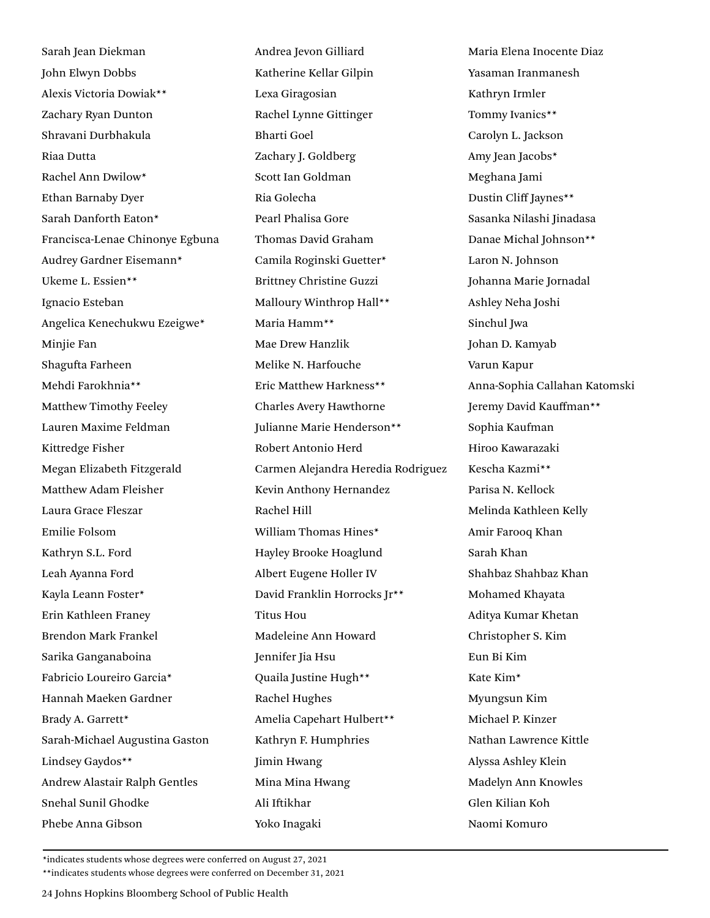Sarah Jean Diekman John Elwyn Dobbs Alexis Victoria Dowiak\*\* Zachary Ryan Dunton Shravani Durbhakula Riaa Dutta Rachel Ann Dwilow\* Ethan Barnaby Dyer Sarah Danforth Eaton\* Francisca-Lenae Chinonye Egbuna Audrey Gardner Eisemann\* Ukeme L. Essien\*\* Ignacio Esteban Angelica Kenechukwu Ezeigwe\* Minjie Fan Shagufta Farheen Mehdi Farokhnia\*\* Matthew Timothy Feeley Lauren Maxime Feldman Kittredge Fisher Megan Elizabeth Fitzgerald Matthew Adam Fleisher Laura Grace Fleszar Emilie Folsom Kathryn S.L. Ford Leah Ayanna Ford Kayla Leann Foster\* Erin Kathleen Franey Brendon Mark Frankel Sarika Ganganaboina Fabricio Loureiro Garcia\* Hannah Maeken Gardner Brady A. Garrett\* Sarah-Michael Augustina Gaston Lindsey Gaydos\*\* Andrew Alastair Ralph Gentles Snehal Sunil Ghodke Phebe Anna Gibson

Andrea Jevon Gilliard Katherine Kellar Gilpin Lexa Giragosian Rachel Lynne Gittinger Bharti Goel Zachary J. Goldberg Scott Ian Goldman Ria Golecha Pearl Phalisa Gore Thomas David Graham Camila Roginski Guetter\* Brittney Christine Guzzi Malloury Winthrop Hall\*\* Maria Hamm\*\* Mae Drew Hanzlik Melike N. Harfouche Eric Matthew Harkness\*\* Charles Avery Hawthorne Julianne Marie Henderson\*\* Robert Antonio Herd Carmen Alejandra Heredia Rodriguez Kevin Anthony Hernandez Rachel Hill William Thomas Hines\* Hayley Brooke Hoaglund Albert Eugene Holler IV David Franklin Horrocks Jr\*\* Titus Hou Madeleine Ann Howard Jennifer Jia Hsu Quaila Justine Hugh\*\* Rachel Hughes Amelia Capehart Hulbert\*\* Kathryn F. Humphries Jimin Hwang Mina Mina Hwang Ali Iftikhar Yoko Inagaki

Maria Elena Inocente Diaz Yasaman Iranmanesh Kathryn Irmler Tommy Ivanics\*\* Carolyn L. Jackson Amy Jean Jacobs\* Meghana Jami Dustin Cliff Jaynes\*\* Sasanka Nilashi Jinadasa Danae Michal Johnson\*\* Laron N. Johnson Johanna Marie Jornadal Ashley Neha Joshi Sinchul Jwa Johan D. Kamyab Varun Kapur Anna-Sophia Callahan Katomski Jeremy David Kauffman\*\* Sophia Kaufman Hiroo Kawarazaki Kescha Kazmi\*\* Parisa N. Kellock Melinda Kathleen Kelly Amir Farooq Khan Sarah Khan Shahbaz Shahbaz Khan Mohamed Khayata Aditya Kumar Khetan Christopher S. Kim Eun Bi Kim Kate Kim\* Myungsun Kim Michael P. Kinzer Nathan Lawrence Kittle Alyssa Ashley Klein Madelyn Ann Knowles Glen Kilian Koh Naomi Komuro

\*indicates students whose degrees were conferred on August 27, 2021

\*\*indicates students whose degrees were conferred on December 31, 2021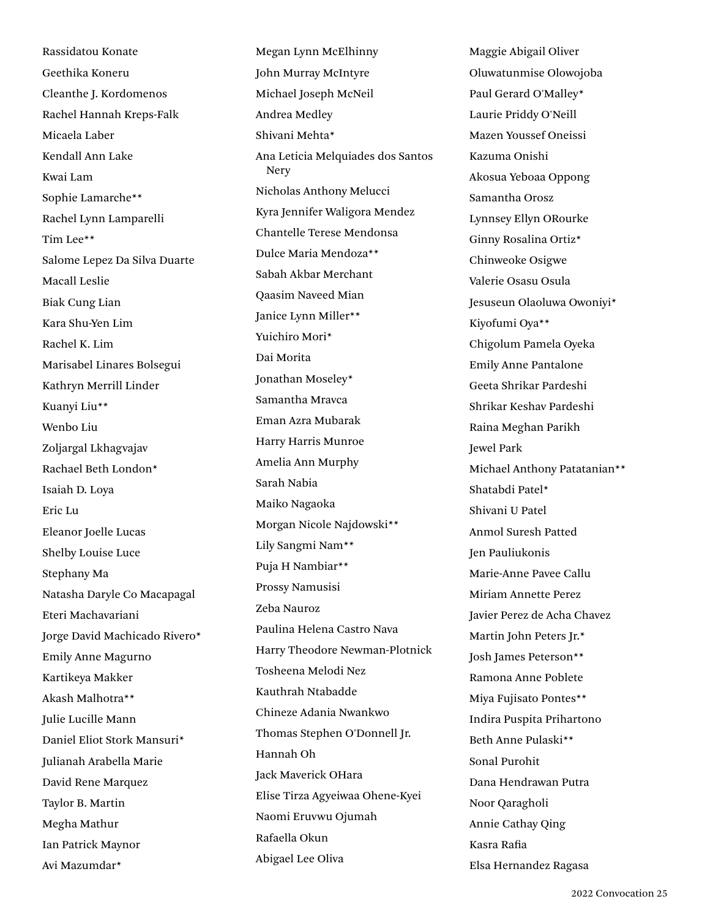Rassidatou Konate Geethika Koneru Cleanthe J. Kordomenos Rachel Hannah Kreps-Falk Micaela Laber Kendall Ann Lake Kwai Lam Sophie Lamarche\*\* Rachel Lynn Lamparelli Tim Lee\*\* Salome Lepez Da Silva Duarte Macall Leslie Biak Cung Lian Kara Shu-Yen Lim Rachel K. Lim Marisabel Linares Bolsegui Kathryn Merrill Linder Kuanyi Liu\*\* Wenbo Liu Zoljargal Lkhagvajav Rachael Beth London\* Isaiah D. Loya Eric Lu Eleanor Joelle Lucas Shelby Louise Luce Stephany Ma Natasha Daryle Co Macapagal Eteri Machavariani Jorge David Machicado Rivero\* Emily Anne Magurno Kartikeya Makker Akash Malhotra\*\* Julie Lucille Mann Daniel Eliot Stork Mansuri\* Julianah Arabella Marie David Rene Marquez Taylor B. Martin Megha Mathur Ian Patrick Maynor Avi Mazumdar\*

Megan Lynn McElhinny John Murray McIntyre Michael Joseph McNeil Andrea Medley Shivani Mehta\* Ana Leticia Melquiades dos Santos Nery Nicholas Anthony Melucci Kyra Jennifer Waligora Mendez Chantelle Terese Mendonsa Dulce Maria Mendoza\*\* Sabah Akbar Merchant Qaasim Naveed Mian Janice Lynn Miller\*\* Yuichiro Mori\* Dai Morita Jonathan Moseley\* Samantha Mravca Eman Azra Mubarak Harry Harris Munroe Amelia Ann Murphy Sarah Nabia Maiko Nagaoka Morgan Nicole Najdowski\*\* Lily Sangmi Nam\*\* Puja H Nambiar\*\* Prossy Namusisi Zeba Nauroz Paulina Helena Castro Nava Harry Theodore Newman-Plotnick Tosheena Melodi Nez Kauthrah Ntabadde Chineze Adania Nwankwo Thomas Stephen O'Donnell Jr. Hannah Oh Jack Maverick OHara Elise Tirza Agyeiwaa Ohene-Kyei Naomi Eruvwu Ojumah Rafaella Okun Abigael Lee Oliva

Maggie Abigail Oliver Oluwatunmise Olowojoba Paul Gerard O'Malley\* Laurie Priddy O'Neill Mazen Youssef Oneissi Kazuma Onishi Akosua Yeboaa Oppong Samantha Orosz Lynnsey Ellyn ORourke Ginny Rosalina Ortiz\* Chinweoke Osigwe Valerie Osasu Osula Jesuseun Olaoluwa Owoniyi\* Kiyofumi Oya\*\* Chigolum Pamela Oyeka Emily Anne Pantalone Geeta Shrikar Pardeshi Shrikar Keshav Pardeshi Raina Meghan Parikh Jewel Park Michael Anthony Patatanian\*\* Shatabdi Patel\* Shivani U Patel Anmol Suresh Patted Jen Pauliukonis Marie-Anne Pavee Callu Miriam Annette Perez Javier Perez de Acha Chavez Martin John Peters Jr.\* Josh James Peterson\*\* Ramona Anne Poblete Miya Fujisato Pontes\*\* Indira Puspita Prihartono Beth Anne Pulaski\*\* Sonal Purohit Dana Hendrawan Putra Noor Qaragholi Annie Cathay Qing Kasra Rafia Elsa Hernandez Ragasa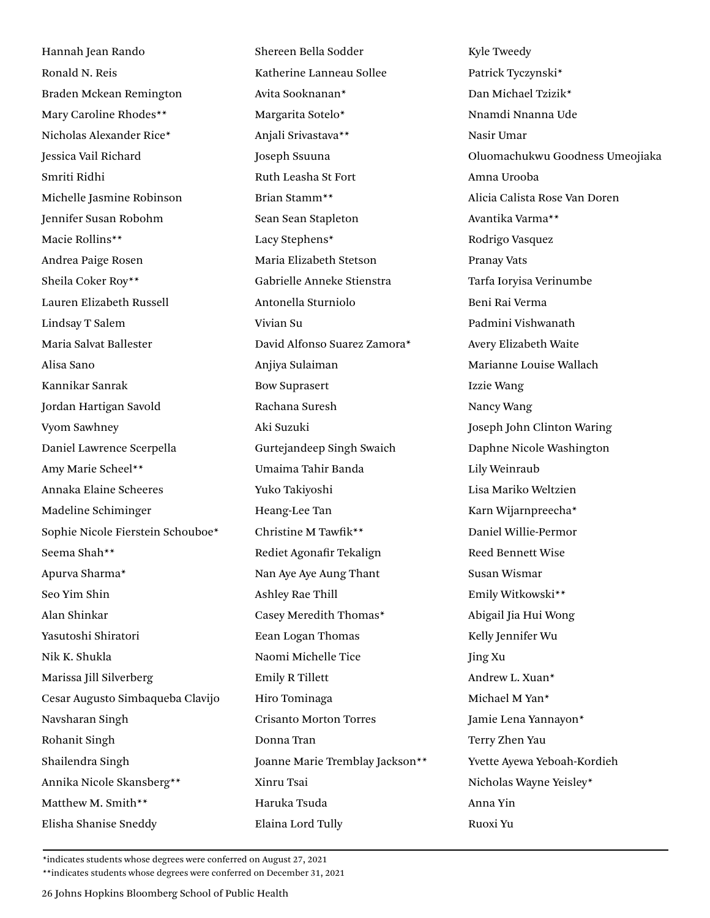Hannah Jean Rando Ronald N. Reis Braden Mckean Remington Mary Caroline Rhodes\*\* Nicholas Alexander Rice\* Jessica Vail Richard Smriti Ridhi Michelle Jasmine Robinson Jennifer Susan Robohm Macie Rollins\*\* Andrea Paige Rosen Sheila Coker Roy\*\* Lauren Elizabeth Russell Lindsay T Salem Maria Salvat Ballester Alisa Sano Kannikar Sanrak Jordan Hartigan Savold Vyom Sawhney Daniel Lawrence Scerpella Amy Marie Scheel\*\* Annaka Elaine Scheeres Madeline Schiminger Sophie Nicole Fierstein Schouboe\* Seema Shah\*\* Apurva Sharma\* Seo Yim Shin Alan Shinkar Yasutoshi Shiratori Nik K. Shukla Marissa Jill Silverberg Cesar Augusto Simbaqueba Clavijo Navsharan Singh Rohanit Singh Shailendra Singh Annika Nicole Skansberg\*\* Matthew M. Smith\*\* Elisha Shanise Sneddy

Shereen Bella Sodder Katherine Lanneau Sollee Avita Sooknanan\* Margarita Sotelo\* Anjali Srivastava\*\* Joseph Ssuuna Ruth Leasha St Fort Brian Stamm\*\* Sean Sean Stapleton Lacy Stephens\* Maria Elizabeth Stetson Gabrielle Anneke Stienstra Antonella Sturniolo Vivian Su David Alfonso Suarez Zamora\* Anjiya Sulaiman Bow Suprasert Rachana Suresh Aki Suzuki Gurtejandeep Singh Swaich Umaima Tahir Banda Yuko Takiyoshi Heang-Lee Tan Christine M Tawfik\*\* Rediet Agonafir Tekalign Nan Aye Aye Aung Thant Ashley Rae Thill Casey Meredith Thomas\* Eean Logan Thomas Naomi Michelle Tice Emily R Tillett Hiro Tominaga Crisanto Morton Torres Donna Tran Joanne Marie Tremblay Jackson\*\* Xinru Tsai Haruka Tsuda Elaina Lord Tully

Kyle Tweedy Patrick Tyczynski\* Dan Michael Tzizik\* Nnamdi Nnanna Ude Nasir Umar Oluomachukwu Goodness Umeojiaka Amna Urooba Alicia Calista Rose Van Doren Avantika Varma\*\* Rodrigo Vasquez Pranay Vats Tarfa Ioryisa Verinumbe Beni Rai Verma Padmini Vishwanath Avery Elizabeth Waite Marianne Louise Wallach Izzie Wang Nancy Wang Joseph John Clinton Waring Daphne Nicole Washington Lily Weinraub Lisa Mariko Weltzien Karn Wijarnpreecha\* Daniel Willie-Permor Reed Bennett Wise Susan Wismar Emily Witkowski\*\* Abigail Jia Hui Wong Kelly Jennifer Wu Jing Xu Andrew L. Xuan\* Michael M Yan\* Jamie Lena Yannayon\* Terry Zhen Yau Yvette Ayewa Yeboah-Kordieh Nicholas Wayne Yeisley\* Anna Yin Ruoxi Yu

\*indicates students whose degrees were conferred on August 27, 2021

\*\*indicates students whose degrees were conferred on December 31, 2021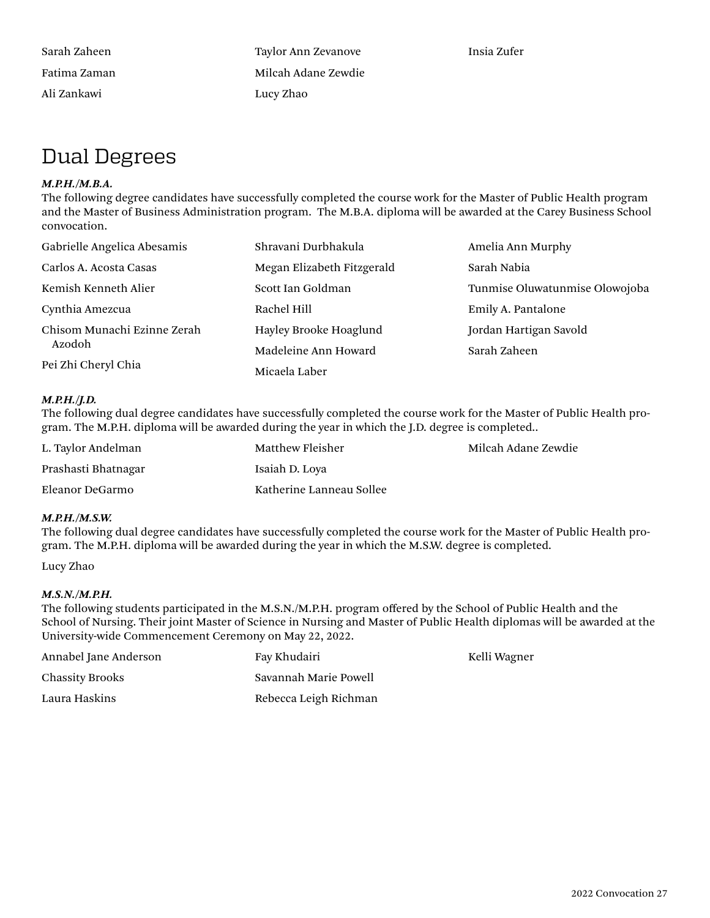Sarah Zaheen Fatima Zaman Ali Zankawi

Taylor Ann Zevanove Milcah Adane Zewdie Lucy Zhao

Insia Zufer

Kelli Wagner

### Dual Degrees

### *M.P.H./M.B.A.*

The following degree candidates have successfully completed the course work for the Master of Public Health program and the Master of Business Administration program. The M.B.A. diploma will be awarded at the Carey Business School convocation.

| Gabrielle Angelica Abesamis | Shravani Durbhakula        | Amelia Ann Murphy              |
|-----------------------------|----------------------------|--------------------------------|
| Carlos A. Acosta Casas      | Megan Elizabeth Fitzgerald | Sarah Nabia                    |
| Kemish Kenneth Alier        | Scott Ian Goldman          | Tunmise Oluwatunmise Olowojoba |
| Cynthia Amezcua             | Rachel Hill                | Emily A. Pantalone             |
| Chisom Munachi Ezinne Zerah | Hayley Brooke Hoaglund     | Jordan Hartigan Savold         |
| Azodoh                      | Madeleine Ann Howard       | Sarah Zaheen                   |
| Pei Zhi Cheryl Chia         | Micaela Laber              |                                |

### *M.P.H./J.D.*

The following dual degree candidates have successfully completed the course work for the Master of Public Health program. The M.P.H. diploma will be awarded during the year in which the J.D. degree is completed..

| L. Taylor Andelman  | Matthew Fleisher         | Milcah Adane Zewdie |
|---------------------|--------------------------|---------------------|
| Prashasti Bhatnagar | Isaiah D. Loya           |                     |
| Eleanor DeGarmo     | Katherine Lanneau Sollee |                     |

### *M.P.H./M.S.W.*

The following dual degree candidates have successfully completed the course work for the Master of Public Health program. The M.P.H. diploma will be awarded during the year in which the M.S.W. degree is completed.

Lucy Zhao

### *M.S.N./M.P.H.*

The following students participated in the M.S.N./M.P.H. program offered by the School of Public Health and the School of Nursing. Their joint Master of Science in Nursing and Master of Public Health diplomas will be awarded at the University-wide Commencement Ceremony on May 22, 2022.

| Annabel Jane Anderson  | Fay Khudairi          |
|------------------------|-----------------------|
| <b>Chassity Brooks</b> | Savannah Marie Powell |
| Laura Haskins          | Rebecca Leigh Richman |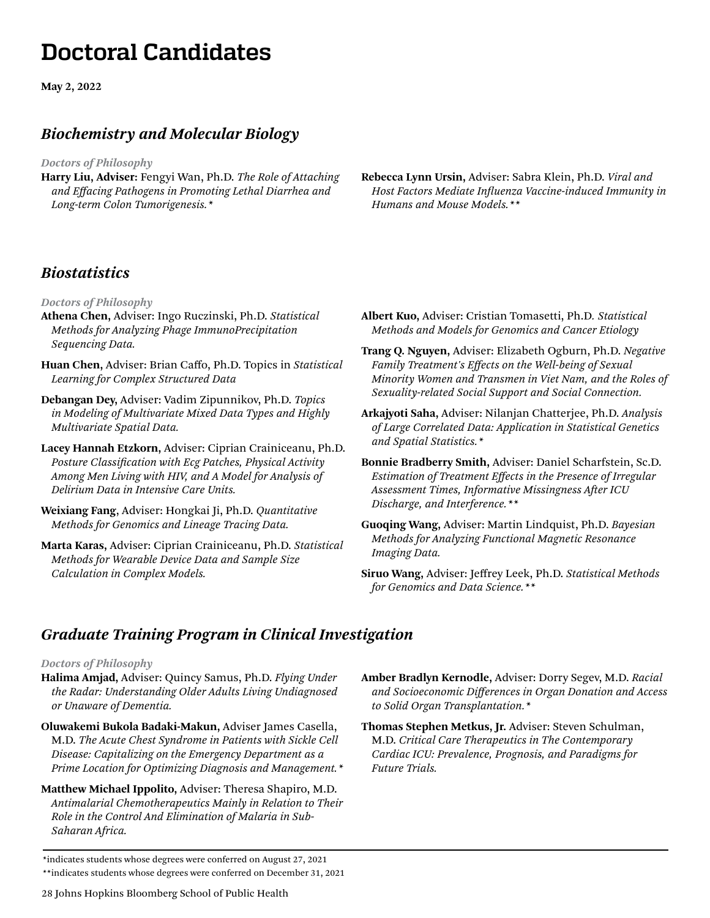# **Doctoral Candidates**

**May 2, 2022**

### *Biochemistry and Molecular Biology*

*Doctors of Philosophy*

- **Harry Liu, Adviser:** Fengyi Wan, Ph.D. *The Role of Attaching and Effacing Pathogens in Promoting Lethal Diarrhea and Long-term Colon Tumorigenesis.\**
- **Rebecca Lynn Ursin,** Adviser: Sabra Klein, Ph.D. *Viral and Host Factors Mediate Influenza Vaccine-induced Immunity in Humans and Mouse Models.\*\**

### *Biostatistics*

*Doctors of Philosophy*

- **Athena Chen,** Adviser: Ingo Ruczinski, Ph.D. *Statistical Methods for Analyzing Phage ImmunoPrecipitation Sequencing Data.*
- **Huan Chen,** Adviser: Brian Caffo, Ph.D. Topics in *Statistical Learning for Complex Structured Data*
- **Debangan Dey,** Adviser: Vadim Zipunnikov, Ph.D. *Topics in Modeling of Multivariate Mixed Data Types and Highly Multivariate Spatial Data.*
- **Lacey Hannah Etzkorn,** Adviser: Ciprian Crainiceanu, Ph.D. *Posture Classification with Ecg Patches, Physical Activity Among Men Living with HIV, and A Model for Analysis of Delirium Data in Intensive Care Units.*
- **Weixiang Fang**, Adviser: Hongkai Ji, Ph.D. *Quantitative Methods for Genomics and Lineage Tracing Data.*
- **Marta Karas,** Adviser: Ciprian Crainiceanu, Ph.D. *Statistical Methods for Wearable Device Data and Sample Size Calculation in Complex Models.*
- **Albert Kuo,** Adviser: Cristian Tomasetti, Ph.D*. Statistical Methods and Models for Genomics and Cancer Etiology*
- **Trang Q. Nguyen,** Adviser: Elizabeth Ogburn, Ph.D. *Negative Family Treatment's Effects on the Well-being of Sexual Minority Women and Transmen in Viet Nam, and the Roles of Sexuality-related Social Support and Social Connection.*
- **Arkajyoti Saha,** Adviser: Nilanjan Chatterjee, Ph.D. *Analysis of Large Correlated Data: Application in Statistical Genetics and Spatial Statistics.\**
- **Bonnie Bradberry Smith,** Adviser: Daniel Scharfstein, Sc.D. *Estimation of Treatment Effects in the Presence of Irregular Assessment Times, Informative Missingness After ICU Discharge, and Interference.\*\**
- **Guoqing Wang,** Adviser: Martin Lindquist, Ph.D. *Bayesian Methods for Analyzing Functional Magnetic Resonance Imaging Data.*
- **Siruo Wang,** Adviser: Jeffrey Leek, Ph.D. *Statistical Methods for Genomics and Data Science.\*\**

### *Graduate Training Program in Clinical Investigation*

### *Doctors of Philosophy*

- **Halima Amjad,** Adviser: Quincy Samus, Ph.D. *Flying Under the Radar: Understanding Older Adults Living Undiagnosed or Unaware of Dementia.*
- **Oluwakemi Bukola Badaki-Makun,** Adviser James Casella, M.D. *The Acute Chest Syndrome in Patients with Sickle Cell Disease: Capitalizing on the Emergency Department as a Prime Location for Optimizing Diagnosis and Management.\**
- **Matthew Michael Ippolito,** Adviser: Theresa Shapiro, M.D. *Antimalarial Chemotherapeutics Mainly in Relation to Their Role in the Control And Elimination of Malaria in Sub-Saharan Africa.*
- **Amber Bradlyn Kernodle,** Adviser: Dorry Segev, M.D. *Racial and Socioeconomic Differences in Organ Donation and Access to Solid Organ Transplantation.\**
- **Thomas Stephen Metkus, Jr.** Adviser: Steven Schulman, M.D. *Critical Care Therapeutics in The Contemporary Cardiac ICU: Prevalence, Prognosis, and Paradigms for Future Trials.*
- \*indicates students whose degrees were conferred on August 27, 2021 \*\*indicates students whose degrees were conferred on December 31, 2021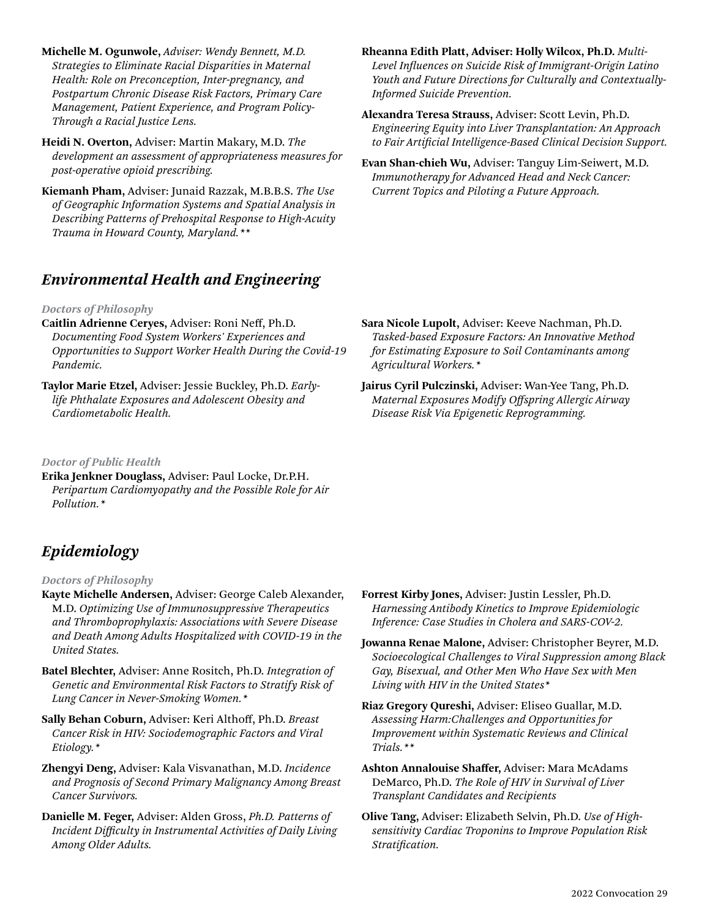**Michelle M. Ogunwole,** *Adviser: Wendy Bennett, M.D. Strategies to Eliminate Racial Disparities in Maternal Health: Role on Preconception, Inter-pregnancy, and Postpartum Chronic Disease Risk Factors, Primary Care Management, Patient Experience, and Program Policy-Through a Racial Justice Lens.*

**Heidi N. Overton,** Adviser: Martin Makary, M.D. *The development an assessment of appropriateness measures for post-operative opioid prescribing.* 

**Kiemanh Pham,** Adviser: Junaid Razzak, M.B.B.S. *The Use of Geographic Information Systems and Spatial Analysis in Describing Patterns of Prehospital Response to High-Acuity Trauma in Howard County, Maryland.\*\**

### *Environmental Health and Engineering*

### *Doctors of Philosophy*

- **Caitlin Adrienne Ceryes,** Adviser: Roni Neff, Ph.D. *Documenting Food System Workers' Experiences and Opportunities to Support Worker Health During the Covid-19 Pandemic.*
- **Taylor Marie Etzel,** Adviser: Jessie Buckley, Ph.D. *Earlylife Phthalate Exposures and Adolescent Obesity and Cardiometabolic Health.*

*Doctor of Public Health*

**Erika Jenkner Douglass,** Adviser: Paul Locke, Dr.P.H. *Peripartum Cardiomyopathy and the Possible Role for Air Pollution.\**

### *Epidemiology*

*Doctors of Philosophy*

- **Kayte Michelle Andersen,** Adviser: George Caleb Alexander, M.D. *Optimizing Use of Immunosuppressive Therapeutics and Thromboprophylaxis: Associations with Severe Disease and Death Among Adults Hospitalized with COVID-19 in the United States.*
- **Batel Blechter,** Adviser: Anne Rositch, Ph.D. *Integration of Genetic and Environmental Risk Factors to Stratify Risk of Lung Cancer in Never-Smoking Women.\**
- **Sally Behan Coburn,** Adviser: Keri Althoff, Ph.D. *Breast Cancer Risk in HIV: Sociodemographic Factors and Viral Etiology.\**
- **Zhengyi Deng,** Adviser: Kala Visvanathan, M.D. *Incidence and Prognosis of Second Primary Malignancy Among Breast Cancer Survivors.*
- **Danielle M. Feger,** Adviser: Alden Gross, *Ph.D. Patterns of Incident Difficulty in Instrumental Activities of Daily Living Among Older Adults.*
- **Rheanna Edith Platt, Adviser: Holly Wilcox, Ph.D.** *Multi-Level Influences on Suicide Risk of Immigrant-Origin Latino Youth and Future Directions for Culturally and Contextually-Informed Suicide Prevention.*
- **Alexandra Teresa Strauss,** Adviser: Scott Levin, Ph.D. *Engineering Equity into Liver Transplantation: An Approach to Fair Artificial Intelligence-Based Clinical Decision Support.*
- **Evan Shan-chieh Wu,** Adviser: Tanguy Lim-Seiwert, M.D. *Immunotherapy for Advanced Head and Neck Cancer: Current Topics and Piloting a Future Approach.*

- **Sara Nicole Lupolt,** Adviser: Keeve Nachman, Ph.D. *Tasked-based Exposure Factors: An Innovative Method for Estimating Exposure to Soil Contaminants among Agricultural Workers.\**
- **Jairus Cyril Pulczinski,** Adviser: Wan-Yee Tang, Ph.D. *Maternal Exposures Modify Offspring Allergic Airway Disease Risk Via Epigenetic Reprogramming.*

- **Forrest Kirby Jones,** Adviser: Justin Lessler, Ph.D. *Harnessing Antibody Kinetics to Improve Epidemiologic Inference: Case Studies in Cholera and SARS-COV-2.*
- **Jowanna Renae Malone,** Adviser: Christopher Beyrer, M.D. *Socioecological Challenges to Viral Suppression among Black Gay, Bisexual, and Other Men Who Have Sex with Men Living with HIV in the United States\**
- **Riaz Gregory Qureshi,** Adviser: Eliseo Guallar, M.D. *Assessing Harm:Challenges and Opportunities for Improvement within Systematic Reviews and Clinical Trials.\*\**
- **Ashton Annalouise Shaffer,** Adviser: Mara McAdams DeMarco, Ph.D. *The Role of HIV in Survival of Liver Transplant Candidates and Recipients*
- **Olive Tang,** Adviser: Elizabeth Selvin, Ph.D. *Use of Highsensitivity Cardiac Troponins to Improve Population Risk Stratification.*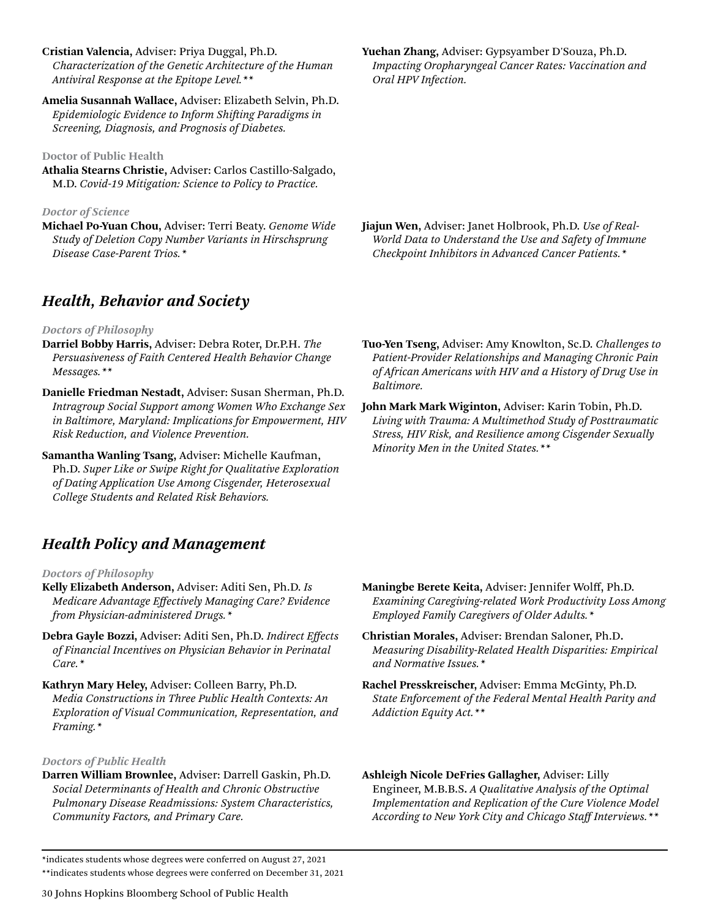**Cristian Valencia,** Adviser: Priya Duggal, Ph.D. *Characterization of the Genetic Architecture of the Human Antiviral Response at the Epitope Level.\*\**

**Amelia Susannah Wallace,** Adviser: Elizabeth Selvin, Ph.D. *Epidemiologic Evidence to Inform Shifting Paradigms in Screening, Diagnosis, and Prognosis of Diabetes.*

### **Doctor of Public Health**

**Athalia Stearns Christie,** Adviser: Carlos Castillo-Salgado, M.D. *Covid-19 Mitigation: Science to Policy to Practice.*

### *Doctor of Science*

**Michael Po-Yuan Chou,** Adviser: Terri Beaty. *Genome Wide Study of Deletion Copy Number Variants in Hirschsprung Disease Case-Parent Trios.\**

### *Health, Behavior and Society*

### *Doctors of Philosophy*

- **Darriel Bobby Harris,** Adviser: Debra Roter, Dr.P.H. *The Persuasiveness of Faith Centered Health Behavior Change Messages.\*\**
- **Danielle Friedman Nestadt,** Adviser: Susan Sherman, Ph.D. *Intragroup Social Support among Women Who Exchange Sex in Baltimore, Maryland: Implications for Empowerment, HIV Risk Reduction, and Violence Prevention.*
- **Samantha Wanling Tsang,** Adviser: Michelle Kaufman, Ph.D. *Super Like or Swipe Right for Qualitative Exploration of Dating Application Use Among Cisgender, Heterosexual College Students and Related Risk Behaviors.*

### *Health Policy and Management*

### *Doctors of Philosophy*

- **Kelly Elizabeth Anderson,** Adviser: Aditi Sen, Ph.D. *Is Medicare Advantage Effectively Managing Care? Evidence from Physician-administered Drugs.\**
- **Debra Gayle Bozzi,** Adviser: Aditi Sen, Ph.D. *Indirect Effects of Financial Incentives on Physician Behavior in Perinatal Care.\**
- **Kathryn Mary Heley,** Adviser: Colleen Barry, Ph.D. *Media Constructions in Three Public Health Contexts: An Exploration of Visual Communication, Representation, and Framing.\**

### *Doctors of Public Health*

**Darren William Brownlee,** Adviser: Darrell Gaskin, Ph.D. *Social Determinants of Health and Chronic Obstructive Pulmonary Disease Readmissions: System Characteristics, Community Factors, and Primary Care.*

**Yuehan Zhang,** Adviser: Gypsyamber D'Souza, Ph.D. *Impacting Oropharyngeal Cancer Rates: Vaccination and Oral HPV Infection.*

- **Jiajun Wen,** Adviser: Janet Holbrook, Ph.D. *Use of Real-World Data to Understand the Use and Safety of Immune Checkpoint Inhibitors in Advanced Cancer Patients.\**
- **Tuo-Yen Tseng,** Adviser: Amy Knowlton, Sc.D. *Challenges to Patient-Provider Relationships and Managing Chronic Pain of African Americans with HIV and a History of Drug Use in Baltimore.*
- **John Mark Mark Wiginton,** Adviser: Karin Tobin, Ph.D. *Living with Trauma: A Multimethod Study of Posttraumatic Stress, HIV Risk, and Resilience among Cisgender Sexually Minority Men in the United States.\*\**

- **Maningbe Berete Keita,** Adviser: Jennifer Wolff, Ph.D. *Examining Caregiving-related Work Productivity Loss Among Employed Family Caregivers of Older Adults.\**
- **Christian Morales,** Adviser: Brendan Saloner, Ph.D**.**  *Measuring Disability-Related Health Disparities: Empirical and Normative Issues.\**
- **Rachel Presskreischer,** Adviser: Emma McGinty, Ph.D. *State Enforcement of the Federal Mental Health Parity and Addiction Equity Act.\*\**

### **Ashleigh Nicole DeFries Gallagher,** Adviser: Lilly Engineer, M.B.B.S**.** *A Qualitative Analysis of the Optimal Implementation and Replication of the Cure Violence Model According to New York City and Chicago Staff Interviews.\*\**

\*indicates students whose degrees were conferred on August 27, 2021

\*\*indicates students whose degrees were conferred on December 31, 2021

30 Johns Hopkins Bloomberg School of Public Health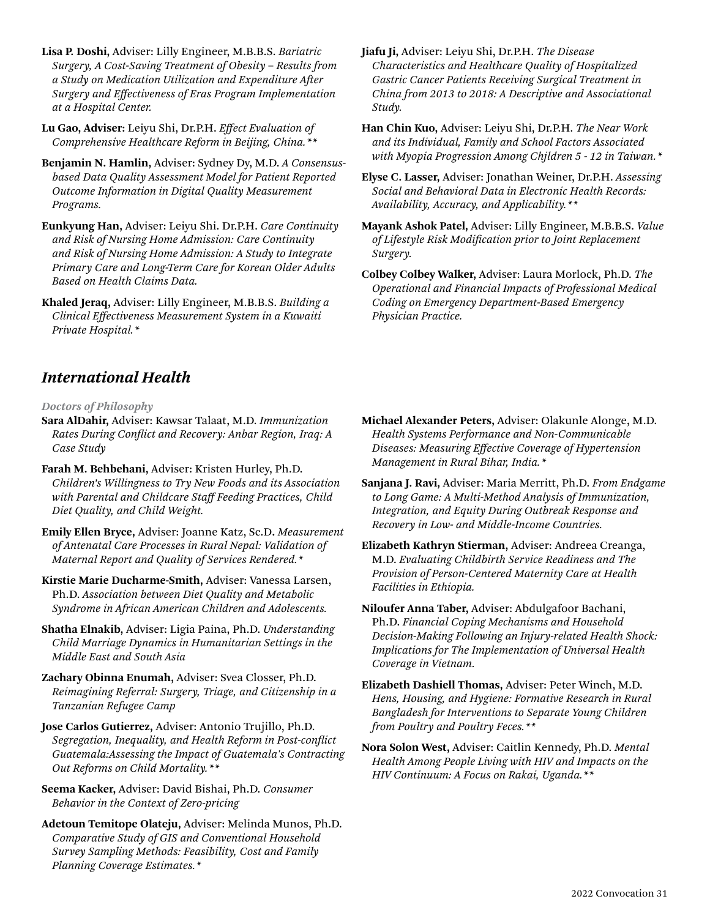**Lisa P. Doshi,** Adviser: Lilly Engineer, M.B.B.S. *Bariatric Surgery, A Cost-Saving Treatment of Obesity – Results from a Study on Medication Utilization and Expenditure After Surgery and Effectiveness of Eras Program Implementation at a Hospital Center.*

**Lu Gao, Adviser:** Leiyu Shi, Dr.P.H. *Effect Evaluation of Comprehensive Healthcare Reform in Beijing, China.\*\**

- **Benjamin N. Hamlin,** Adviser: Sydney Dy, M.D. *A Consensusbased Data Quality Assessment Model for Patient Reported Outcome Information in Digital Quality Measurement Programs.*
- **Eunkyung Han,** Adviser: Leiyu Shi. Dr.P.H. *Care Continuity and Risk of Nursing Home Admission: Care Continuity and Risk of Nursing Home Admission: A Study to Integrate Primary Care and Long-Term Care for Korean Older Adults Based on Health Claims Data.*
- **Khaled Jeraq,** Adviser: Lilly Engineer, M.B.B.S. *Building a Clinical Effectiveness Measurement System in a Kuwaiti Private Hospital.\**
- **Jiafu Ji,** Adviser: Leiyu Shi, Dr.P.H. *The Disease Characteristics and Healthcare Quality of Hospitalized Gastric Cancer Patients Receiving Surgical Treatment in China from 2013 to 2018: A Descriptive and Associational Study.*
- **Han Chin Kuo,** Adviser: Leiyu Shi, Dr.P.H. *The Near Work and its Individual, Family and School Factors Associated with Myopia Progression Among Chjldren 5 - 12 in Taiwan.\**
- **Elyse C. Lasser,** Adviser: Jonathan Weiner, Dr.P.H. *Assessing Social and Behavioral Data in Electronic Health Records: Availability, Accuracy, and Applicability.\*\**
- **Mayank Ashok Patel,** Adviser: Lilly Engineer, M.B.B.S. *Value of Lifestyle Risk Modification prior to Joint Replacement Surgery.*
- **Colbey Colbey Walker,** Adviser: Laura Morlock, Ph.D. *The Operational and Financial Impacts of Professional Medical Coding on Emergency Department-Based Emergency Physician Practice.*

### *International Health*

*Doctors of Philosophy*

- **Sara AlDahir,** Adviser: Kawsar Talaat, M.D. *Immunization Rates During Conflict and Recovery: Anbar Region, Iraq: A Case Study*
- **Farah M. Behbehani,** Adviser: Kristen Hurley, Ph.D. *Children's Willingness to Try New Foods and its Association with Parental and Childcare Staff Feeding Practices, Child Diet Quality, and Child Weight.*
- **Emily Ellen Bryce,** Adviser: Joanne Katz, Sc.D**.** *Measurement of Antenatal Care Processes in Rural Nepal: Validation of Maternal Report and Quality of Services Rendered.\**
- **Kirstie Marie Ducharme-Smith,** Adviser: Vanessa Larsen, Ph.D. *Association between Diet Quality and Metabolic Syndrome in African American Children and Adolescents.*
- **Shatha Elnakib,** Adviser: Ligia Paina, Ph.D. *Understanding Child Marriage Dynamics in Humanitarian Settings in the Middle East and South Asia*
- **Zachary Obinna Enumah,** Adviser: Svea Closser, Ph.D. *Reimagining Referral: Surgery, Triage, and Citizenship in a Tanzanian Refugee Camp*
- **Jose Carlos Gutierrez,** Adviser: Antonio Trujillo, Ph.D. *Segregation, Inequality, and Health Reform in Post-conflict Guatemala:Assessing the Impact of Guatemala's Contracting Out Reforms on Child Mortality.\*\**
- **Seema Kacker,** Adviser: David Bishai, Ph.D. *Consumer Behavior in the Context of Zero-pricing*
- **Adetoun Temitope Olateju,** Adviser: Melinda Munos, Ph.D. *Comparative Study of GIS and Conventional Household Survey Sampling Methods: Feasibility, Cost and Family Planning Coverage Estimates.\**
- **Michael Alexander Peters,** Adviser: Olakunle Alonge, M.D. *Health Systems Performance and Non-Communicable Diseases: Measuring Effective Coverage of Hypertension Management in Rural Bihar, India.\**
- **Sanjana J. Ravi,** Adviser: Maria Merritt, Ph.D. *From Endgame to Long Game: A Multi-Method Analysis of Immunization, Integration, and Equity During Outbreak Response and Recovery in Low- and Middle-Income Countries.*
- **Elizabeth Kathryn Stierman,** Adviser: Andreea Creanga, M.D. *Evaluating Childbirth Service Readiness and The Provision of Person-Centered Maternity Care at Health Facilities in Ethiopia.*
- **Niloufer Anna Taber,** Adviser: Abdulgafoor Bachani, Ph.D. *Financial Coping Mechanisms and Household Decision-Making Following an Injury-related Health Shock: Implications for The Implementation of Universal Health Coverage in Vietnam.*
- **Elizabeth Dashiell Thomas,** Adviser: Peter Winch, M.D. *Hens, Housing, and Hygiene: Formative Research in Rural Bangladesh for Interventions to Separate Young Children from Poultry and Poultry Feces.\*\**
- **Nora Solon West,** Adviser: Caitlin Kennedy, Ph.D. *Mental Health Among People Living with HIV and Impacts on the HIV Continuum: A Focus on Rakai, Uganda.\*\**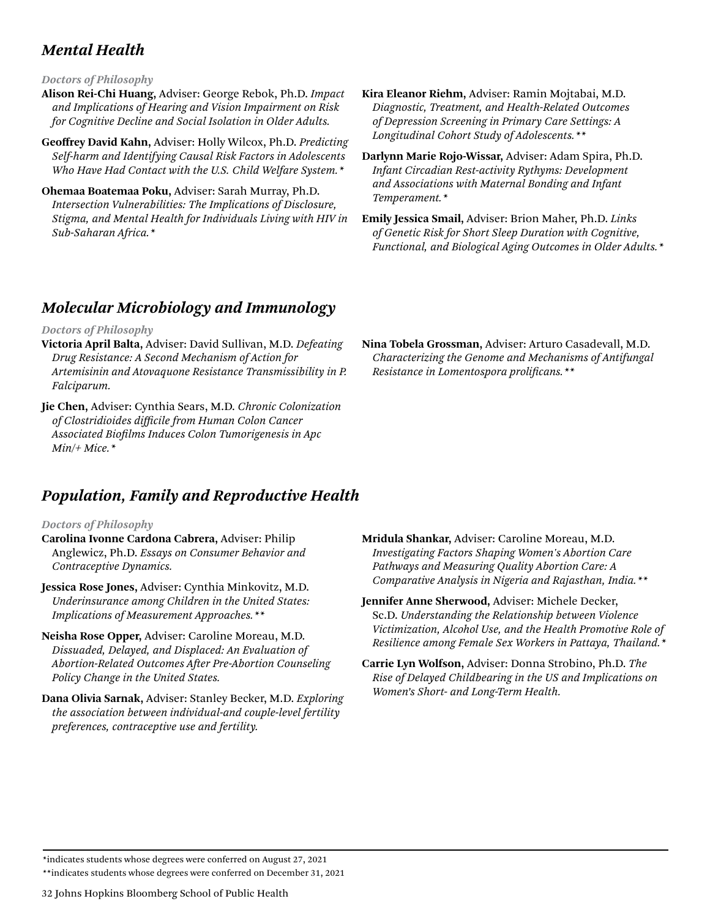### *Mental Health*

### *Doctors of Philosophy*

**Alison Rei-Chi Huang,** Adviser: George Rebok, Ph.D. *Impact and Implications of Hearing and Vision Impairment on Risk for Cognitive Decline and Social Isolation in Older Adults.*

**Geoffrey David Kahn,** Adviser: Holly Wilcox, Ph.D. *Predicting Self-harm and Identifying Causal Risk Factors in Adolescents Who Have Had Contact with the U.S. Child Welfare System.\**

**Ohemaa Boatemaa Poku,** Adviser: Sarah Murray, Ph.D. *Intersection Vulnerabilities: The Implications of Disclosure, Stigma, and Mental Health for Individuals Living with HIV in Sub-Saharan Africa.\**

- **Kira Eleanor Riehm,** Adviser: Ramin Mojtabai, M.D. *Diagnostic, Treatment, and Health-Related Outcomes of Depression Screening in Primary Care Settings: A Longitudinal Cohort Study of Adolescents.\*\**
- **Darlynn Marie Rojo-Wissar,** Adviser: Adam Spira, Ph.D. *Infant Circadian Rest-activity Rythyms: Development and Associations with Maternal Bonding and Infant Temperament.\**
- **Emily Jessica Smail,** Adviser: Brion Maher, Ph.D. *Links of Genetic Risk for Short Sleep Duration with Cognitive, Functional, and Biological Aging Outcomes in Older Adults.\**

**Nina Tobela Grossman,** Adviser: Arturo Casadevall, M.D. *Characterizing the Genome and Mechanisms of Antifungal* 

*Resistance in Lomentospora prolificans.\*\**

### *Molecular Microbiology and Immunology*

### *Doctors of Philosophy*

- **Victoria April Balta,** Adviser: David Sullivan, M.D. *Defeating Drug Resistance: A Second Mechanism of Action for Artemisinin and Atovaquone Resistance Transmissibility in P. Falciparum.*
- **Jie Chen,** Adviser: Cynthia Sears, M.D. *Chronic Colonization of Clostridioides difficile from Human Colon Cancer Associated Biofilms Induces Colon Tumorigenesis in Apc Min/+ Mice.\**

### *Population, Family and Reproductive Health*

### *Doctors of Philosophy*

- **Carolina Ivonne Cardona Cabrera,** Adviser: Philip Anglewicz, Ph.D. *Essays on Consumer Behavior and Contraceptive Dynamics.*
- **Jessica Rose Jones,** Adviser: Cynthia Minkovitz, M.D. *Underinsurance among Children in the United States: Implications of Measurement Approaches.\*\**
- **Neisha Rose Opper,** Adviser: Caroline Moreau, M.D. *Dissuaded, Delayed, and Displaced: An Evaluation of Abortion-Related Outcomes After Pre-Abortion Counseling Policy Change in the United States.*
- **Dana Olivia Sarnak,** Adviser: Stanley Becker, M.D. *Exploring the association between individual-and couple-level fertility preferences, contraceptive use and fertility.*
- **Mridula Shankar,** Adviser: Caroline Moreau, M.D. *Investigating Factors Shaping Women's Abortion Care Pathways and Measuring Quality Abortion Care: A Comparative Analysis in Nigeria and Rajasthan, India.\*\**
- **Jennifer Anne Sherwood,** Adviser: Michele Decker, Sc.D. *Understanding the Relationship between Violence Victimization, Alcohol Use, and the Health Promotive Role of Resilience among Female Sex Workers in Pattaya, Thailand.\**
- **Carrie Lyn Wolfson,** Adviser: Donna Strobino, Ph.D. *The Rise of Delayed Childbearing in the US and Implications on Women's Short- and Long-Term Health.*

\*indicates students whose degrees were conferred on August 27, 2021

\*\*indicates students whose degrees were conferred on December 31, 2021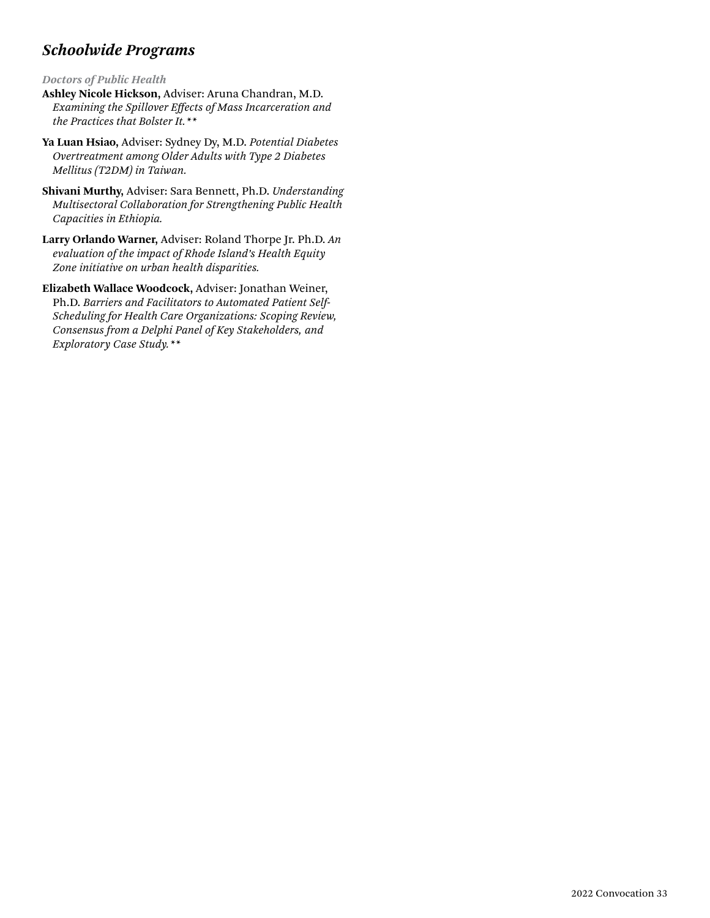### *Schoolwide Programs*

*Doctors of Public Health*

- **Ashley Nicole Hickson,** Adviser: Aruna Chandran, M.D. *Examining the Spillover Effects of Mass Incarceration and the Practices that Bolster It.\*\**
- **Ya Luan Hsiao,** Adviser: Sydney Dy, M.D. *Potential Diabetes Overtreatment among Older Adults with Type 2 Diabetes Mellitus (T2DM) in Taiwan.*
- **Shivani Murthy,** Adviser: Sara Bennett, Ph.D. *Understanding Multisectoral Collaboration for Strengthening Public Health Capacities in Ethiopia.*
- **Larry Orlando Warner,** Adviser: Roland Thorpe Jr. Ph.D. *An evaluation of the impact of Rhode Island's Health Equity Zone initiative on urban health disparities.*
- **Elizabeth Wallace Woodcock,** Adviser: Jonathan Weiner, Ph.D. *Barriers and Facilitators to Automated Patient Self-Scheduling for Health Care Organizations: Scoping Review, Consensus from a Delphi Panel of Key Stakeholders, and Exploratory Case Study.\*\**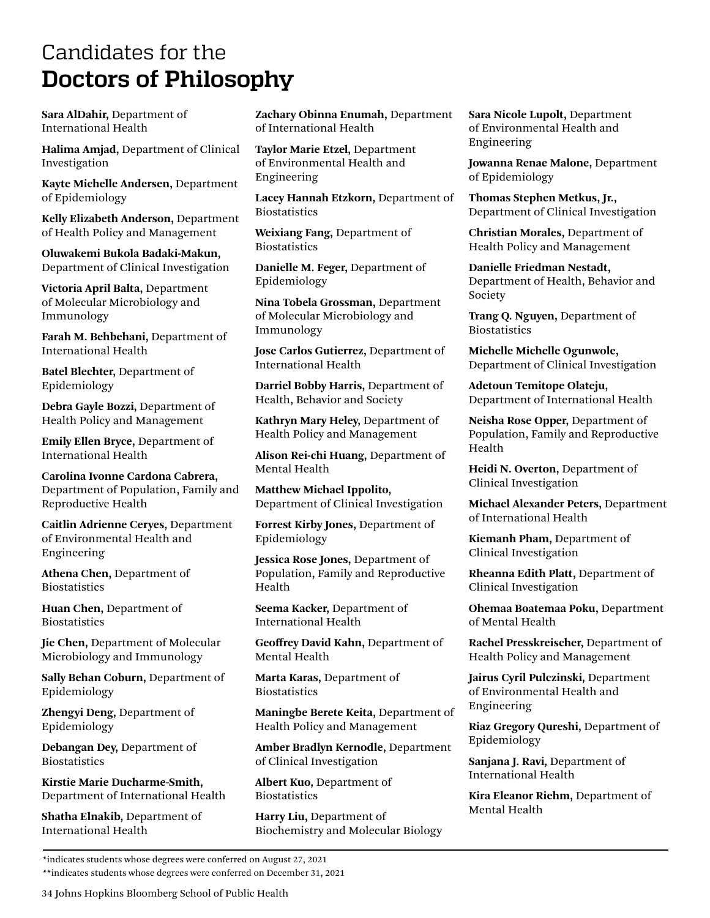## <span id="page-33-0"></span>Candidates for the **Doctors of Philosophy**

**Sara AlDahir,** Department of International Health

**Halima Amjad,** Department of Clinical Investigation

**Kayte Michelle Andersen,** Department of Epidemiology

**Kelly Elizabeth Anderson,** Department of Health Policy and Management

**Oluwakemi Bukola Badaki-Makun,**  Department of Clinical Investigation

**Victoria April Balta,** Department of Molecular Microbiology and Immunology

**Farah M. Behbehani,** Department of International Health

**Batel Blechter,** Department of Epidemiology

**Debra Gayle Bozzi,** Department of Health Policy and Management

**Emily Ellen Bryce,** Department of International Health

**Carolina Ivonne Cardona Cabrera,**  Department of Population, Family and Reproductive Health

**Caitlin Adrienne Ceryes,** Department of Environmental Health and Engineering

**Athena Chen,** Department of **Biostatistics** 

**Huan Chen,** Department of **Biostatistics** 

**Jie Chen,** Department of Molecular Microbiology and Immunology

**Sally Behan Coburn,** Department of Epidemiology

**Zhengyi Deng,** Department of Epidemiology

**Debangan Dey,** Department of **Biostatistics** 

**Kirstie Marie Ducharme-Smith,**  Department of International Health

**Shatha Elnakib,** Department of International Health

**Zachary Obinna Enumah,** Department of International Health

**Taylor Marie Etzel,** Department of Environmental Health and Engineering

**Lacey Hannah Etzkorn,** Department of **Biostatistics** 

**Weixiang Fang,** Department of **Biostatistics** 

**Danielle M. Feger,** Department of Epidemiology

**Nina Tobela Grossman,** Department of Molecular Microbiology and Immunology

**Jose Carlos Gutierrez,** Department of International Health

**Darriel Bobby Harris,** Department of Health, Behavior and Society

**Kathryn Mary Heley,** Department of Health Policy and Management

**Alison Rei-chi Huang,** Department of Mental Health

**Matthew Michael Ippolito,**  Department of Clinical Investigation

**Forrest Kirby Jones,** Department of Epidemiology

**Jessica Rose Jones,** Department of Population, Family and Reproductive Health

**Seema Kacker,** Department of International Health

**Geoffrey David Kahn,** Department of Mental Health

**Marta Karas,** Department of **Biostatistics** 

**Maningbe Berete Keita,** Department of Health Policy and Management

**Amber Bradlyn Kernodle,** Department of Clinical Investigation

**Albert Kuo,** Department of **Biostatistics** 

**Harry Liu,** Department of Biochemistry and Molecular Biology **Sara Nicole Lupolt,** Department of Environmental Health and Engineering

**Jowanna Renae Malone,** Department of Epidemiology

**Thomas Stephen Metkus, Jr.,**  Department of Clinical Investigation

**Christian Morales,** Department of Health Policy and Management

**Danielle Friedman Nestadt,**  Department of Health, Behavior and Society

**Trang Q. Nguyen,** Department of **Biostatistics** 

**Michelle Michelle Ogunwole,**  Department of Clinical Investigation

**Adetoun Temitope Olateju,**  Department of International Health

**Neisha Rose Opper,** Department of Population, Family and Reproductive Health

**Heidi N. Overton,** Department of Clinical Investigation

**Michael Alexander Peters,** Department of International Health

**Kiemanh Pham,** Department of Clinical Investigation

**Rheanna Edith Platt,** Department of Clinical Investigation

**Ohemaa Boatemaa Poku,** Department of Mental Health

**Rachel Presskreischer,** Department of Health Policy and Management

**Jairus Cyril Pulczinski,** Department of Environmental Health and Engineering

**Riaz Gregory Qureshi,** Department of Epidemiology

**Sanjana J. Ravi,** Department of International Health

**Kira Eleanor Riehm,** Department of Mental Health

\*\*indicates students whose degrees were conferred on December 31, 2021

34 Johns Hopkins Bloomberg School of Public Health

<sup>\*</sup>indicates students whose degrees were conferred on August 27, 2021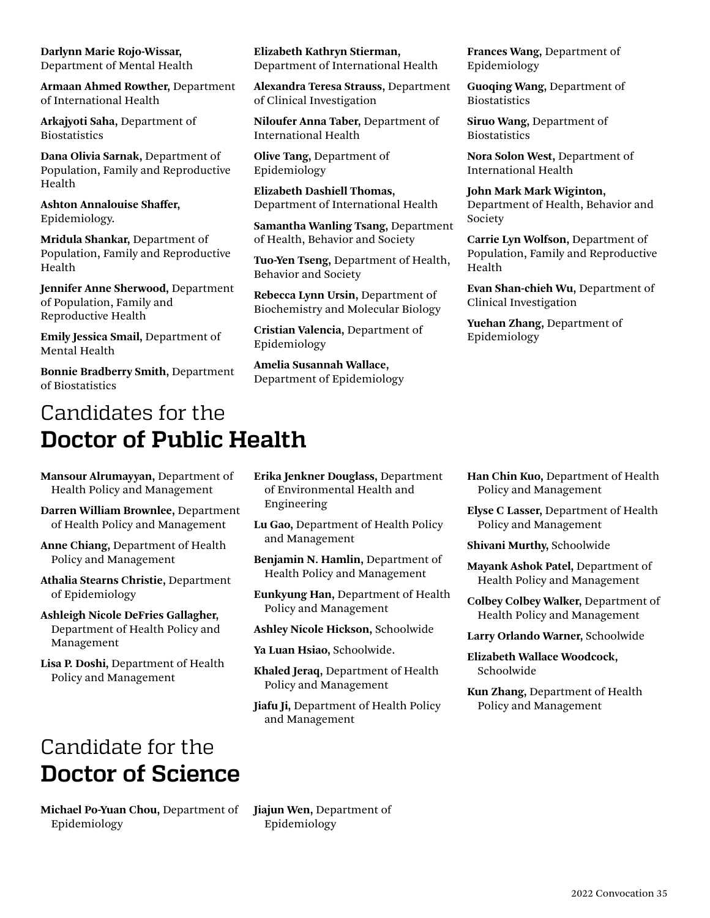<span id="page-34-0"></span>**Darlynn Marie Rojo-Wissar,**  Department of Mental Health

**Armaan Ahmed Rowther,** Department of International Health

**Arkajyoti Saha,** Department of **Biostatistics** 

**Dana Olivia Sarnak,** Department of Population, Family and Reproductive Health

**Ashton Annalouise Shaffer,**  Epidemiology.

**Mridula Shankar,** Department of Population, Family and Reproductive Health

**Jennifer Anne Sherwood,** Department of Population, Family and Reproductive Health

**Emily Jessica Smail,** Department of Mental Health

**Bonnie Bradberry Smith,** Department of Biostatistics

# Candidates for the **Doctor of Public Health**

**Mansour Alrumayyan,** Department of Health Policy and Management

**Darren William Brownlee,** Department of Health Policy and Management

**Anne Chiang,** Department of Health Policy and Management

**Athalia Stearns Christie,** Department of Epidemiology

**Ashleigh Nicole DeFries Gallagher,**  Department of Health Policy and Management

**Lisa P. Doshi,** Department of Health Policy and Management

### Candidate for the **Doctor of Science**

**Michael Po-Yuan Chou,** Department of Epidemiology

**Elizabeth Kathryn Stierman,**  Department of International Health

**Alexandra Teresa Strauss,** Department of Clinical Investigation

**Niloufer Anna Taber,** Department of International Health

**Olive Tang,** Department of Epidemiology

**Elizabeth Dashiell Thomas,**  Department of International Health

**Samantha Wanling Tsang,** Department of Health, Behavior and Society

**Tuo-Yen Tseng,** Department of Health, Behavior and Society

**Rebecca Lynn Ursin,** Department of Biochemistry and Molecular Biology

**Cristian Valencia,** Department of Epidemiology

**Amelia Susannah Wallace,**  Department of Epidemiology **Frances Wang,** Department of Epidemiology

**Guoqing Wang,** Department of **Biostatistics** 

**Siruo Wang,** Department of **Biostatistics** 

**Nora Solon West,** Department of International Health

**John Mark Mark Wiginton,**  Department of Health, Behavior and Society

**Carrie Lyn Wolfson,** Department of Population, Family and Reproductive Health

**Evan Shan-chieh Wu,** Department of Clinical Investigation

**Yuehan Zhang,** Department of Epidemiology

- **Erika Jenkner Douglass,** Department of Environmental Health and Engineering
- **Lu Gao,** Department of Health Policy and Management
- **Benjamin N. Hamlin,** Department of Health Policy and Management

**Eunkyung Han,** Department of Health Policy and Management

- **Ashley Nicole Hickson,** Schoolwide
- **Ya Luan Hsiao,** Schoolwide.

**Khaled Jeraq,** Department of Health Policy and Management

**Jiafu Ji,** Department of Health Policy and Management

- **Han Chin Kuo,** Department of Health Policy and Management
- **Elyse C Lasser,** Department of Health Policy and Management
- **Shivani Murthy,** Schoolwide

**Mayank Ashok Patel,** Department of Health Policy and Management

**Colbey Colbey Walker,** Department of Health Policy and Management

**Larry Orlando Warner,** Schoolwide

**Elizabeth Wallace Woodcock,**  Schoolwide

**Kun Zhang,** Department of Health Policy and Management

**Jiajun Wen,** Department of Epidemiology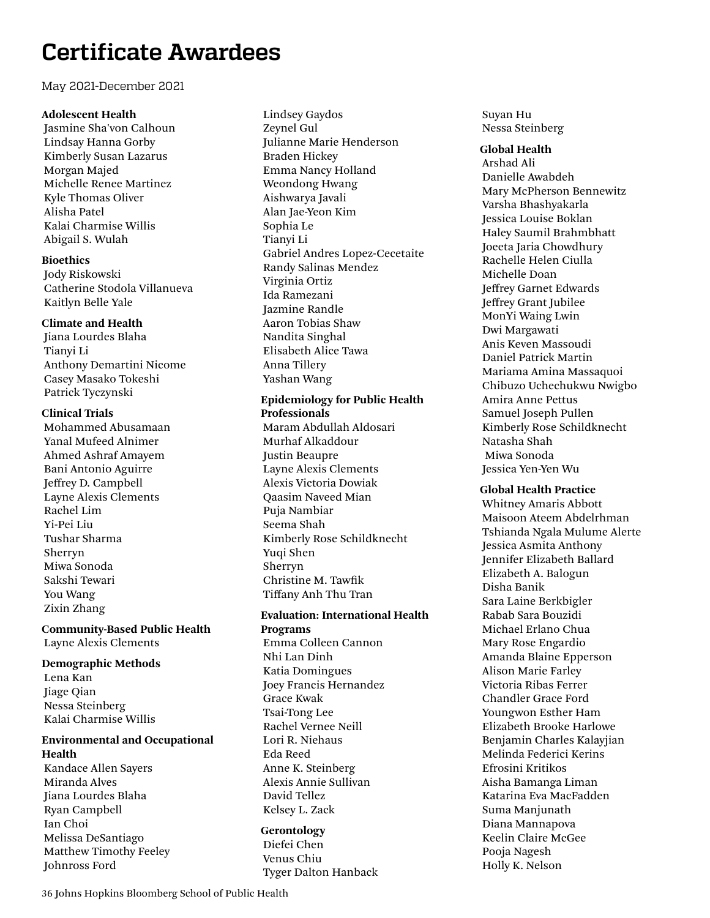# <span id="page-35-0"></span>**Certificate Awardees**

### May 2021-December 2021

### **Adolescent Health**

Jasmine Sha'von Calhoun Lindsay Hanna Gorby Kimberly Susan Lazarus Morgan Majed Michelle Renee Martinez Kyle Thomas Oliver Alisha Patel Kalai Charmise Willis Abigail S. Wulah

### **Bioethics**

Jody Riskowski Catherine Stodola Villanueva Kaitlyn Belle Yale

### **Climate and Health**

Jiana Lourdes Blaha Tianyi Li Anthony Demartini Nicome Casey Masako Tokeshi Patrick Tyczynski

### **Clinical Trials**

Mohammed Abusamaan Yanal Mufeed Alnimer Ahmed Ashraf Amayem Bani Antonio Aguirre Jeffrey D. Campbell Layne Alexis Clements Rachel Lim Yi-Pei Liu Tushar Sharma Sherryn Miwa Sonoda Sakshi Tewari You Wang Zixin Zhang

**Community-Based Public Health** Layne Alexis Clements

### **Demographic Methods**

Lena Kan Jiage Qian Nessa Steinberg Kalai Charmise Willis

### **Environmental and Occupational Health**

Kandace Allen Sayers Miranda Alves Jiana Lourdes Blaha Ryan Campbell Ian Choi Melissa DeSantiago Matthew Timothy Feeley Johnross Ford

Lindsey Gaydos Zeynel Gul Julianne Marie Henderson Braden Hickey Emma Nancy Holland Weondong Hwang Aishwarya Javali Alan Jae-Yeon Kim Sophia Le Tianyi Li Gabriel Andres Lopez-Cecetaite Randy Salinas Mendez Virginia Ortiz Ida Ramezani Jazmine Randle Aaron Tobias Shaw Nandita Singhal Elisabeth Alice Tawa Anna Tillery Yashan Wang

### **Epidemiology for Public Health Professionals**

Maram Abdullah Aldosari Murhaf Alkaddour Justin Beaupre Layne Alexis Clements Alexis Victoria Dowiak Qaasim Naveed Mian Puja Nambiar Seema Shah Kimberly Rose Schildknecht Yuqi Shen Sherryn Christine M. Tawfik Tiffany Anh Thu Tran

### **Evaluation: International Health Programs**

Emma Colleen Cannon Nhi Lan Dinh Katia Domingues Joey Francis Hernandez Grace Kwak Tsai-Tong Lee Rachel Vernee Neill Lori R. Niehaus Eda Reed Anne K. Steinberg Alexis Annie Sullivan David Tellez Kelsey L. Zack

### **Gerontology**

Diefei Chen Venus Chiu Tyger Dalton Hanback Suyan Hu Nessa Steinberg

### **Global Health**

Arshad Ali Danielle Awabdeh Mary McPherson Bennewitz Varsha Bhashyakarla Jessica Louise Boklan Haley Saumil Brahmbhatt Joeeta Jaria Chowdhury Rachelle Helen Ciulla Michelle Doan Jeffrey Garnet Edwards Jeffrey Grant Jubilee MonYi Waing Lwin Dwi Margawati Anis Keven Massoudi Daniel Patrick Martin Mariama Amina Massaquoi Chibuzo Uchechukwu Nwigbo Amira Anne Pettus Samuel Joseph Pullen Kimberly Rose Schildknecht Natasha Shah Miwa Sonoda Jessica Yen-Yen Wu

### **Global Health Practice**

Whitney Amaris Abbott Maisoon Ateem Abdelrhman Tshianda Ngala Mulume Alerte Jessica Asmita Anthony Jennifer Elizabeth Ballard Elizabeth A. Balogun Disha Banik Sara Laine Berkbigler Rabab Sara Bouzidi Michael Erlano Chua Mary Rose Engardio Amanda Blaine Epperson Alison Marie Farley Victoria Ribas Ferrer Chandler Grace Ford Youngwon Esther Ham Elizabeth Brooke Harlowe Benjamin Charles Kalayjian Melinda Federici Kerins Efrosini Kritikos Aisha Bamanga Liman Katarina Eva MacFadden Suma Manjunath Diana Mannapova Keelin Claire McGee Pooja Nagesh Holly K. Nelson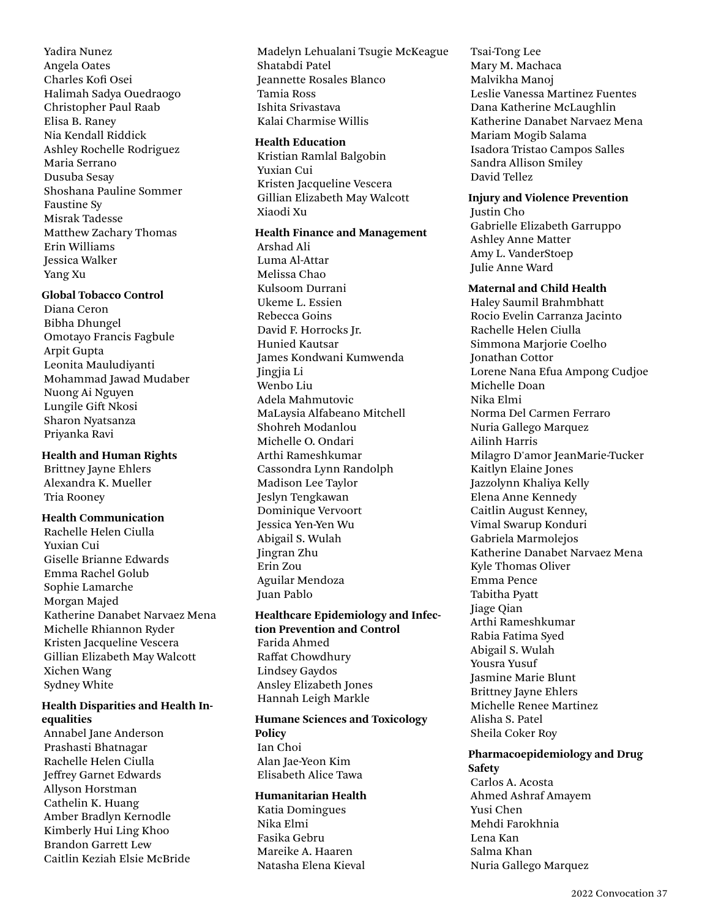Yadira Nunez Angela Oates Charles Kofi Osei Halimah Sadya Ouedraogo Christopher Paul Raab Elisa B. Raney Nia Kendall Riddick Ashley Rochelle Rodriguez Maria Serrano Dusuba Sesay Shoshana Pauline Sommer Faustine Sy Misrak Tadesse Matthew Zachary Thomas Erin Williams Jessica Walker Yang Xu

### **Global Tobacco Control**

Diana Ceron Bibha Dhungel Omotayo Francis Fagbule Arpit Gupta Leonita Mauludiyanti Mohammad Jawad Mudaber Nuong Ai Nguyen Lungile Gift Nkosi Sharon Nyatsanza Priyanka Ravi

#### **Health and Human Rights**

Brittney Jayne Ehlers Alexandra K. Mueller Tria Rooney

### **Health Communication**

Rachelle Helen Ciulla Yuxian Cui Giselle Brianne Edwards Emma Rachel Golub Sophie Lamarche Morgan Majed Katherine Danabet Narvaez Mena Michelle Rhiannon Ryder Kristen Jacqueline Vescera Gillian Elizabeth May Walcott Xichen Wang Sydney White

### **Health Disparities and Health Inequalities**

Annabel Jane Anderson Prashasti Bhatnagar Rachelle Helen Ciulla Jeffrey Garnet Edwards Allyson Horstman Cathelin K. Huang Amber Bradlyn Kernodle Kimberly Hui Ling Khoo Brandon Garrett Lew Caitlin Keziah Elsie McBride

Madelyn Lehualani Tsugie McKeague Shatabdi Patel Jeannette Rosales Blanco Tamia Ross Ishita Srivastava Kalai Charmise Willis

#### **Health Education**

Kristian Ramlal Balgobin Yuxian Cui Kristen Jacqueline Vescera Gillian Elizabeth May Walcott Xiaodi Xu

#### **Health Finance and Management**

Arshad Ali Luma Al-Attar Melissa Chao Kulsoom Durrani Ukeme L. Essien Rebecca Goins David F. Horrocks Jr. Hunied Kautsar James Kondwani Kumwenda Jingjia Li Wenbo Liu Adela Mahmutovic MaLaysia Alfabeano Mitchell Shohreh Modanlou Michelle O. Ondari Arthi Rameshkumar Cassondra Lynn Randolph Madison Lee Taylor Jeslyn Tengkawan Dominique Vervoort Jessica Yen-Yen Wu Abigail S. Wulah Jingran Zhu Erin Zou Aguilar Mendoza Juan Pablo

### **Healthcare Epidemiology and Infection Prevention and Control** Farida Ahmed Raffat Chowdhury Lindsey Gaydos Ansley Elizabeth Jones Hannah Leigh Markle

### **Humane Sciences and Toxicology Policy** Ian Choi Alan Jae-Yeon Kim Elisabeth Alice Tawa

#### **Humanitarian Health**

Katia Domingues Nika Elmi Fasika Gebru Mareike A. Haaren Natasha Elena Kieval Tsai-Tong Lee Mary M. Machaca Malvikha Manoj Leslie Vanessa Martinez Fuentes Dana Katherine McLaughlin Katherine Danabet Narvaez Mena Mariam Mogib Salama Isadora Tristao Campos Salles Sandra Allison Smiley David Tellez

### **Injury and Violence Prevention**

Justin Cho Gabrielle Elizabeth Garruppo Ashley Anne Matter Amy L. VanderStoep Julie Anne Ward

### **Maternal and Child Health**

Haley Saumil Brahmbhatt Rocio Evelin Carranza Jacinto Rachelle Helen Ciulla Simmona Marjorie Coelho Jonathan Cottor Lorene Nana Efua Ampong Cudjoe Michelle Doan Nika Elmi Norma Del Carmen Ferraro Nuria Gallego Marquez Ailinh Harris Milagro D'amor JeanMarie-Tucker Kaitlyn Elaine Jones Jazzolynn Khaliya Kelly Elena Anne Kennedy Caitlin August Kenney, Vimal Swarup Konduri Gabriela Marmolejos Katherine Danabet Narvaez Mena Kyle Thomas Oliver Emma Pence Tabitha Pyatt Jiage Qian Arthi Rameshkumar Rabia Fatima Syed Abigail S. Wulah Yousra Yusuf Jasmine Marie Blunt Brittney Jayne Ehlers Michelle Renee Martinez Alisha S. Patel Sheila Coker Roy

### **Pharmacoepidemiology and Drug Safety**

Carlos A. Acosta Ahmed Ashraf Amayem Yusi Chen Mehdi Farokhnia Lena Kan Salma Khan Nuria Gallego Marquez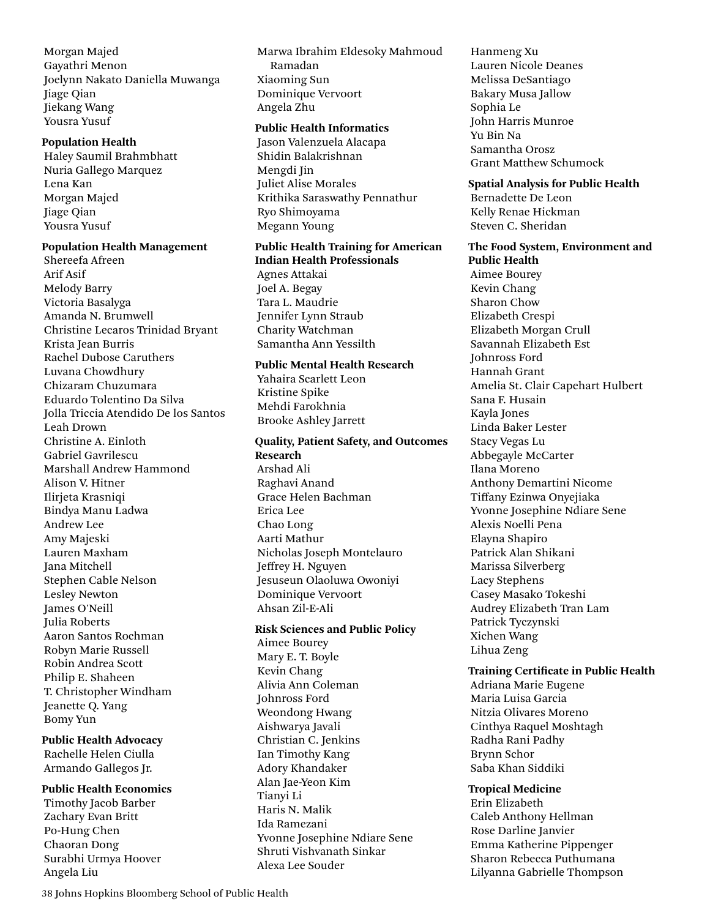Morgan Majed Gayathri Menon Joelynn Nakato Daniella Muwanga Jiage Qian Jiekang Wang Yousra Yusuf

#### **Population Health**

Haley Saumil Brahmbhatt Nuria Gallego Marquez Lena Kan Morgan Majed Jiage Qian Yousra Yusuf

### **Population Health Management**

Shereefa Afreen Arif Asif Melody Barry Victoria Basalyga Amanda N. Brumwell Christine Lecaros Trinidad Bryant Krista Jean Burris Rachel Dubose Caruthers Luvana Chowdhury Chizaram Chuzumara Eduardo Tolentino Da Silva Jolla Triccia Atendido De los Santos Leah Drown Christine A. Einloth Gabriel Gavrilescu Marshall Andrew Hammond Alison V. Hitner Ilirjeta Krasniqi Bindya Manu Ladwa Andrew Lee Amy Majeski Lauren Maxham Jana Mitchell Stephen Cable Nelson Lesley Newton James O'Neill Julia Roberts Aaron Santos Rochman Robyn Marie Russell Robin Andrea Scott Philip E. Shaheen T. Christopher Windham Jeanette Q. Yang Bomy Yun

### **Public Health Advocacy**

Rachelle Helen Ciulla Armando Gallegos Jr.

### **Public Health Economics**

Timothy Jacob Barber Zachary Evan Britt Po-Hung Chen Chaoran Dong Surabhi Urmya Hoover Angela Liu

Marwa Ibrahim Eldesoky Mahmoud Ramadan Xiaoming Sun Dominique Vervoort Angela Zhu

### **Public Health Informatics**

Jason Valenzuela Alacapa Shidin Balakrishnan Mengdi Jin Juliet Alise Morales Krithika Saraswathy Pennathur Ryo Shimoyama Megann Young

### **Public Health Training for American Indian Health Professionals**

Agnes Attakai Joel A. Begay Tara L. Maudrie Jennifer Lynn Straub Charity Watchman Samantha Ann Yessilth

### **Public Mental Health Research**

Yahaira Scarlett Leon Kristine Spike Mehdi Farokhnia Brooke Ashley Jarrett

### **Quality, Patient Safety, and Outcomes Research** Arshad Ali Raghavi Anand

Grace Helen Bachman Erica Lee Chao Long Aarti Mathur Nicholas Joseph Montelauro Jeffrey H. Nguyen Jesuseun Olaoluwa Owoniyi Dominique Vervoort Ahsan Zil-E-Ali

### **Risk Sciences and Public Policy**

Aimee Bourey Mary E. T. Boyle Kevin Chang Alivia Ann Coleman Johnross Ford Weondong Hwang Aishwarya Javali Christian C. Jenkins Ian Timothy Kang Adory Khandaker Alan Jae-Yeon Kim Tianyi Li Haris N. Malik Ida Ramezani Yvonne Josephine Ndiare Sene Shruti Vishvanath Sinkar Alexa Lee Souder

Hanmeng Xu Lauren Nicole Deanes Melissa DeSantiago Bakary Musa Jallow Sophia Le John Harris Munroe Yu Bin Na Samantha Orosz Grant Matthew Schumock

#### **Spatial Analysis for Public Health**

Bernadette De Leon Kelly Renae Hickman Steven C. Sheridan

**The Food System, Environment and Public Health** Aimee Bourey Kevin Chang Sharon Chow Elizabeth Crespi Elizabeth Morgan Crull Savannah Elizabeth Est Johnross Ford Hannah Grant Amelia St. Clair Capehart Hulbert Sana F. Husain Kayla Jones Linda Baker Lester Stacy Vegas Lu Abbegayle McCarter Ilana Moreno Anthony Demartini Nicome Tiffany Ezinwa Onyejiaka Yvonne Josephine Ndiare Sene Alexis Noelli Pena Elayna Shapiro Patrick Alan Shikani Marissa Silverberg Lacy Stephens Casey Masako Tokeshi Audrey Elizabeth Tran Lam Patrick Tyczynski Xichen Wang Lihua Zeng

### **Training Certificate in Public Health**

Adriana Marie Eugene Maria Luisa Garcia Nitzia Olivares Moreno Cinthya Raquel Moshtagh Radha Rani Padhy Brynn Schor Saba Khan Siddiki

**Tropical Medicine** Erin Elizabeth Caleb Anthony Hellman Rose Darline Janvier Emma Katherine Pippenger Sharon Rebecca Puthumana Lilyanna Gabrielle Thompson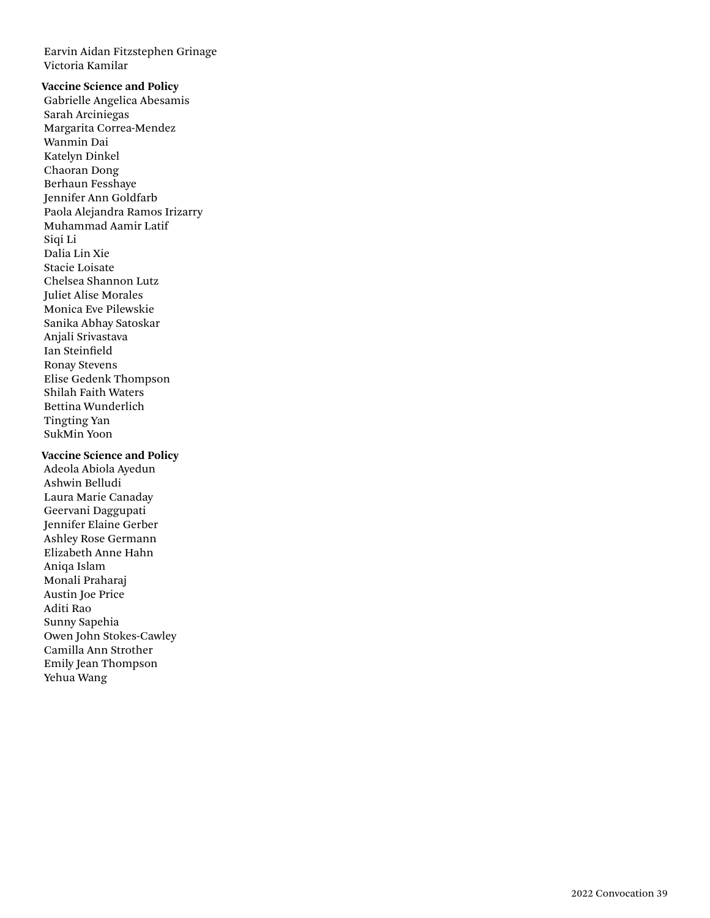Earvin Aidan Fitzstephen Grinage Victoria Kamilar

### **Vaccine Science and Policy**

Gabrielle Angelica Abesamis Sarah Arciniegas Margarita Correa-Mendez Wanmin Dai Katelyn Dinkel Chaoran Dong Berhaun Fesshaye Jennifer Ann Goldfarb Paola Alejandra Ramos Irizarry Muhammad Aamir Latif Siqi Li Dalia Lin Xie Stacie Loisate Chelsea Shannon Lutz Juliet Alise Morales Monica Eve Pilewskie Sanika Abhay Satoskar Anjali Srivastava Ian Steinfield Ronay Stevens Elise Gedenk Thompson Shilah Faith Waters Bettina Wunderlich Tingting Yan SukMin Yoon

#### **Vaccine Science and Policy**

Adeola Abiola Ayedun Ashwin Belludi Laura Marie Canaday Geervani Daggupati Jennifer Elaine Gerber Ashley Rose Germann Elizabeth Anne Hahn Aniqa Islam Monali Praharaj Austin Joe Price Aditi Rao Sunny Sapehia Owen John Stokes-Cawley Camilla Ann Strother Emily Jean Thompson Yehua Wang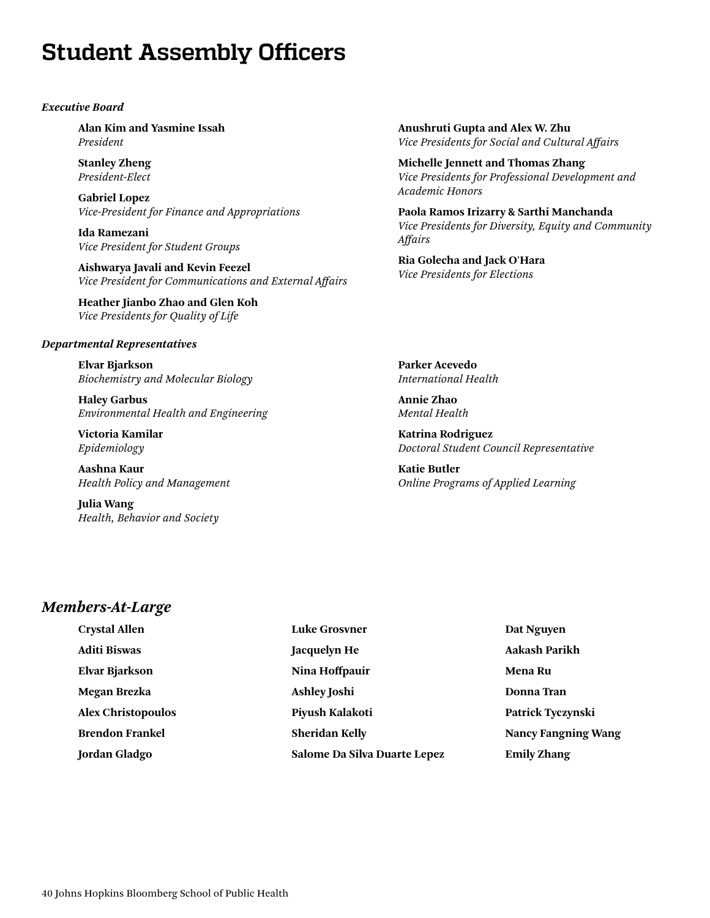# <span id="page-39-0"></span>**Student Assembly Officers**

### *Executive Board*

**Alan Kim and Yasmine Issah** *President*

**Stanley Zheng**  *President-Elect*

**Gabriel Lopez**  *Vice-President for Finance and Appropriations*

**Ida Ramezani** *Vice President for Student Groups*

**Aishwarya Javali and Kevin Feezel**  *Vice President for Communications and External Affairs*

**Heather Jianbo Zhao and Glen Koh**  *Vice Presidents for Quality of Life*

### *Departmental Representatives*

**Elvar Bjarkson** *Biochemistry and Molecular Biology* 

**Haley Garbus** *Environmental Health and Engineering* 

**Victoria Kamilar** *Epidemiology* 

**Aashna Kaur** *Health Policy and Management* 

**Julia Wang**  *Health, Behavior and Society*  **Anushruti Gupta and Alex W. Zhu**  *Vice Presidents for Social and Cultural Affairs*

**Michelle Jennett and Thomas Zhang** *Vice Presidents for Professional Development and Academic Honors*

**Paola Ramos Irizarry & Sarthi Manchanda** *Vice Presidents for Diversity, Equity and Community Affairs*

**Ria Golecha and Jack O'Hara**  *Vice Presidents for Elections*

**Parker Acevedo** *International Health* 

**Annie Zhao** *Mental Health* 

**Katrina Rodriguez** *Doctoral Student Council Representative* 

**Katie Butler** *Online Programs of Applied Learning* 

### *Members-At-Large*

| <b>Crystal Allen</b>      | <b>Luke Grosyner</b>         | Dat Nguyen                 |
|---------------------------|------------------------------|----------------------------|
| <b>Aditi Biswas</b>       | <b>Jacquelyn He</b>          | <b>Aakash Parikh</b>       |
| <b>Elvar Bjarkson</b>     | Nina Hoffpauir               | <b>Mena Ru</b>             |
| Megan Brezka              | <b>Ashley Joshi</b>          | <b>Donna</b> Tran          |
| <b>Alex Christopoulos</b> | Piyush Kalakoti              | Patrick Tyczynski          |
| <b>Brendon Frankel</b>    | <b>Sheridan Kelly</b>        | <b>Nancy Fangning Wang</b> |
| <b>Jordan Gladgo</b>      | Salome Da Silva Duarte Lepez | <b>Emily Zhang</b>         |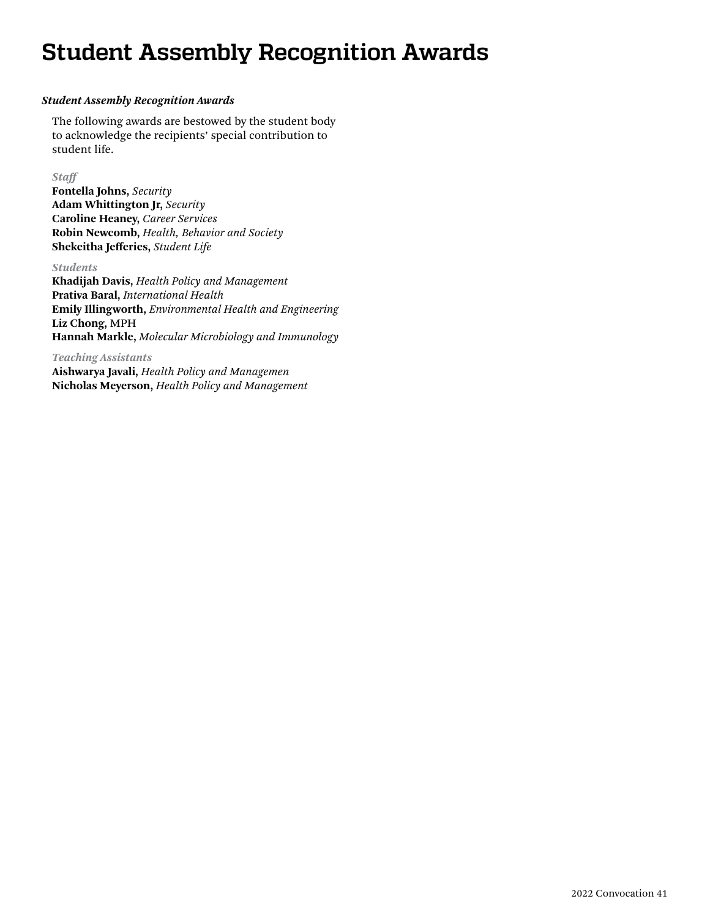# <span id="page-40-0"></span>**Student Assembly Recognition Awards**

### *Student Assembly Recognition Awards*

The following awards are bestowed by the student body to acknowledge the recipients' special contribution to student life.

### *Staff*

**Fontella Johns,** *Security* **Adam Whittington Jr,** *Security* **Caroline Heaney,** *Career Services* **Robin Newcomb,** *Health, Behavior and Society* **Shekeitha Jefferies,** *Student Life*

### *Students*

**Khadijah Davis,** *Health Policy and Management* **Prativa Baral,** *International Health* **Emily Illingworth,** *Environmental Health and Engineering* **Liz Chong,** MPH **Hannah Markle,** *Molecular Microbiology and Immunology*

*Teaching Assistants*

**Aishwarya Javali,** *Health Policy and Managemen* **Nicholas Meyerson,** *Health Policy and Management*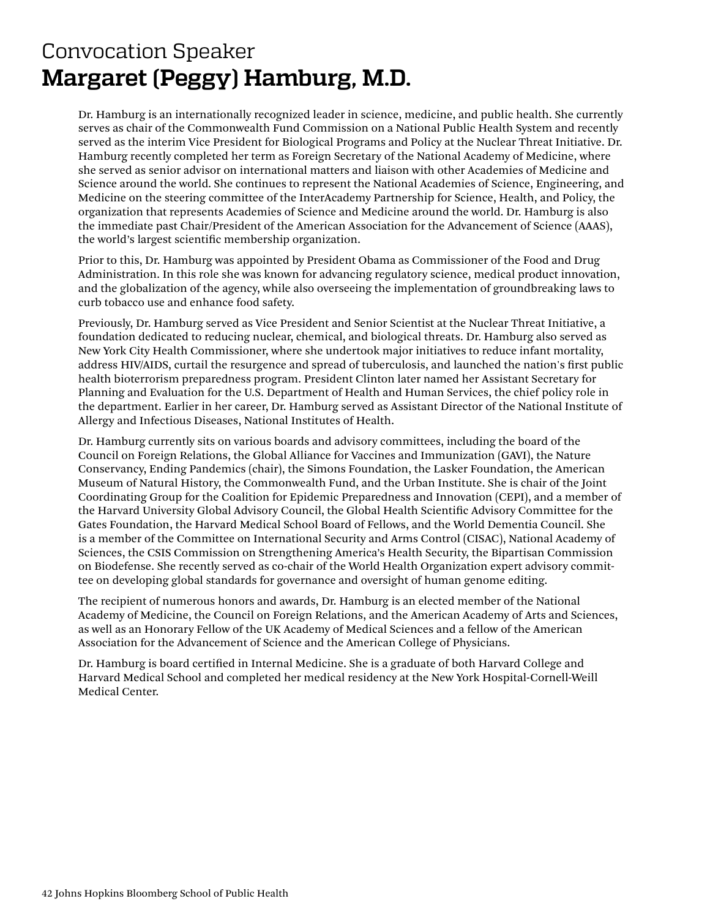# <span id="page-41-0"></span>Convocation Speaker **Margaret (Peggy) Hamburg, M.D.**

Dr. Hamburg is an internationally recognized leader in science, medicine, and public health. She currently serves as chair of the Commonwealth Fund Commission on a National Public Health System and recently served as the interim Vice President for Biological Programs and Policy at the Nuclear Threat Initiative. Dr. Hamburg recently completed her term as Foreign Secretary of the National Academy of Medicine, where she served as senior advisor on international matters and liaison with other Academies of Medicine and Science around the world. She continues to represent the National Academies of Science, Engineering, and Medicine on the steering committee of the InterAcademy Partnership for Science, Health, and Policy, the organization that represents Academies of Science and Medicine around the world. Dr. Hamburg is also the immediate past Chair/President of the American Association for the Advancement of Science (AAAS), the world's largest scientific membership organization.

Prior to this, Dr. Hamburg was appointed by President Obama as Commissioner of the Food and Drug Administration. In this role she was known for advancing regulatory science, medical product innovation, and the globalization of the agency, while also overseeing the implementation of groundbreaking laws to curb tobacco use and enhance food safety.

Previously, Dr. Hamburg served as Vice President and Senior Scientist at the Nuclear Threat Initiative, a foundation dedicated to reducing nuclear, chemical, and biological threats. Dr. Hamburg also served as New York City Health Commissioner, where she undertook major initiatives to reduce infant mortality, address HIV/AIDS, curtail the resurgence and spread of tuberculosis, and launched the nation's first public health bioterrorism preparedness program. President Clinton later named her Assistant Secretary for Planning and Evaluation for the U.S. Department of Health and Human Services, the chief policy role in the department. Earlier in her career, Dr. Hamburg served as Assistant Director of the National Institute of Allergy and Infectious Diseases, National Institutes of Health.

Dr. Hamburg currently sits on various boards and advisory committees, including the board of the Council on Foreign Relations, the Global Alliance for Vaccines and Immunization (GAVI), the Nature Conservancy, Ending Pandemics (chair), the Simons Foundation, the Lasker Foundation, the American Museum of Natural History, the Commonwealth Fund, and the Urban Institute. She is chair of the Joint Coordinating Group for the Coalition for Epidemic Preparedness and Innovation (CEPI), and a member of the Harvard University Global Advisory Council, the Global Health Scientific Advisory Committee for the Gates Foundation, the Harvard Medical School Board of Fellows, and the World Dementia Council. She is a member of the Committee on International Security and Arms Control (CISAC), National Academy of Sciences, the CSIS Commission on Strengthening America's Health Security, the Bipartisan Commission on Biodefense. She recently served as co-chair of the World Health Organization expert advisory committee on developing global standards for governance and oversight of human genome editing.

The recipient of numerous honors and awards, Dr. Hamburg is an elected member of the National Academy of Medicine, the Council on Foreign Relations, and the American Academy of Arts and Sciences, as well as an Honorary Fellow of the UK Academy of Medical Sciences and a fellow of the American Association for the Advancement of Science and the American College of Physicians.

Dr. Hamburg is board certified in Internal Medicine. She is a graduate of both Harvard College and Harvard Medical School and completed her medical residency at the New York Hospital-Cornell-Weill Medical Center.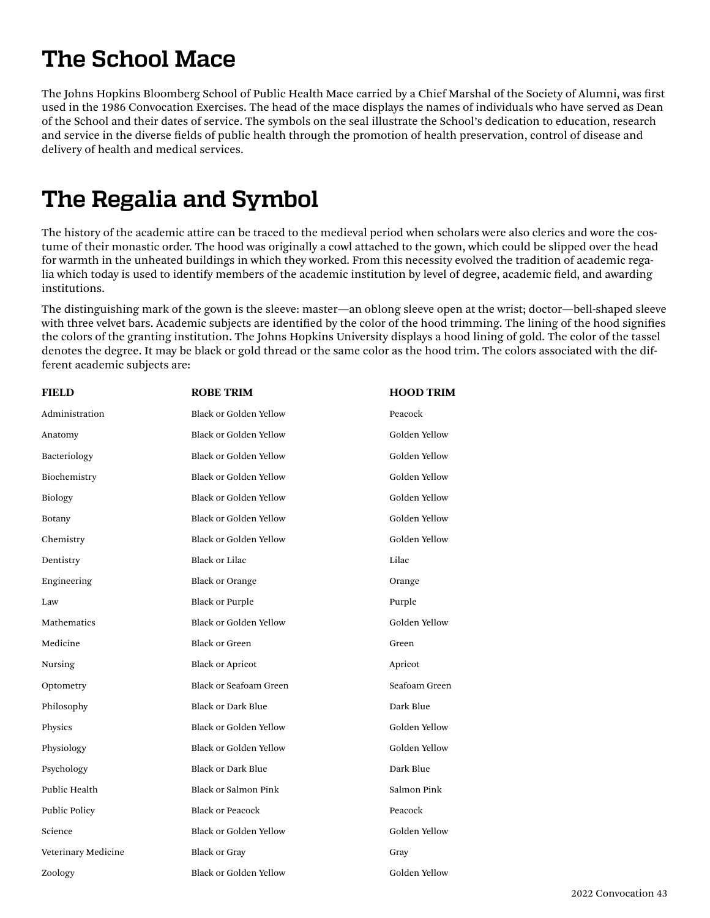# <span id="page-42-0"></span>**The School Mace**

The Johns Hopkins Bloomberg School of Public Health Mace carried by a Chief Marshal of the Society of Alumni, was first used in the 1986 Convocation Exercises. The head of the mace displays the names of individuals who have served as Dean of the School and their dates of service. The symbols on the seal illustrate the School's dedication to education, research and service in the diverse fields of public health through the promotion of health preservation, control of disease and delivery of health and medical services.

### **The Regalia and Symbol**

The history of the academic attire can be traced to the medieval period when scholars were also clerics and wore the costume of their monastic order. The hood was originally a cowl attached to the gown, which could be slipped over the head for warmth in the unheated buildings in which they worked. From this necessity evolved the tradition of academic regalia which today is used to identify members of the academic institution by level of degree, academic field, and awarding institutions.

The distinguishing mark of the gown is the sleeve: master—an oblong sleeve open at the wrist; doctor—bell-shaped sleeve with three velvet bars. Academic subjects are identified by the color of the hood trimming. The lining of the hood signifies the colors of the granting institution. The Johns Hopkins University displays a hood lining of gold. The color of the tassel denotes the degree. It may be black or gold thread or the same color as the hood trim. The colors associated with the different academic subjects are:

| <b>FIELD</b>        | <b>ROBE TRIM</b>              | <b>HOOD TRIM</b> |
|---------------------|-------------------------------|------------------|
| Administration      | <b>Black or Golden Yellow</b> | Peacock          |
| Anatomy             | <b>Black or Golden Yellow</b> | Golden Yellow    |
| Bacteriology        | Black or Golden Yellow        | Golden Yellow    |
| Biochemistry        | Black or Golden Yellow        | Golden Yellow    |
| Biology             | Black or Golden Yellow        | Golden Yellow    |
| Botany              | Black or Golden Yellow        | Golden Yellow    |
| Chemistry           | <b>Black or Golden Yellow</b> | Golden Yellow    |
| Dentistry           | <b>Black or Lilac</b>         | Lilac            |
| Engineering         | <b>Black or Orange</b>        | Orange           |
| Law                 | <b>Black or Purple</b>        | Purple           |
| Mathematics         | <b>Black or Golden Yellow</b> | Golden Yellow    |
| Medicine            | <b>Black or Green</b>         | Green            |
| Nursing             | <b>Black or Apricot</b>       | Apricot          |
| Optometry           | <b>Black or Seafoam Green</b> | Seafoam Green    |
| Philosophy          | <b>Black or Dark Blue</b>     | Dark Blue        |
| Physics             | Black or Golden Yellow        | Golden Yellow    |
| Physiology          | Black or Golden Yellow        | Golden Yellow    |
| Psychology          | <b>Black or Dark Blue</b>     | Dark Blue        |
| Public Health       | <b>Black or Salmon Pink</b>   | Salmon Pink      |
| Public Policy       | <b>Black or Peacock</b>       | Peacock          |
| Science             | <b>Black or Golden Yellow</b> | Golden Yellow    |
| Veterinary Medicine | <b>Black or Gray</b>          | Gray             |
| Zoology             | <b>Black or Golden Yellow</b> | Golden Yellow    |